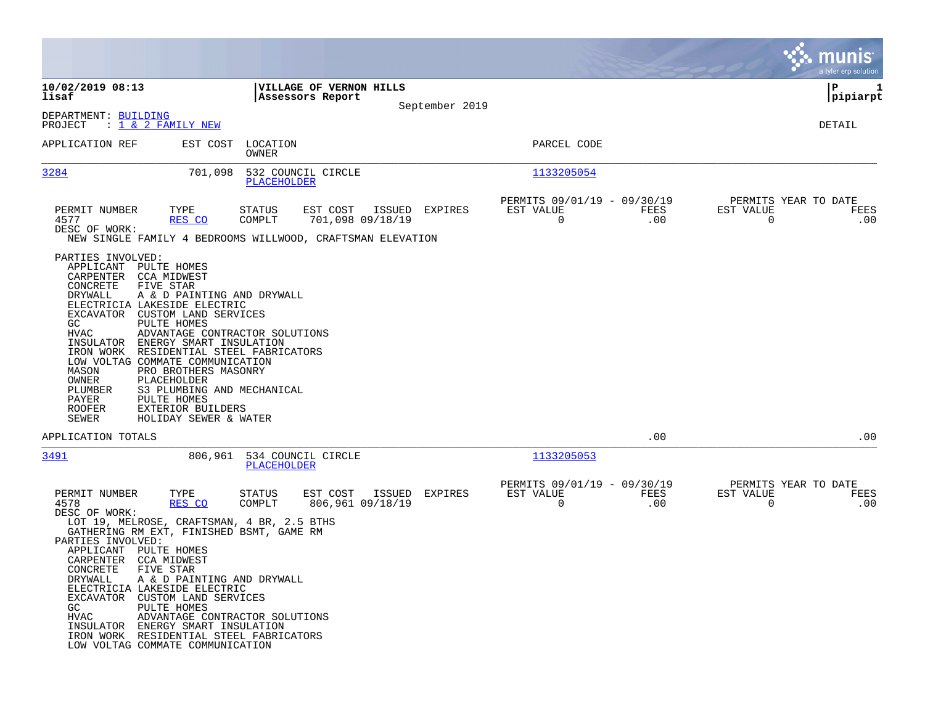|                                                                                                                                                                                                                                                                                                                                                                                                                                                                                                                                                                                              |                                                                                                                                         |                                                                           | munis<br>a tyler erp solution                                      |
|----------------------------------------------------------------------------------------------------------------------------------------------------------------------------------------------------------------------------------------------------------------------------------------------------------------------------------------------------------------------------------------------------------------------------------------------------------------------------------------------------------------------------------------------------------------------------------------------|-----------------------------------------------------------------------------------------------------------------------------------------|---------------------------------------------------------------------------|--------------------------------------------------------------------|
| 10/02/2019 08:13<br>lisaf                                                                                                                                                                                                                                                                                                                                                                                                                                                                                                                                                                    | VILLAGE OF VERNON HILLS<br>Assessors Report                                                                                             |                                                                           | P<br>1<br> pipiarpt                                                |
| DEPARTMENT: BUILDING<br>PROJECT<br>: <u>1 &amp; 2 FAMILY NEW</u>                                                                                                                                                                                                                                                                                                                                                                                                                                                                                                                             | September 2019                                                                                                                          |                                                                           | DETAIL                                                             |
| APPLICATION REF<br>EST COST                                                                                                                                                                                                                                                                                                                                                                                                                                                                                                                                                                  | LOCATION<br>OWNER                                                                                                                       | PARCEL CODE                                                               |                                                                    |
| 3284<br>701,098                                                                                                                                                                                                                                                                                                                                                                                                                                                                                                                                                                              | 532 COUNCIL CIRCLE<br>PLACEHOLDER                                                                                                       | 1133205054                                                                |                                                                    |
| PERMIT NUMBER<br>TYPE<br>4577<br>RES CO<br>DESC OF WORK:                                                                                                                                                                                                                                                                                                                                                                                                                                                                                                                                     | <b>STATUS</b><br>EST COST<br>ISSUED EXPIRES<br>701,098 09/18/19<br>COMPLT<br>NEW SINGLE FAMILY 4 BEDROOMS WILLWOOD, CRAFTSMAN ELEVATION | PERMITS 09/01/19 - 09/30/19<br>EST VALUE<br>FEES<br>.00<br>$\overline{0}$ | PERMITS YEAR TO DATE<br>EST VALUE<br>FEES<br>.00<br>$\overline{0}$ |
| PARTIES INVOLVED:<br>APPLICANT PULTE HOMES<br>CARPENTER CCA MIDWEST<br>CONCRETE<br>FIVE STAR<br>DRYWALL<br>A & D PAINTING AND DRYWALL<br>ELECTRICIA LAKESIDE ELECTRIC<br>EXCAVATOR CUSTOM LAND SERVICES<br>GC<br>PULTE HOMES<br>HVAC<br>ADVANTAGE CONTRACTOR SOLUTIONS<br>INSULATOR ENERGY SMART INSULATION<br>IRON WORK RESIDENTIAL STEEL FABRICATORS<br>LOW VOLTAG COMMATE COMMUNICATION<br>MASON<br>PRO BROTHERS MASONRY<br>OWNER<br>PLACEHOLDER<br>PLUMBER<br>S3 PLUMBING AND MECHANICAL<br>PAYER<br>PULTE HOMES<br><b>ROOFER</b><br>EXTERIOR BUILDERS<br>SEWER<br>HOLIDAY SEWER & WATER |                                                                                                                                         |                                                                           |                                                                    |
| APPLICATION TOTALS                                                                                                                                                                                                                                                                                                                                                                                                                                                                                                                                                                           |                                                                                                                                         | .00                                                                       | .00                                                                |
| 3491<br>806,961                                                                                                                                                                                                                                                                                                                                                                                                                                                                                                                                                                              | 534 COUNCIL CIRCLE<br>PLACEHOLDER                                                                                                       | 1133205053                                                                |                                                                    |
| PERMIT NUMBER<br>TYPE<br>4578<br>RES CO<br>DESC OF WORK:<br>LOT 19, MELROSE, CRAFTSMAN, 4 BR, 2.5 BTHS<br>GATHERING RM EXT, FINISHED BSMT, GAME RM<br>PARTIES INVOLVED:<br>APPLICANT PULTE HOMES<br>CARPENTER CCA MIDWEST<br>CONCRETE FIVE STAR<br>A & D PAINTING AND DRYWALL<br>DRYWALL<br>ELECTRICIA LAKESIDE ELECTRIC<br>EXCAVATOR CUSTOM LAND SERVICES<br>GC<br>PULTE HOMES<br>HVAC<br>ADVANTAGE CONTRACTOR SOLUTIONS<br>INSULATOR ENERGY SMART INSULATION<br>IRON WORK RESIDENTIAL STEEL FABRICATORS<br>LOW VOLTAG COMMATE COMMUNICATION                                                | STATUS<br>EST COST<br>ISSUED EXPIRES<br>COMPLT<br>806,961 09/18/19                                                                      | PERMITS 09/01/19 - 09/30/19<br>EST VALUE<br>FEES<br>$\mathbf 0$<br>.00    | PERMITS YEAR TO DATE<br>EST VALUE<br>FEES<br>$\mathbf 0$<br>.00    |

 $\mathcal{L}^{\text{max}}$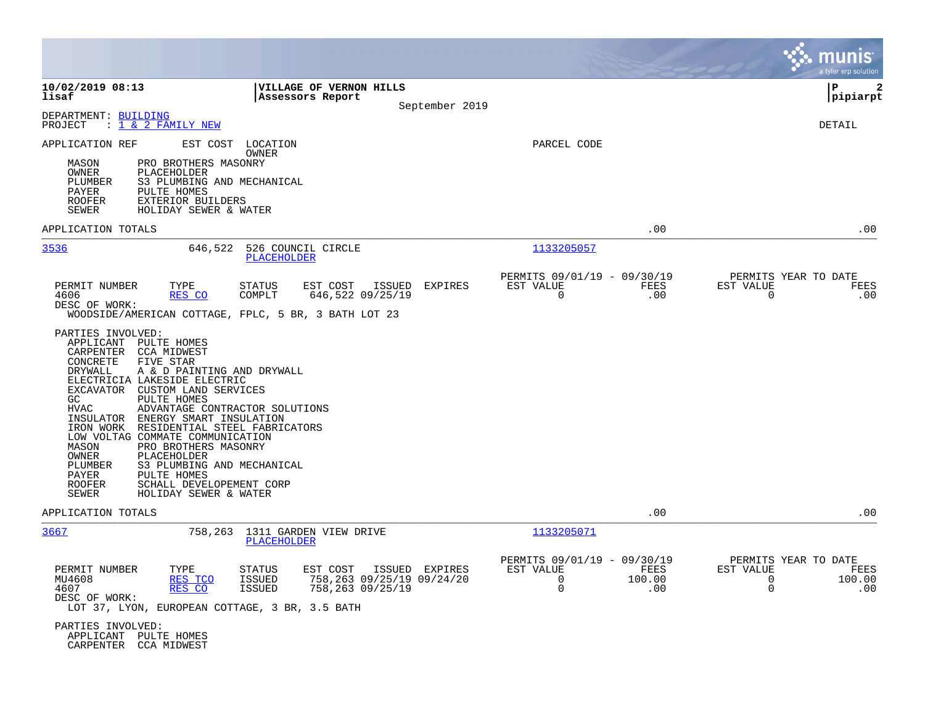|                                                                                                                                                                                                                                                                                                                                                                                                                                                                                                                                                                                                                                                                                                                                             |                                                                                                |                |                                                         |                       |                            | munis<br>a tyler erp solution                 |
|---------------------------------------------------------------------------------------------------------------------------------------------------------------------------------------------------------------------------------------------------------------------------------------------------------------------------------------------------------------------------------------------------------------------------------------------------------------------------------------------------------------------------------------------------------------------------------------------------------------------------------------------------------------------------------------------------------------------------------------------|------------------------------------------------------------------------------------------------|----------------|---------------------------------------------------------|-----------------------|----------------------------|-----------------------------------------------|
| 10/02/2019 08:13<br>lisaf                                                                                                                                                                                                                                                                                                                                                                                                                                                                                                                                                                                                                                                                                                                   | VILLAGE OF VERNON HILLS<br>Assessors Report                                                    | September 2019 |                                                         |                       |                            | l P<br>2<br> pipiarpt                         |
| DEPARTMENT: BUILDING<br><u>: 1 &amp; 2 FAMILY NEW</u><br>PROJECT                                                                                                                                                                                                                                                                                                                                                                                                                                                                                                                                                                                                                                                                            |                                                                                                |                |                                                         |                       |                            | DETAIL                                        |
| EST COST<br>APPLICATION REF<br>PRO BROTHERS MASONRY<br>MASON<br>OWNER<br>PLACEHOLDER<br>PLUMBER<br>S3 PLUMBING AND MECHANICAL<br>PAYER<br>PULTE HOMES<br><b>ROOFER</b><br>EXTERIOR BUILDERS<br><b>SEWER</b><br>HOLIDAY SEWER & WATER                                                                                                                                                                                                                                                                                                                                                                                                                                                                                                        | LOCATION<br>OWNER                                                                              |                | PARCEL CODE                                             |                       |                            |                                               |
| APPLICATION TOTALS                                                                                                                                                                                                                                                                                                                                                                                                                                                                                                                                                                                                                                                                                                                          |                                                                                                |                |                                                         | .00                   |                            | .00                                           |
| 3536<br>646,522                                                                                                                                                                                                                                                                                                                                                                                                                                                                                                                                                                                                                                                                                                                             | 526 COUNCIL CIRCLE<br>PLACEHOLDER                                                              |                | 1133205057                                              |                       |                            |                                               |
| PERMIT NUMBER<br>TYPE<br>4606<br>RES CO<br>DESC OF WORK:<br>WOODSIDE/AMERICAN COTTAGE, FPLC, 5 BR, 3 BATH LOT 23<br>PARTIES INVOLVED:<br>APPLICANT<br>PULTE HOMES<br>CARPENTER<br><b>CCA MIDWEST</b><br>CONCRETE<br>FIVE STAR<br>DRYWALL<br>A & D PAINTING AND DRYWALL<br>ELECTRICIA LAKESIDE ELECTRIC<br>EXCAVATOR CUSTOM LAND SERVICES<br>GC.<br>PULTE HOMES<br>HVAC<br>ADVANTAGE CONTRACTOR SOLUTIONS<br>INSULATOR<br>ENERGY SMART INSULATION<br>IRON WORK<br>RESIDENTIAL STEEL FABRICATORS<br>LOW VOLTAG COMMATE COMMUNICATION<br>MASON<br>PRO BROTHERS MASONRY<br>OWNER<br>PLACEHOLDER<br>PLUMBER<br>S3 PLUMBING AND MECHANICAL<br>PAYER<br>PULTE HOMES<br><b>ROOFER</b><br>SCHALL DEVELOPEMENT CORP<br>SEWER<br>HOLIDAY SEWER & WATER | STATUS<br>EST COST<br>ISSUED<br>COMPLT<br>646,522 09/25/19                                     | EXPIRES        | PERMITS 09/01/19 - 09/30/19<br>EST VALUE<br>$\mathbf 0$ | FEES<br>.00           | EST VALUE<br>0             | PERMITS YEAR TO DATE<br>FEES<br>.00           |
| APPLICATION TOTALS                                                                                                                                                                                                                                                                                                                                                                                                                                                                                                                                                                                                                                                                                                                          |                                                                                                |                |                                                         | .00                   |                            | .00                                           |
| 3667<br>758,263                                                                                                                                                                                                                                                                                                                                                                                                                                                                                                                                                                                                                                                                                                                             | 1311 GARDEN VIEW DRIVE<br>PLACEHOLDER                                                          |                | 1133205071                                              |                       |                            |                                               |
| PERMIT NUMBER<br>TYPE<br>MU4608<br>RES TCO<br>4607<br>RES CO<br>DESC OF WORK:<br>LOT 37, LYON, EUROPEAN COTTAGE, 3 BR, 3.5 BATH<br>PARTIES INVOLVED:                                                                                                                                                                                                                                                                                                                                                                                                                                                                                                                                                                                        | EST COST<br>STATUS<br><b>ISSUED</b><br>758,263 09/25/19 09/24/20<br>758,263 09/25/19<br>ISSUED | ISSUED EXPIRES | PERMITS 09/01/19 - 09/30/19<br>EST VALUE<br>0<br>0      | FEES<br>100.00<br>.00 | EST VALUE<br>0<br>$\Omega$ | PERMITS YEAR TO DATE<br>FEES<br>100.00<br>.00 |
| APPLICANT PULTE HOMES<br>CARPENTER CCA MIDWEST                                                                                                                                                                                                                                                                                                                                                                                                                                                                                                                                                                                                                                                                                              |                                                                                                |                |                                                         |                       |                            |                                               |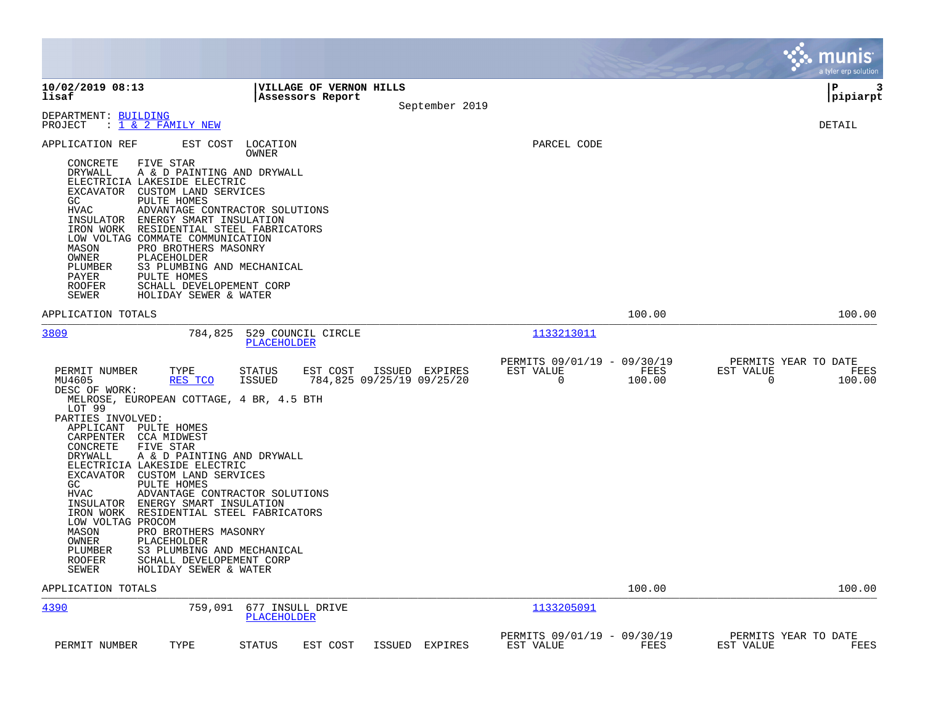|                                                                                                                                                                                                                                                                                                                                                                                                                                                                                                                                                                                                                                                                                            |                                             |                                             |                                               |                             | munis<br>a tyler erp solution               |
|--------------------------------------------------------------------------------------------------------------------------------------------------------------------------------------------------------------------------------------------------------------------------------------------------------------------------------------------------------------------------------------------------------------------------------------------------------------------------------------------------------------------------------------------------------------------------------------------------------------------------------------------------------------------------------------------|---------------------------------------------|---------------------------------------------|-----------------------------------------------|-----------------------------|---------------------------------------------|
| 10/02/2019 08:13<br>lisaf                                                                                                                                                                                                                                                                                                                                                                                                                                                                                                                                                                                                                                                                  | VILLAGE OF VERNON HILLS<br>Assessors Report | September 2019                              |                                               |                             | l P<br>3<br> pipiarpt                       |
| DEPARTMENT: BUILDING<br>PROJECT<br>: <u>1 &amp; 2 FAMILY NEW</u>                                                                                                                                                                                                                                                                                                                                                                                                                                                                                                                                                                                                                           |                                             |                                             |                                               |                             | DETAIL                                      |
| APPLICATION REF<br>EST COST<br>CONCRETE<br>FIVE STAR<br>DRYWALL<br>A & D PAINTING AND DRYWALL<br>ELECTRICIA LAKESIDE ELECTRIC<br>EXCAVATOR CUSTOM LAND SERVICES<br>GC<br>PULTE HOMES<br><b>HVAC</b><br>ADVANTAGE CONTRACTOR SOLUTIONS<br>INSULATOR<br>ENERGY SMART INSULATION<br>RESIDENTIAL STEEL FABRICATORS<br>IRON WORK<br>LOW VOLTAG COMMATE COMMUNICATION<br>MASON<br>PRO BROTHERS MASONRY<br>PLACEHOLDER<br>OWNER<br>PLUMBER<br>S3 PLUMBING AND MECHANICAL<br>PAYER<br>PULTE HOMES<br><b>ROOFER</b><br>SCHALL DEVELOPEMENT CORP<br><b>SEWER</b><br>HOLIDAY SEWER & WATER                                                                                                            | LOCATION<br>OWNER                           |                                             | PARCEL CODE                                   |                             |                                             |
| APPLICATION TOTALS                                                                                                                                                                                                                                                                                                                                                                                                                                                                                                                                                                                                                                                                         |                                             |                                             |                                               | 100.00                      | 100.00                                      |
| 3809<br>784,825                                                                                                                                                                                                                                                                                                                                                                                                                                                                                                                                                                                                                                                                            | 529 COUNCIL CIRCLE<br>PLACEHOLDER           |                                             | 1133213011                                    |                             |                                             |
| TYPE<br>PERMIT NUMBER<br>RES TCO<br>MU4605<br>DESC OF WORK:<br>MELROSE, EUROPEAN COTTAGE, 4 BR, 4.5 BTH<br>LOT 99<br>PARTIES INVOLVED:<br>APPLICANT<br>PULTE HOMES<br>CARPENTER<br>CCA MIDWEST<br>CONCRETE<br>FIVE STAR<br>DRYWALL<br>A & D PAINTING AND DRYWALL<br>ELECTRICIA LAKESIDE ELECTRIC<br>EXCAVATOR<br>CUSTOM LAND SERVICES<br>GC.<br>PULTE HOMES<br>HVAC<br>ADVANTAGE CONTRACTOR SOLUTIONS<br>INSULATOR<br>ENERGY SMART INSULATION<br>RESIDENTIAL STEEL FABRICATORS<br>IRON WORK<br>LOW VOLTAG PROCOM<br>MASON<br>PRO BROTHERS MASONRY<br>OWNER<br>PLACEHOLDER<br>PLUMBER<br>S3 PLUMBING AND MECHANICAL<br>ROOFER<br>SCHALL DEVELOPEMENT CORP<br>SEWER<br>HOLIDAY SEWER & WATER | <b>STATUS</b><br>EST COST<br>ISSUED         | ISSUED EXPIRES<br>784,825 09/25/19 09/25/20 | PERMITS 09/01/19 - 09/30/19<br>EST VALUE<br>0 | FEES<br>EST VALUE<br>100.00 | PERMITS YEAR TO DATE<br>FEES<br>100.00<br>0 |
| APPLICATION TOTALS                                                                                                                                                                                                                                                                                                                                                                                                                                                                                                                                                                                                                                                                         |                                             |                                             |                                               | 100.00                      | 100.00                                      |
| 4390<br>759,091                                                                                                                                                                                                                                                                                                                                                                                                                                                                                                                                                                                                                                                                            | 677 INSULL DRIVE<br>PLACEHOLDER             |                                             | 1133205091                                    |                             |                                             |
| TYPE<br>PERMIT NUMBER                                                                                                                                                                                                                                                                                                                                                                                                                                                                                                                                                                                                                                                                      | STATUS<br>EST COST                          | ISSUED EXPIRES                              | PERMITS 09/01/19 - 09/30/19<br>EST VALUE      | FEES<br>EST VALUE           | PERMITS YEAR TO DATE<br>FEES                |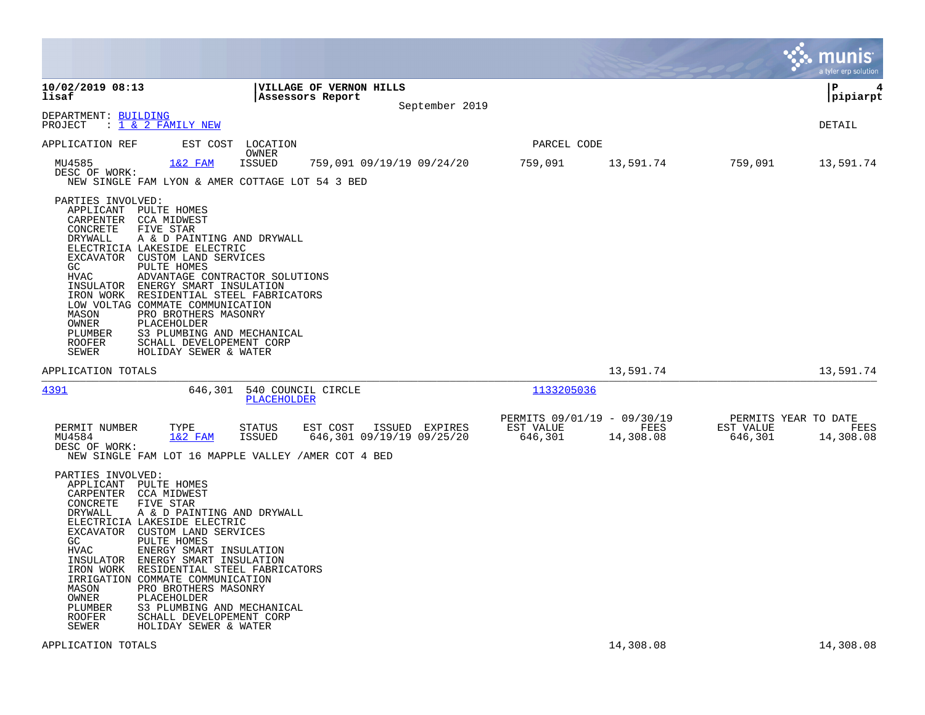|                                                                                                                      |                                                                                                                                                                                                                                                                                                                                                                                                                                                            |                            |                                                    |                                             |                                                     |                   |                      | munis<br>a tyler erp solution             |
|----------------------------------------------------------------------------------------------------------------------|------------------------------------------------------------------------------------------------------------------------------------------------------------------------------------------------------------------------------------------------------------------------------------------------------------------------------------------------------------------------------------------------------------------------------------------------------------|----------------------------|----------------------------------------------------|---------------------------------------------|-----------------------------------------------------|-------------------|----------------------|-------------------------------------------|
| 10/02/2019 08:13<br>lisaf                                                                                            |                                                                                                                                                                                                                                                                                                                                                                                                                                                            |                            | <b>VILLAGE OF VERNON HILLS</b><br>Assessors Report | September 2019                              |                                                     |                   |                      | l P<br>4<br> pipiarpt                     |
| DEPARTMENT: BUILDING<br>PROJECT                                                                                      | : <u>1 &amp; 2 FAMILY NEW</u>                                                                                                                                                                                                                                                                                                                                                                                                                              |                            |                                                    |                                             |                                                     |                   |                      | DETAIL                                    |
| APPLICATION REF                                                                                                      |                                                                                                                                                                                                                                                                                                                                                                                                                                                            | EST COST LOCATION<br>OWNER |                                                    |                                             | PARCEL CODE                                         |                   |                      |                                           |
| MU4585<br>DESC OF WORK:                                                                                              | $1&2$ FAM<br>NEW SINGLE FAM LYON & AMER COTTAGE LOT 54 3 BED                                                                                                                                                                                                                                                                                                                                                                                               | <b>ISSUED</b>              |                                                    | 759,091 09/19/19 09/24/20                   | 759,091                                             | 13,591.74         | 759,091              | 13,591.74                                 |
| PARTIES INVOLVED:<br>CONCRETE<br>DRYWALL<br>GC<br>HVAC<br>MASON<br>OWNER<br>PLUMBER<br>ROOFER<br>SEWER               | APPLICANT PULTE HOMES<br>CARPENTER CCA MIDWEST<br>FIVE STAR<br>A & D PAINTING AND DRYWALL<br>ELECTRICIA LAKESIDE ELECTRIC<br>EXCAVATOR CUSTOM LAND SERVICES<br>PULTE HOMES<br>ADVANTAGE CONTRACTOR SOLUTIONS<br>INSULATOR ENERGY SMART INSULATION<br>IRON WORK RESIDENTIAL STEEL FABRICATORS<br>LOW VOLTAG COMMATE COMMUNICATION<br>PRO BROTHERS MASONRY<br>PLACEHOLDER<br>S3 PLUMBING AND MECHANICAL<br>SCHALL DEVELOPEMENT CORP<br>HOLIDAY SEWER & WATER |                            |                                                    |                                             |                                                     |                   |                      |                                           |
| APPLICATION TOTALS                                                                                                   |                                                                                                                                                                                                                                                                                                                                                                                                                                                            |                            |                                                    |                                             |                                                     | 13,591.74         |                      | 13,591.74                                 |
| <u>4391</u>                                                                                                          |                                                                                                                                                                                                                                                                                                                                                                                                                                                            | <b>PLACEHOLDER</b>         | 646,301 540 COUNCIL CIRCLE                         |                                             | 1133205036                                          |                   |                      |                                           |
| PERMIT NUMBER<br>MU4584<br>DESC OF WORK:                                                                             | TYPE<br>$1&2$ FAM<br>NEW SINGLE FAM LOT 16 MAPPLE VALLEY / AMER COT 4 BED                                                                                                                                                                                                                                                                                                                                                                                  | STATUS<br>ISSUED           | EST COST                                           | ISSUED EXPIRES<br>646,301 09/19/19 09/25/20 | PERMITS 09/01/19 - 09/30/19<br>EST VALUE<br>646,301 | FEES<br>14,308.08 | EST VALUE<br>646,301 | PERMITS YEAR TO DATE<br>FEES<br>14,308.08 |
| PARTIES INVOLVED:<br>CONCRETE<br>DRYWALL<br>GC.<br>HVAC<br>IRON WORK<br>MASON<br>OWNER<br>PLUMBER<br>ROOFER<br>SEWER | APPLICANT PULTE HOMES<br>CARPENTER CCA MIDWEST<br>FIVE STAR<br>A & D PAINTING AND DRYWALL<br>ELECTRICIA LAKESIDE ELECTRIC<br>EXCAVATOR CUSTOM LAND SERVICES<br>PULTE HOMES<br>ENERGY SMART INSULATION<br>INSULATOR ENERGY SMART INSULATION<br>RESIDENTIAL STEEL FABRICATORS<br>IRRIGATION COMMATE COMMUNICATION<br>PRO BROTHERS MASONRY<br>PLACEHOLDER<br>S3 PLUMBING AND MECHANICAL<br>SCHALL DEVELOPEMENT CORP<br>HOLIDAY SEWER & WATER                  |                            |                                                    |                                             |                                                     |                   |                      |                                           |
| APPLICATION TOTALS                                                                                                   |                                                                                                                                                                                                                                                                                                                                                                                                                                                            |                            |                                                    |                                             |                                                     | 14,308.08         |                      | 14,308.08                                 |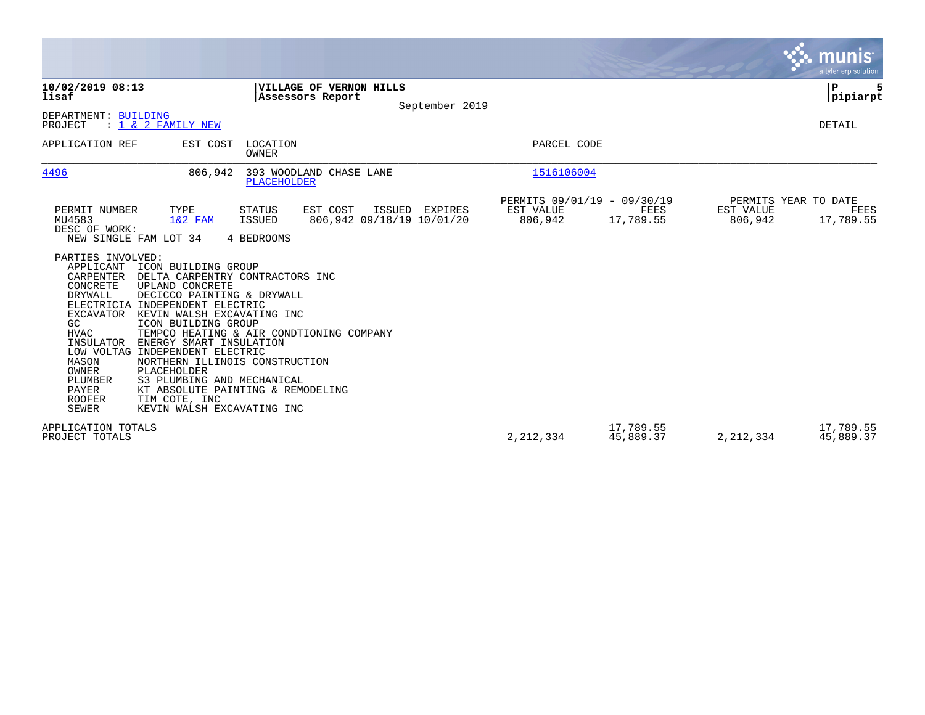|                                                                                                                                                                                                                                                                                                                                                                                                                                                                                                                                                                                                                                                                         | <b>munis</b><br>a tyler erp solution                                                                                                          |
|-------------------------------------------------------------------------------------------------------------------------------------------------------------------------------------------------------------------------------------------------------------------------------------------------------------------------------------------------------------------------------------------------------------------------------------------------------------------------------------------------------------------------------------------------------------------------------------------------------------------------------------------------------------------------|-----------------------------------------------------------------------------------------------------------------------------------------------|
| 10/02/2019 08:13<br>VILLAGE OF VERNON HILLS<br>lisaf<br>Assessors Report<br>September 2019                                                                                                                                                                                                                                                                                                                                                                                                                                                                                                                                                                              | ${\bf P}$<br> pipiarpt                                                                                                                        |
| DEPARTMENT: BUILDING<br>$: 1 \& 2$ FAMILY NEW<br>PROJECT                                                                                                                                                                                                                                                                                                                                                                                                                                                                                                                                                                                                                | DETAIL                                                                                                                                        |
| APPLICATION REF<br>LOCATION<br>EST COST<br><b>OWNER</b>                                                                                                                                                                                                                                                                                                                                                                                                                                                                                                                                                                                                                 | PARCEL CODE                                                                                                                                   |
| 4496<br>393 WOODLAND CHASE LANE<br>806,942<br><b>PLACEHOLDER</b>                                                                                                                                                                                                                                                                                                                                                                                                                                                                                                                                                                                                        | 1516106004                                                                                                                                    |
| EST COST<br>PERMIT NUMBER<br>TYPE<br><b>STATUS</b><br>ISSUED EXPIRES<br>MU4583<br>$1&2$ FAM<br>ISSUED<br>806,942 09/18/19 10/01/20<br>DESC OF WORK:<br>NEW SINGLE FAM LOT 34<br>4 BEDROOMS<br>PARTIES INVOLVED:<br>APPLICANT<br>ICON BUILDING GROUP<br>CARPENTER<br>DELTA CARPENTRY CONTRACTORS INC<br>CONCRETE<br>UPLAND CONCRETE<br>DRYWALL<br>DECICCO PAINTING & DRYWALL<br>ELECTRICIA INDEPENDENT ELECTRIC<br>KEVIN WALSH EXCAVATING INC<br>EXCAVATOR<br>GC<br>ICON BUILDING GROUP<br><b>HVAC</b><br>TEMPCO HEATING & AIR CONDTIONING COMPANY<br>INSULATOR<br>ENERGY SMART INSULATION<br>LOW VOLTAG INDEPENDENT ELECTRIC<br>NORTHERN ILLINOIS CONSTRUCTION<br>MASON | PERMITS 09/01/19 - 09/30/19<br>PERMITS YEAR TO DATE<br>EST VALUE<br>FEES<br>EST VALUE<br>FEES<br>17,789.55<br>806,942<br>17,789.55<br>806,942 |
| <b>OWNER</b><br>PLACEHOLDER<br>PLUMBER<br>S3 PLUMBING AND MECHANICAL<br>PAYER<br>KT ABSOLUTE PAINTING & REMODELING<br><b>ROOFER</b><br>TIM COTE, INC<br><b>SEWER</b><br>KEVIN WALSH EXCAVATING INC<br>APPLICATION TOTALS<br>PROJECT TOTALS                                                                                                                                                                                                                                                                                                                                                                                                                              | 17,789.55<br>17,789.55<br>2, 212, 334<br>45,889.37<br>2, 212, 334<br>45,889.37                                                                |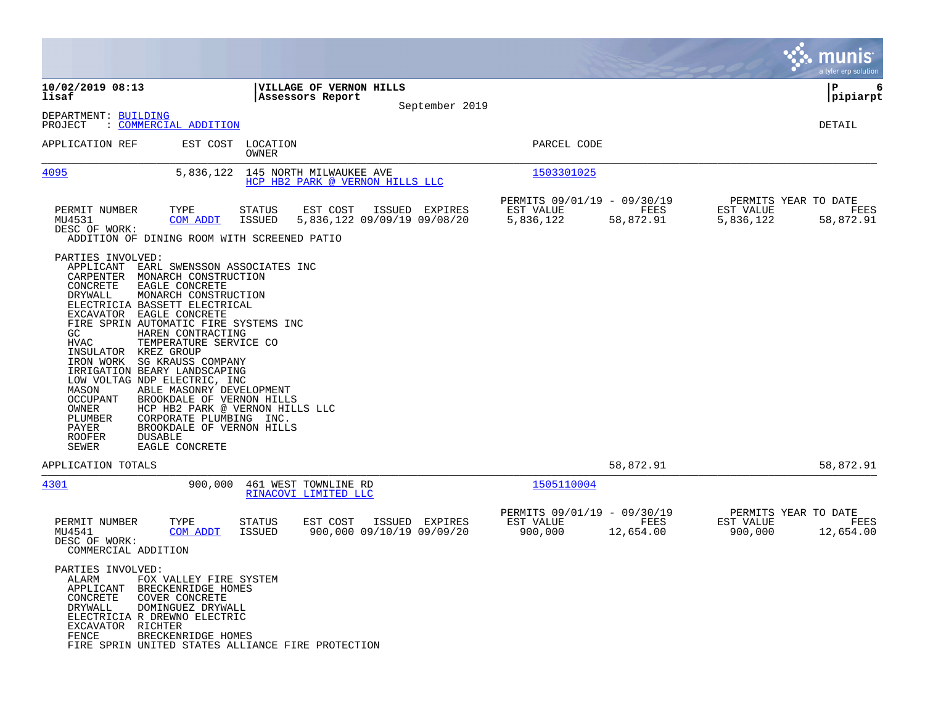|                                                                                                                                                                                                                                                                                                                                                                                                                                                                                                                                                                                                                                                                                                           |                                                                           |                |                                                       |                   |                                                | munis<br>a tyler erp solution |
|-----------------------------------------------------------------------------------------------------------------------------------------------------------------------------------------------------------------------------------------------------------------------------------------------------------------------------------------------------------------------------------------------------------------------------------------------------------------------------------------------------------------------------------------------------------------------------------------------------------------------------------------------------------------------------------------------------------|---------------------------------------------------------------------------|----------------|-------------------------------------------------------|-------------------|------------------------------------------------|-------------------------------|
| 10/02/2019 08:13<br>lisaf                                                                                                                                                                                                                                                                                                                                                                                                                                                                                                                                                                                                                                                                                 | VILLAGE OF VERNON HILLS<br>Assessors Report                               |                |                                                       |                   |                                                | l P<br>6<br> pipiarpt         |
| DEPARTMENT: BUILDING<br>PROJECT<br><u>COMMERCIAL ADDITION</u>                                                                                                                                                                                                                                                                                                                                                                                                                                                                                                                                                                                                                                             |                                                                           | September 2019 |                                                       |                   |                                                | <b>DETAIL</b>                 |
| APPLICATION REF                                                                                                                                                                                                                                                                                                                                                                                                                                                                                                                                                                                                                                                                                           | EST COST LOCATION<br>OWNER                                                |                | PARCEL CODE                                           |                   |                                                |                               |
| 4095<br>5,836,122                                                                                                                                                                                                                                                                                                                                                                                                                                                                                                                                                                                                                                                                                         | 145 NORTH MILWAUKEE AVE<br>HCP HB2 PARK @ VERNON HILLS LLC                |                | 1503301025                                            |                   |                                                |                               |
| TYPE<br>PERMIT NUMBER<br>MU4531<br><b>COM ADDT</b><br>DESC OF WORK:<br>ADDITION OF DINING ROOM WITH SCREENED PATIO                                                                                                                                                                                                                                                                                                                                                                                                                                                                                                                                                                                        | EST COST<br><b>STATUS</b><br>5,836,122 09/09/19 09/08/20<br><b>ISSUED</b> | ISSUED EXPIRES | PERMITS 09/01/19 - 09/30/19<br>EST VALUE<br>5,836,122 | FEES<br>58,872.91 | PERMITS YEAR TO DATE<br>EST VALUE<br>5,836,122 | FEES<br>58,872.91             |
| PARTIES INVOLVED:<br>APPLICANT<br>EARL SWENSSON ASSOCIATES INC<br>CARPENTER<br>MONARCH CONSTRUCTION<br>CONCRETE<br>EAGLE CONCRETE<br>DRYWALL<br>MONARCH CONSTRUCTION<br>ELECTRICIA BASSETT ELECTRICAL<br>EXCAVATOR EAGLE CONCRETE<br>FIRE SPRIN AUTOMATIC FIRE SYSTEMS INC<br>GC<br>HAREN CONTRACTING<br><b>HVAC</b><br>TEMPERATURE SERVICE CO<br>INSULATOR KREZ GROUP<br>SG KRAUSS COMPANY<br>IRON WORK<br>IRRIGATION BEARY LANDSCAPING<br>LOW VOLTAG NDP ELECTRIC, INC<br>MASON<br>ABLE MASONRY DEVELOPMENT<br>OCCUPANT<br>BROOKDALE OF VERNON HILLS<br>OWNER<br>PLUMBER<br>CORPORATE PLUMBING INC.<br>PAYER<br>BROOKDALE OF VERNON HILLS<br><b>ROOFER</b><br><b>DUSABLE</b><br>SEWER<br>EAGLE CONCRETE | HCP HB2 PARK @ VERNON HILLS LLC                                           |                |                                                       |                   |                                                |                               |
| APPLICATION TOTALS                                                                                                                                                                                                                                                                                                                                                                                                                                                                                                                                                                                                                                                                                        |                                                                           |                |                                                       | 58,872.91         |                                                | 58,872.91                     |
| 4301<br>900,000                                                                                                                                                                                                                                                                                                                                                                                                                                                                                                                                                                                                                                                                                           | 461 WEST TOWNLINE RD<br>RINACOVI LIMITED LLC                              |                | 1505110004                                            |                   |                                                |                               |
| PERMIT NUMBER<br>TYPE<br>MU4541<br>COM ADDT<br>DESC OF WORK:<br>COMMERCIAL ADDITION                                                                                                                                                                                                                                                                                                                                                                                                                                                                                                                                                                                                                       | <b>STATUS</b><br>EST COST<br>ISSUED<br>900,000 09/10/19 09/09/20          | ISSUED EXPIRES | PERMITS 09/01/19 - 09/30/19<br>EST VALUE<br>900,000   | FEES<br>12,654.00 | PERMITS YEAR TO DATE<br>EST VALUE<br>900,000   | FEES<br>12,654.00             |
| PARTIES INVOLVED:<br>ALARM<br>FOX VALLEY FIRE SYSTEM<br>BRECKENRIDGE HOMES<br>APPLICANT<br>CONCRETE<br>COVER CONCRETE<br>DRYWALL<br>DOMINGUEZ DRYWALL<br>ELECTRICIA R DREWNO ELECTRIC<br>EXCAVATOR RICHTER<br>FENCE<br>BRECKENRIDGE HOMES<br>FIRE SPRIN UNITED STATES ALLIANCE FIRE PROTECTION                                                                                                                                                                                                                                                                                                                                                                                                            |                                                                           |                |                                                       |                   |                                                |                               |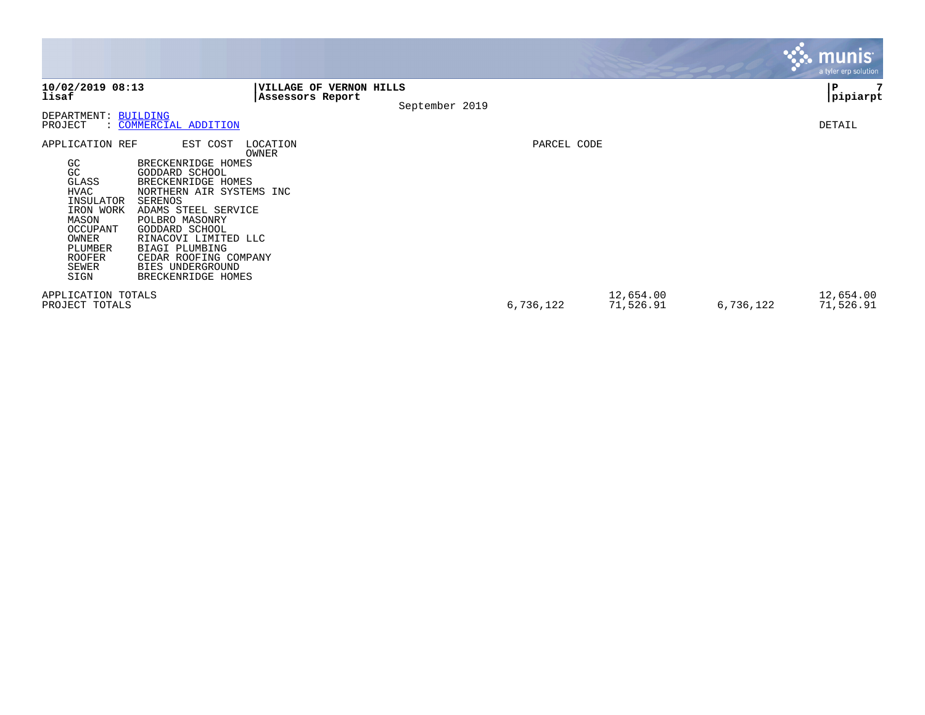|                                                                                                                                                          |                                                                                                                                                                                                                                                                                                            |             |                        |           | <b>munis</b><br>a tyler erp solution |
|----------------------------------------------------------------------------------------------------------------------------------------------------------|------------------------------------------------------------------------------------------------------------------------------------------------------------------------------------------------------------------------------------------------------------------------------------------------------------|-------------|------------------------|-----------|--------------------------------------|
| 10/02/2019 08:13<br>lisaf                                                                                                                                | VILLAGE OF VERNON HILLS<br>Assessors Report<br>September 2019                                                                                                                                                                                                                                              |             |                        |           | P<br> pipiarpt                       |
| DEPARTMENT: BUILDING<br>PROJECT                                                                                                                          | : COMMERCIAL ADDITION                                                                                                                                                                                                                                                                                      |             |                        |           | DETAIL                               |
| APPLICATION REF<br>GC<br>GC<br>GLASS<br><b>HVAC</b><br>INSULATOR<br>IRON WORK<br>MASON<br>OCCUPANT<br>OWNER<br>PLUMBER<br><b>ROOFER</b><br>SEWER<br>SIGN | EST COST<br>LOCATION<br>OWNER<br>BRECKENRIDGE HOMES<br>GODDARD SCHOOL<br>BRECKENRIDGE HOMES<br>NORTHERN AIR SYSTEMS INC<br>SERENOS<br>ADAMS STEEL SERVICE<br>POLBRO MASONRY<br>GODDARD SCHOOL<br>RINACOVI LIMITED LLC<br>BIAGI PLUMBING<br>CEDAR ROOFING COMPANY<br>BIES UNDERGROUND<br>BRECKENRIDGE HOMES | PARCEL CODE |                        |           |                                      |
| APPLICATION TOTALS<br>PROJECT TOTALS                                                                                                                     |                                                                                                                                                                                                                                                                                                            | 6,736,122   | 12,654.00<br>71,526.91 | 6,736,122 | 12,654.00<br>71,526.91               |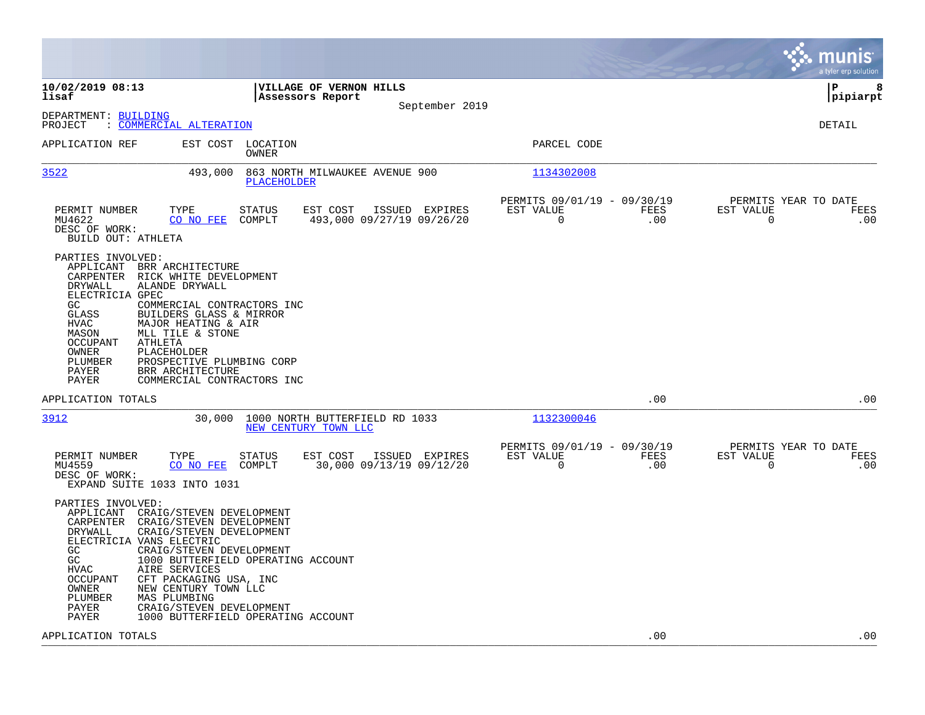|                                                                                                                                                                                                                                                                                                                                                                                                                                                                             |                                                                                    |                                                         | munis<br>a tyler erp solution                                                  |
|-----------------------------------------------------------------------------------------------------------------------------------------------------------------------------------------------------------------------------------------------------------------------------------------------------------------------------------------------------------------------------------------------------------------------------------------------------------------------------|------------------------------------------------------------------------------------|---------------------------------------------------------|--------------------------------------------------------------------------------|
| 10/02/2019 08:13<br>lisaf                                                                                                                                                                                                                                                                                                                                                                                                                                                   | VILLAGE OF VERNON HILLS<br>Assessors Report<br>September 2019                      |                                                         | l P<br>8<br> pipiarpt                                                          |
| DEPARTMENT: BUILDING<br>: COMMERCIAL ALTERATION<br>PROJECT                                                                                                                                                                                                                                                                                                                                                                                                                  |                                                                                    |                                                         | <b>DETAIL</b>                                                                  |
| APPLICATION REF<br>EST COST LOCATION                                                                                                                                                                                                                                                                                                                                                                                                                                        | OWNER                                                                              | PARCEL CODE                                             |                                                                                |
| 3522<br>493,000                                                                                                                                                                                                                                                                                                                                                                                                                                                             | 863 NORTH MILWAUKEE AVENUE 900<br>PLACEHOLDER                                      | 1134302008                                              |                                                                                |
| PERMIT NUMBER<br>TYPE<br>CO NO FEE<br>MU4622<br>DESC OF WORK:<br>BUILD OUT: ATHLETA                                                                                                                                                                                                                                                                                                                                                                                         | <b>STATUS</b><br>EST COST<br>ISSUED EXPIRES<br>COMPLT<br>493,000 09/27/19 09/26/20 | PERMITS 09/01/19 - 09/30/19<br>EST VALUE<br>0           | PERMITS YEAR TO DATE<br>FEES<br>EST VALUE<br>FEES<br>.00<br>$\mathbf 0$<br>.00 |
| PARTIES INVOLVED:<br>APPLICANT<br>BRR ARCHITECTURE<br>CARPENTER<br>RICK WHITE DEVELOPMENT<br>DRYWALL<br>ALANDE DRYWALL<br>ELECTRICIA GPEC<br>GC.<br>COMMERCIAL CONTRACTORS INC<br>GLASS<br>BUILDERS GLASS & MIRROR<br>HVAC<br>MAJOR HEATING & AIR<br>MASON<br>MLL TILE & STONE<br>OCCUPANT<br>ATHLETA<br>PLACEHOLDER<br>OWNER<br>PLUMBER<br>PROSPECTIVE PLUMBING CORP<br>PAYER<br>BRR ARCHITECTURE<br>PAYER<br>COMMERCIAL CONTRACTORS INC                                   |                                                                                    |                                                         |                                                                                |
| APPLICATION TOTALS                                                                                                                                                                                                                                                                                                                                                                                                                                                          |                                                                                    |                                                         | .00<br>.00                                                                     |
| 3912<br>30,000                                                                                                                                                                                                                                                                                                                                                                                                                                                              | 1000 NORTH BUTTERFIELD RD 1033<br>NEW CENTURY TOWN LLC                             | 1132300046                                              |                                                                                |
| PERMIT NUMBER<br>TYPE<br>MU4559<br>CO NO FEE<br>DESC OF WORK:<br>EXPAND SUITE 1033 INTO 1031                                                                                                                                                                                                                                                                                                                                                                                | STATUS<br>EST COST<br>ISSUED EXPIRES<br>COMPLT<br>30,000 09/13/19 09/12/20         | PERMITS 09/01/19 - 09/30/19<br>EST VALUE<br>$\mathbf 0$ | PERMITS YEAR TO DATE<br>FEES<br>EST VALUE<br>FEES<br>.00<br>$\mathbf 0$<br>.00 |
| PARTIES INVOLVED:<br>APPLICANT<br>CRAIG/STEVEN DEVELOPMENT<br>CARPENTER<br>CRAIG/STEVEN DEVELOPMENT<br>DRYWALL<br>CRAIG/STEVEN DEVELOPMENT<br>ELECTRICIA VANS ELECTRIC<br>GC.<br>CRAIG/STEVEN DEVELOPMENT<br>GC<br>1000 BUTTERFIELD OPERATING ACCOUNT<br><b>HVAC</b><br>AIRE SERVICES<br>OCCUPANT<br>CFT PACKAGING USA, INC<br>OWNER<br>NEW CENTURY TOWN LLC<br>PLUMBER<br>MAS PLUMBING<br>PAYER<br>CRAIG/STEVEN DEVELOPMENT<br>PAYER<br>1000 BUTTERFIELD OPERATING ACCOUNT |                                                                                    |                                                         |                                                                                |
| APPLICATION TOTALS                                                                                                                                                                                                                                                                                                                                                                                                                                                          |                                                                                    |                                                         | .00<br>.00                                                                     |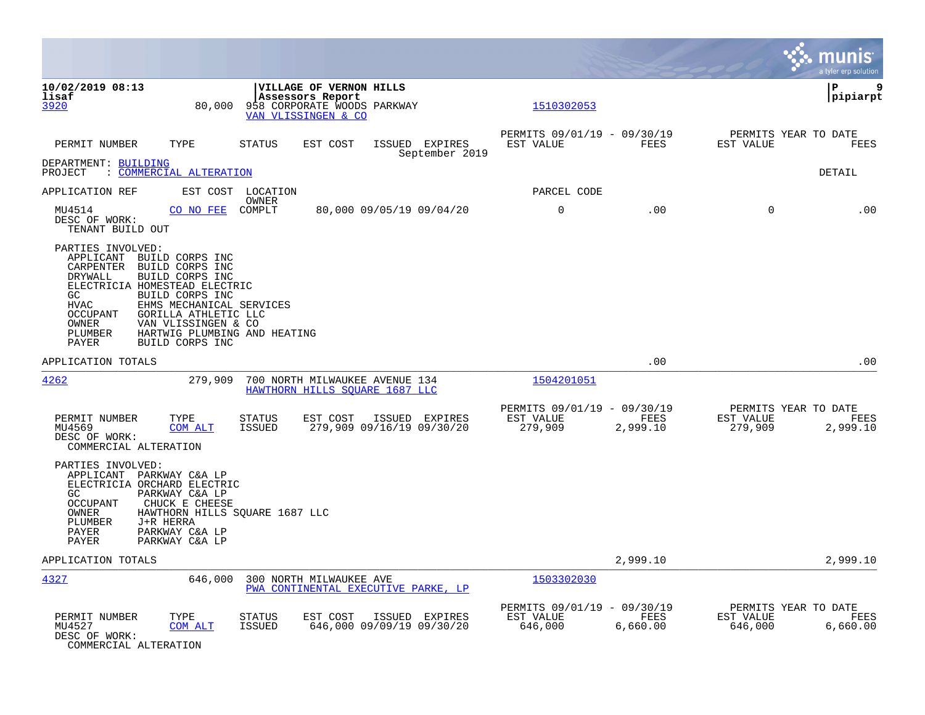|                                                                                                                             |                                                                                                                                                                                                                                         |                                |                                                                                                          |                                  |                                                     |                  |                      | munis<br>a tyler erp solution            |
|-----------------------------------------------------------------------------------------------------------------------------|-----------------------------------------------------------------------------------------------------------------------------------------------------------------------------------------------------------------------------------------|--------------------------------|----------------------------------------------------------------------------------------------------------|----------------------------------|-----------------------------------------------------|------------------|----------------------|------------------------------------------|
| 10/02/2019 08:13<br>lisaf<br>3920                                                                                           | 80,000                                                                                                                                                                                                                                  |                                | <b>VILLAGE OF VERNON HILLS</b><br>Assessors Report<br>958 CORPORATE WOODS PARKWAY<br>VAN VLISSINGEN & CO |                                  | 1510302053                                          |                  |                      | l P<br>9<br> pipiarpt                    |
| PERMIT NUMBER                                                                                                               | TYPE                                                                                                                                                                                                                                    | <b>STATUS</b>                  | EST COST                                                                                                 | ISSUED EXPIRES<br>September 2019 | PERMITS 09/01/19 - 09/30/19<br>EST VALUE            | FEES             | EST VALUE            | PERMITS YEAR TO DATE<br>FEES             |
| DEPARTMENT: BUILDING<br>PROJECT                                                                                             | : COMMERCIAL ALTERATION                                                                                                                                                                                                                 |                                |                                                                                                          |                                  |                                                     |                  |                      | DETAIL                                   |
| APPLICATION REF                                                                                                             |                                                                                                                                                                                                                                         | EST COST LOCATION              |                                                                                                          |                                  | PARCEL CODE                                         |                  |                      |                                          |
| MU4514<br>DESC OF WORK:<br>TENANT BUILD OUT                                                                                 | CO NO FEE COMPLT                                                                                                                                                                                                                        | OWNER                          |                                                                                                          | 80,000 09/05/19 09/04/20         | $\mathbf 0$                                         | .00              | $\Omega$             | .00                                      |
| PARTIES INVOLVED:<br>APPLICANT<br>CARPENTER<br>DRYWALL<br>GC<br><b>HVAC</b><br><b>OCCUPANT</b><br>OWNER<br>PLUMBER<br>PAYER | BUILD CORPS INC<br>BUILD CORPS INC<br>BUILD CORPS INC<br>ELECTRICIA HOMESTEAD ELECTRIC<br>BUILD CORPS INC<br>EHMS MECHANICAL SERVICES<br>GORILLA ATHLETIC LLC<br>VAN VLISSINGEN & CO<br>HARTWIG PLUMBING AND HEATING<br>BUILD CORPS INC |                                |                                                                                                          |                                  |                                                     |                  |                      |                                          |
| APPLICATION TOTALS                                                                                                          |                                                                                                                                                                                                                                         |                                |                                                                                                          |                                  |                                                     | .00              |                      | .00                                      |
| 4262                                                                                                                        | 279,909                                                                                                                                                                                                                                 |                                | 700 NORTH MILWAUKEE AVENUE 134<br>HAWTHORN HILLS SOUARE 1687 LLC                                         |                                  | 1504201051                                          |                  |                      |                                          |
| PERMIT NUMBER<br>MU4569<br>DESC OF WORK:<br>COMMERCIAL ALTERATION                                                           | TYPE<br>COM ALT                                                                                                                                                                                                                         | <b>STATUS</b><br><b>ISSUED</b> | EST COST<br>279,909 09/16/19 09/30/20                                                                    | ISSUED EXPIRES                   | PERMITS 09/01/19 - 09/30/19<br>EST VALUE<br>279,909 | FEES<br>2,999.10 | EST VALUE<br>279,909 | PERMITS YEAR TO DATE<br>FEES<br>2,999.10 |
| PARTIES INVOLVED:<br>APPLICANT PARKWAY C&A LP<br>GC.<br><b>OCCUPANT</b><br>OWNER<br>PLUMBER<br>PAYER<br>PAYER               | ELECTRICIA ORCHARD ELECTRIC<br>PARKWAY C&A LP<br>CHUCK E CHEESE<br>HAWTHORN HILLS SQUARE 1687 LLC<br>J+R HERRA<br>PARKWAY C&A LP<br>PARKWAY C&A LP                                                                                      |                                |                                                                                                          |                                  |                                                     |                  |                      |                                          |
| APPLICATION TOTALS                                                                                                          |                                                                                                                                                                                                                                         |                                |                                                                                                          |                                  |                                                     | 2,999.10         |                      | 2,999.10                                 |
| 4327                                                                                                                        | 646,000                                                                                                                                                                                                                                 |                                | 300 NORTH MILWAUKEE AVE<br>PWA CONTINENTAL EXECUTIVE PARKE, LP                                           |                                  | 1503302030                                          |                  |                      |                                          |
| PERMIT NUMBER<br>MU4527<br>DESC OF WORK:<br>COMMERCIAL ALTERATION                                                           | TYPE<br>COM ALT                                                                                                                                                                                                                         | <b>STATUS</b><br><b>ISSUED</b> | EST COST<br>646,000 09/09/19 09/30/20                                                                    | ISSUED EXPIRES                   | PERMITS 09/01/19 - 09/30/19<br>EST VALUE<br>646,000 | FEES<br>6,660.00 | EST VALUE<br>646,000 | PERMITS YEAR TO DATE<br>FEES<br>6,660.00 |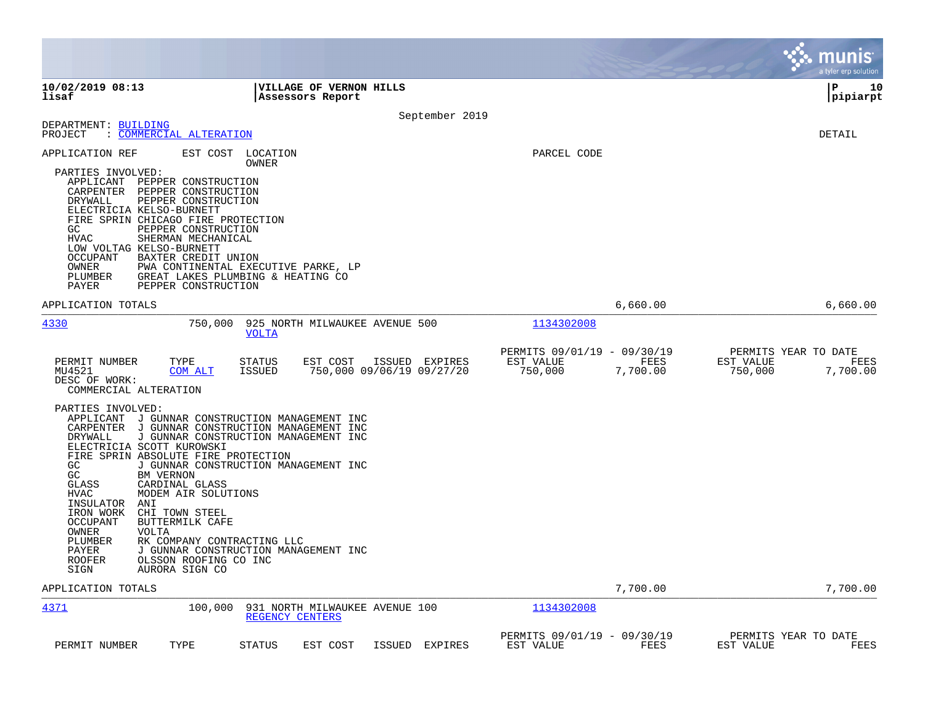|                                                                                                                                                                                                                                          |                                                                                                                                                                                                                                                                                                                                                                                                                        |                                                    |                |                                                     |                  | munis<br>a tyler erp solution                                    |
|------------------------------------------------------------------------------------------------------------------------------------------------------------------------------------------------------------------------------------------|------------------------------------------------------------------------------------------------------------------------------------------------------------------------------------------------------------------------------------------------------------------------------------------------------------------------------------------------------------------------------------------------------------------------|----------------------------------------------------|----------------|-----------------------------------------------------|------------------|------------------------------------------------------------------|
| 10/02/2019 08:13<br>lisaf                                                                                                                                                                                                                |                                                                                                                                                                                                                                                                                                                                                                                                                        | <b>VILLAGE OF VERNON HILLS</b><br>Assessors Report |                |                                                     |                  | l P<br>10<br> pipiarpt                                           |
|                                                                                                                                                                                                                                          |                                                                                                                                                                                                                                                                                                                                                                                                                        |                                                    | September 2019 |                                                     |                  |                                                                  |
| DEPARTMENT: BUILDING<br>PROJECT                                                                                                                                                                                                          | : COMMERCIAL ALTERATION                                                                                                                                                                                                                                                                                                                                                                                                |                                                    |                |                                                     |                  | DETAIL                                                           |
| APPLICATION REF<br>PARTIES INVOLVED:<br>APPLICANT PEPPER CONSTRUCTION<br>CARPENTER PEPPER CONSTRUCTION<br>DRYWALL<br>ELECTRICIA KELSO-BURNETT<br>GC.<br><b>HVAC</b><br>LOW VOLTAG KELSO-BURNETT<br>OCCUPANT<br>OWNER<br>PLUMBER<br>PAYER | EST COST<br>LOCATION<br>OWNER<br>PEPPER CONSTRUCTION<br>FIRE SPRIN CHICAGO FIRE PROTECTION<br>PEPPER CONSTRUCTION<br>SHERMAN MECHANICAL<br>BAXTER CREDIT UNION<br>PWA CONTINENTAL EXECUTIVE PARKE, LP<br>GREAT LAKES PLUMBING & HEATING CO<br>PEPPER CONSTRUCTION                                                                                                                                                      |                                                    |                | PARCEL CODE                                         |                  |                                                                  |
| APPLICATION TOTALS                                                                                                                                                                                                                       |                                                                                                                                                                                                                                                                                                                                                                                                                        |                                                    |                |                                                     | 6,660.00         | 6,660.00                                                         |
| 4330                                                                                                                                                                                                                                     | 750,000<br><b>VOLTA</b>                                                                                                                                                                                                                                                                                                                                                                                                | 925 NORTH MILWAUKEE AVENUE 500                     |                | 1134302008                                          |                  |                                                                  |
| PERMIT NUMBER<br>MU4521<br>DESC OF WORK:<br>COMMERCIAL ALTERATION                                                                                                                                                                        | TYPE<br>STATUS<br><b>ISSUED</b><br>COM ALT                                                                                                                                                                                                                                                                                                                                                                             | EST COST<br>750,000 09/06/19 09/27/20              | ISSUED EXPIRES | PERMITS 09/01/19 - 09/30/19<br>EST VALUE<br>750,000 | FEES<br>7,700.00 | PERMITS YEAR TO DATE<br>EST VALUE<br>FEES<br>7,700.00<br>750,000 |
| PARTIES INVOLVED:<br>DRYWALL<br>ELECTRICIA SCOTT KUROWSKI<br>GC<br>GC<br>BM VERNON<br>GLASS<br><b>HVAC</b><br>INSULATOR<br>ANI<br>IRON WORK<br>OCCUPANT<br>OWNER<br><b>VOLTA</b><br>PLUMBER<br>PAYER<br>ROOFER<br>SIGN                   | APPLICANT J GUNNAR CONSTRUCTION MANAGEMENT INC<br>CARPENTER J GUNNAR CONSTRUCTION MANAGEMENT INC<br>J GUNNAR CONSTRUCTION MANAGEMENT INC<br>FIRE SPRIN ABSOLUTE FIRE PROTECTION<br>J GUNNAR CONSTRUCTION MANAGEMENT INC<br>CARDINAL GLASS<br>MODEM AIR SOLUTIONS<br>CHI TOWN STEEL<br>BUTTERMILK CAFE<br>RK COMPANY CONTRACTING LLC<br>J GUNNAR CONSTRUCTION MANAGEMENT INC<br>OLSSON ROOFING CO INC<br>AURORA SIGN CO |                                                    |                |                                                     |                  |                                                                  |
| APPLICATION TOTALS                                                                                                                                                                                                                       |                                                                                                                                                                                                                                                                                                                                                                                                                        |                                                    |                |                                                     | 7,700.00         | 7,700.00                                                         |
| 4371                                                                                                                                                                                                                                     | 100,000                                                                                                                                                                                                                                                                                                                                                                                                                | 931 NORTH MILWAUKEE AVENUE 100<br>REGENCY CENTERS  |                | 1134302008                                          |                  |                                                                  |
| PERMIT NUMBER                                                                                                                                                                                                                            | TYPE<br><b>STATUS</b>                                                                                                                                                                                                                                                                                                                                                                                                  | EST COST                                           | ISSUED EXPIRES | PERMITS 09/01/19 - 09/30/19<br>EST VALUE            | FEES             | PERMITS YEAR TO DATE<br><b>FEES</b><br>EST VALUE                 |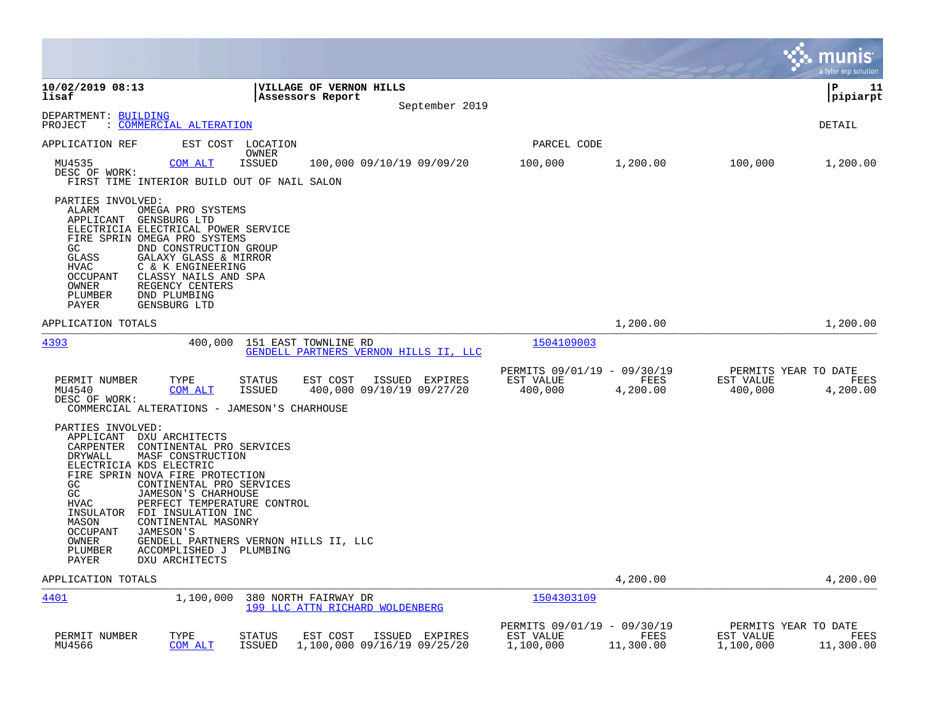|                                                                                                                                                                                                                                                                                                                                                                                                                                                                |                                                                    |                |                                                       |                   |                                                | <b>munis</b><br>a tyler erp solution |
|----------------------------------------------------------------------------------------------------------------------------------------------------------------------------------------------------------------------------------------------------------------------------------------------------------------------------------------------------------------------------------------------------------------------------------------------------------------|--------------------------------------------------------------------|----------------|-------------------------------------------------------|-------------------|------------------------------------------------|--------------------------------------|
| 10/02/2019 08:13<br>lisaf                                                                                                                                                                                                                                                                                                                                                                                                                                      | VILLAGE OF VERNON HILLS<br>Assessors Report                        | September 2019 |                                                       |                   |                                                | P<br>11<br> pipiarpt                 |
| DEPARTMENT: BUILDING<br>PROJECT<br>: COMMERCIAL ALTERATION                                                                                                                                                                                                                                                                                                                                                                                                     |                                                                    |                |                                                       |                   |                                                | DETAIL                               |
| EST COST<br>APPLICATION REF                                                                                                                                                                                                                                                                                                                                                                                                                                    | LOCATION                                                           |                | PARCEL CODE                                           |                   |                                                |                                      |
| MU4535<br>COM ALT<br>DESC OF WORK:<br>FIRST TIME INTERIOR BUILD OUT OF NAIL SALON                                                                                                                                                                                                                                                                                                                                                                              | OWNER<br><b>ISSUED</b><br>100,000 09/10/19 09/09/20                |                | 100,000                                               | 1,200.00          | 100,000                                        | 1,200.00                             |
| PARTIES INVOLVED:<br>ALARM<br>OMEGA PRO SYSTEMS<br>APPLICANT<br>GENSBURG LTD<br>ELECTRICIA ELECTRICAL POWER SERVICE<br>FIRE SPRIN OMEGA PRO SYSTEMS<br>GC<br>DND CONSTRUCTION GROUP<br>GLASS<br>GALAXY GLASS & MIRROR<br>HVAC<br>C & K ENGINEERING<br>CLASSY NAILS AND SPA<br>OCCUPANT<br>REGENCY CENTERS<br>OWNER<br>PLUMBER<br>DND PLUMBING<br>GENSBURG LTD<br>PAYER                                                                                         |                                                                    |                |                                                       |                   |                                                |                                      |
| APPLICATION TOTALS                                                                                                                                                                                                                                                                                                                                                                                                                                             |                                                                    |                |                                                       | 1,200.00          |                                                | 1,200.00                             |
| 4393<br>400,000                                                                                                                                                                                                                                                                                                                                                                                                                                                | 151 EAST TOWNLINE RD<br>GENDELL PARTNERS VERNON HILLS II, LLC      |                | 1504109003                                            |                   |                                                |                                      |
| PERMIT NUMBER<br>TYPE<br>MU4540<br>COM ALT<br>DESC OF WORK:<br>COMMERCIAL ALTERATIONS - JAMESON'S CHARHOUSE                                                                                                                                                                                                                                                                                                                                                    | STATUS<br>EST COST<br><b>ISSUED</b><br>400,000 09/10/19 09/27/20   | ISSUED EXPIRES | PERMITS 09/01/19 - 09/30/19<br>EST VALUE<br>400,000   | FEES<br>4,200.00  | PERMITS YEAR TO DATE<br>EST VALUE<br>400,000   | FEES<br>4,200.00                     |
| PARTIES INVOLVED:<br>APPLICANT DXU ARCHITECTS<br>CARPENTER<br>CONTINENTAL PRO SERVICES<br>DRYWALL<br>MASF CONSTRUCTION<br>ELECTRICIA KDS ELECTRIC<br>FIRE SPRIN NOVA FIRE PROTECTION<br>GC<br>CONTINENTAL PRO SERVICES<br>GC<br>JAMESON'S CHARHOUSE<br><b>HVAC</b><br>PERFECT TEMPERATURE CONTROL<br>FDI INSULATION INC<br>INSULATOR<br>MASON<br>CONTINENTAL MASONRY<br>OCCUPANT<br>JAMESON'S<br>OWNER<br>PLUMBER<br>ACCOMPLISHED J<br>PAYER<br>DXU ARCHITECTS | GENDELL PARTNERS VERNON HILLS II, LLC<br>PLUMBING                  |                |                                                       |                   |                                                |                                      |
| APPLICATION TOTALS                                                                                                                                                                                                                                                                                                                                                                                                                                             |                                                                    |                |                                                       | 4,200.00          |                                                | 4,200.00                             |
| 4401<br>1,100,000                                                                                                                                                                                                                                                                                                                                                                                                                                              | 380 NORTH FAIRWAY DR<br>199 LLC ATTN RICHARD WOLDENBERG            |                | 1504303109                                            |                   |                                                |                                      |
| TYPE<br>PERMIT NUMBER<br>MU4566<br>COM ALT                                                                                                                                                                                                                                                                                                                                                                                                                     | EST COST<br><b>STATUS</b><br>ISSUED<br>1,100,000 09/16/19 09/25/20 | ISSUED EXPIRES | PERMITS 09/01/19 - 09/30/19<br>EST VALUE<br>1,100,000 | FEES<br>11,300.00 | PERMITS YEAR TO DATE<br>EST VALUE<br>1,100,000 | FEES<br>11,300.00                    |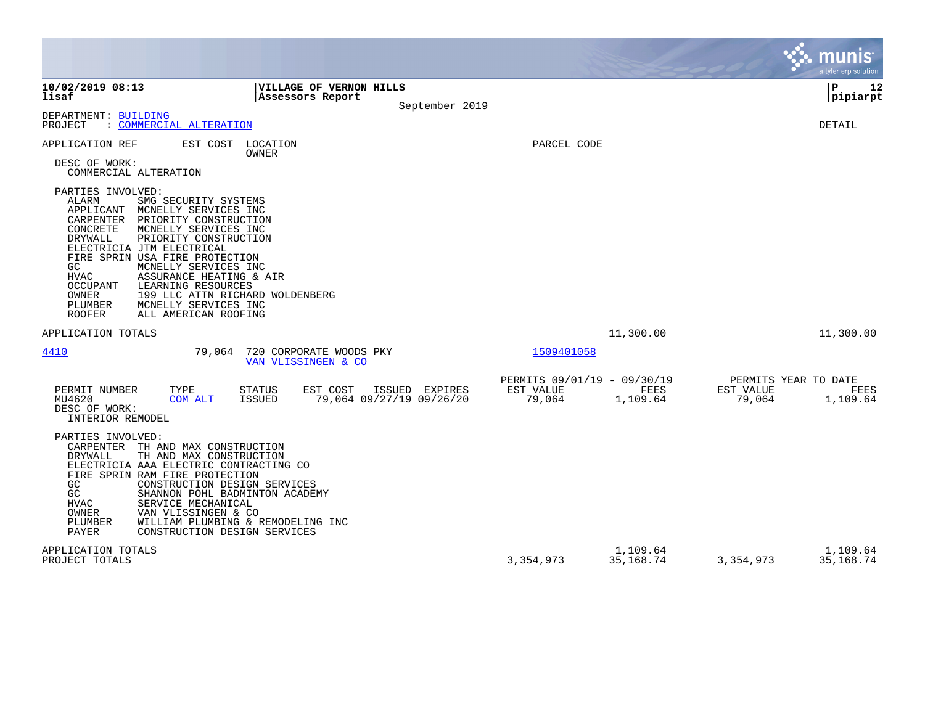|                                                                                                                                                                                                                                                                                                                                                                                                                                                                              |                                                                                             |                                         |                                 |                     | munis<br>a tyler erp solution            |
|------------------------------------------------------------------------------------------------------------------------------------------------------------------------------------------------------------------------------------------------------------------------------------------------------------------------------------------------------------------------------------------------------------------------------------------------------------------------------|---------------------------------------------------------------------------------------------|-----------------------------------------|---------------------------------|---------------------|------------------------------------------|
| 10/02/2019 08:13<br>lisaf                                                                                                                                                                                                                                                                                                                                                                                                                                                    | VILLAGE OF VERNON HILLS<br>Assessors Report<br>September 2019                               |                                         |                                 |                     | P<br>12<br> pipiarpt                     |
| DEPARTMENT: BUILDING<br>: COMMERCIAL ALTERATION<br>PROJECT                                                                                                                                                                                                                                                                                                                                                                                                                   |                                                                                             |                                         |                                 |                     | DETAIL                                   |
| APPLICATION REF<br>EST COST<br>DESC OF WORK:<br>COMMERCIAL ALTERATION<br>PARTIES INVOLVED:<br>ALARM<br>SMG SECURITY SYSTEMS<br>APPLICANT<br>MCNELLY SERVICES INC<br><b>CARPENTER</b><br>PRIORITY CONSTRUCTION<br>CONCRETE<br>MCNELLY SERVICES INC<br><b>DRYWALL</b><br>PRIORITY CONSTRUCTION<br>ELECTRICIA JTM ELECTRICAL<br>FIRE SPRIN USA FIRE PROTECTION<br>GC<br>MCNELLY SERVICES INC<br><b>HVAC</b><br>ASSURANCE HEATING & AIR<br>LEARNING RESOURCES<br><b>OCCUPANT</b> | LOCATION<br>OWNER                                                                           | PARCEL CODE                             |                                 |                     |                                          |
| OWNER<br>PLUMBER<br>MCNELLY SERVICES INC<br><b>ROOFER</b><br>ALL AMERICAN ROOFING                                                                                                                                                                                                                                                                                                                                                                                            | 199 LLC ATTN RICHARD WOLDENBERG                                                             |                                         |                                 |                     |                                          |
| APPLICATION TOTALS                                                                                                                                                                                                                                                                                                                                                                                                                                                           |                                                                                             |                                         | 11,300.00                       |                     | 11,300.00                                |
| 4410<br>79,064                                                                                                                                                                                                                                                                                                                                                                                                                                                               | 720 CORPORATE WOODS PKY<br>VAN VLISSINGEN & CO                                              | 1509401058                              |                                 |                     |                                          |
| PERMIT NUMBER<br>TYPE<br>MU4620<br>COM ALT<br>DESC OF WORK:<br>INTERIOR REMODEL                                                                                                                                                                                                                                                                                                                                                                                              | <b>STATUS</b><br>EST COST<br>ISSUED<br>EXPIRES<br><b>ISSUED</b><br>79,064 09/27/19 09/26/20 | PERMITS 09/01/19<br>EST VALUE<br>79,064 | $-09/30/19$<br>FEES<br>1,109.64 | EST VALUE<br>79,064 | PERMITS YEAR TO DATE<br>FEES<br>1,109.64 |
| PARTIES INVOLVED:<br>CARPENTER TH AND MAX CONSTRUCTION<br>DRYWALL<br>TH AND MAX CONSTRUCTION<br>ELECTRICIA AAA ELECTRIC CONTRACTING CO<br>FIRE SPRIN RAM FIRE PROTECTION<br>GC<br>CONSTRUCTION DESIGN SERVICES<br>GC<br>SHANNON POHL BADMINTON ACADEMY<br>HVAC<br>SERVICE MECHANICAL<br>OWNER<br>VAN VLISSINGEN & CO<br>PLUMBER<br><b>PAYER</b><br>CONSTRUCTION DESIGN SERVICES                                                                                              | WILLIAM PLUMBING & REMODELING INC                                                           |                                         |                                 |                     |                                          |
| APPLICATION TOTALS<br>PROJECT TOTALS                                                                                                                                                                                                                                                                                                                                                                                                                                         |                                                                                             | 3,354,973                               | 1,109.64<br>35,168.74           | 3,354,973           | 1,109.64<br>35,168.74                    |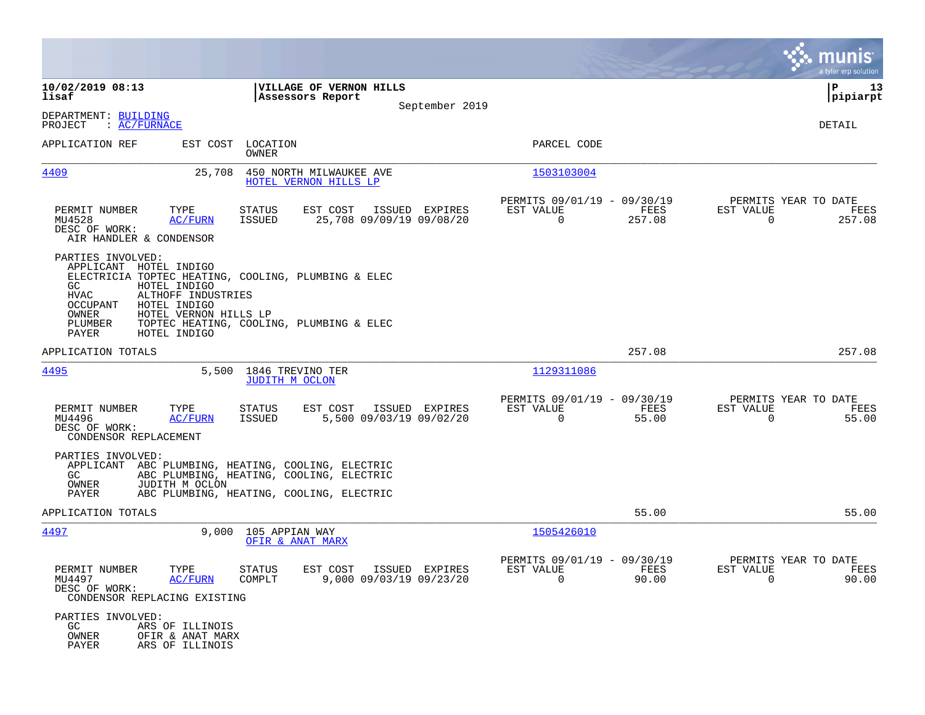|                                                                                                                                                                                                                                                           |                                                                                                                                  |                |                                                            |                |                                                     | munis<br>a tyler erp solution |
|-----------------------------------------------------------------------------------------------------------------------------------------------------------------------------------------------------------------------------------------------------------|----------------------------------------------------------------------------------------------------------------------------------|----------------|------------------------------------------------------------|----------------|-----------------------------------------------------|-------------------------------|
| 10/02/2019 08:13<br>lisaf                                                                                                                                                                                                                                 | VILLAGE OF VERNON HILLS<br>Assessors Report                                                                                      |                |                                                            |                |                                                     | 13<br>IΡ<br> pipiarpt         |
| DEPARTMENT: BUILDING<br>PROJECT<br>: AC/FURNACE                                                                                                                                                                                                           |                                                                                                                                  | September 2019 |                                                            |                |                                                     | DETAIL                        |
| APPLICATION REF                                                                                                                                                                                                                                           | EST COST LOCATION<br>OWNER                                                                                                       |                | PARCEL CODE                                                |                |                                                     |                               |
| 4409<br>25,708                                                                                                                                                                                                                                            | 450 NORTH MILWAUKEE AVE<br>HOTEL VERNON HILLS LP                                                                                 |                | 1503103004                                                 |                |                                                     |                               |
| PERMIT NUMBER<br>TYPE<br>MU4528<br>AC/FURN<br>DESC OF WORK:<br>AIR HANDLER & CONDENSOR                                                                                                                                                                    | STATUS<br>EST COST<br>25,708 09/09/19 09/08/20<br>ISSUED                                                                         | ISSUED EXPIRES | PERMITS 09/01/19 - 09/30/19<br>EST VALUE<br>$\overline{0}$ | FEES<br>257.08 | PERMITS YEAR TO DATE<br>EST VALUE<br>$\overline{0}$ | FEES<br>257.08                |
| PARTIES INVOLVED:<br>APPLICANT HOTEL INDIGO<br>ELECTRICIA TOPTEC HEATING, COOLING, PLUMBING & ELEC<br>GC.<br>HOTEL INDIGO<br>ALTHOFF INDUSTRIES<br>HVAC<br>HOTEL INDIGO<br>OCCUPANT<br>OWNER<br>HOTEL VERNON HILLS LP<br>PLUMBER<br>PAYER<br>HOTEL INDIGO | TOPTEC HEATING, COOLING, PLUMBING & ELEC                                                                                         |                |                                                            |                |                                                     |                               |
| APPLICATION TOTALS                                                                                                                                                                                                                                        |                                                                                                                                  |                |                                                            | 257.08         |                                                     | 257.08                        |
| 4495                                                                                                                                                                                                                                                      | 5,500 1846 TREVINO TER<br>JUDITH M OCLON                                                                                         |                | 1129311086                                                 |                |                                                     |                               |
| PERMIT NUMBER<br>TYPE<br>MU4496<br>AC/FURN<br>DESC OF WORK:<br>CONDENSOR REPLACEMENT                                                                                                                                                                      | EST COST<br>STATUS<br>5,500 09/03/19 09/02/20<br>ISSUED                                                                          | ISSUED EXPIRES | PERMITS 09/01/19 - 09/30/19<br>EST VALUE<br>$\Omega$       | FEES<br>55.00  | PERMITS YEAR TO DATE<br>EST VALUE<br>0              | FEES<br>55.00                 |
| PARTIES INVOLVED:<br>APPLICANT<br>GC.<br>JUDITH M OCLON<br>OWNER<br>PAYER                                                                                                                                                                                 | ABC PLUMBING, HEATING, COOLING, ELECTRIC<br>ABC PLUMBING, HEATING, COOLING, ELECTRIC<br>ABC PLUMBING, HEATING, COOLING, ELECTRIC |                |                                                            |                |                                                     |                               |
| APPLICATION TOTALS                                                                                                                                                                                                                                        |                                                                                                                                  |                |                                                            | 55.00          |                                                     | 55.00                         |
| 4497                                                                                                                                                                                                                                                      | 9,000 105 APPIAN WAY<br>OFIR & ANAT MARX                                                                                         |                | 1505426010                                                 |                |                                                     |                               |
| PERMIT NUMBER<br>TYPE<br>MU4497<br>AC/FURN<br>DESC OF WORK:<br>CONDENSOR REPLACING EXISTING                                                                                                                                                               | STATUS<br>EST COST ISSUED EXPIRES<br>9,000 09/03/19 09/23/20<br>COMPLT                                                           |                | PERMITS 09/01/19 - 09/30/19<br>EST VALUE<br>$\Omega$       | FEES<br>90.00  | PERMITS YEAR TO DATE<br>EST VALUE<br>$\Omega$       | FEES<br>90.00                 |
| PARTIES INVOLVED:<br>ARS OF ILLINOIS<br>GC<br>OWNER<br>OFIR & ANAT MARX<br>PAYER<br>ARS OF ILLINOIS                                                                                                                                                       |                                                                                                                                  |                |                                                            |                |                                                     |                               |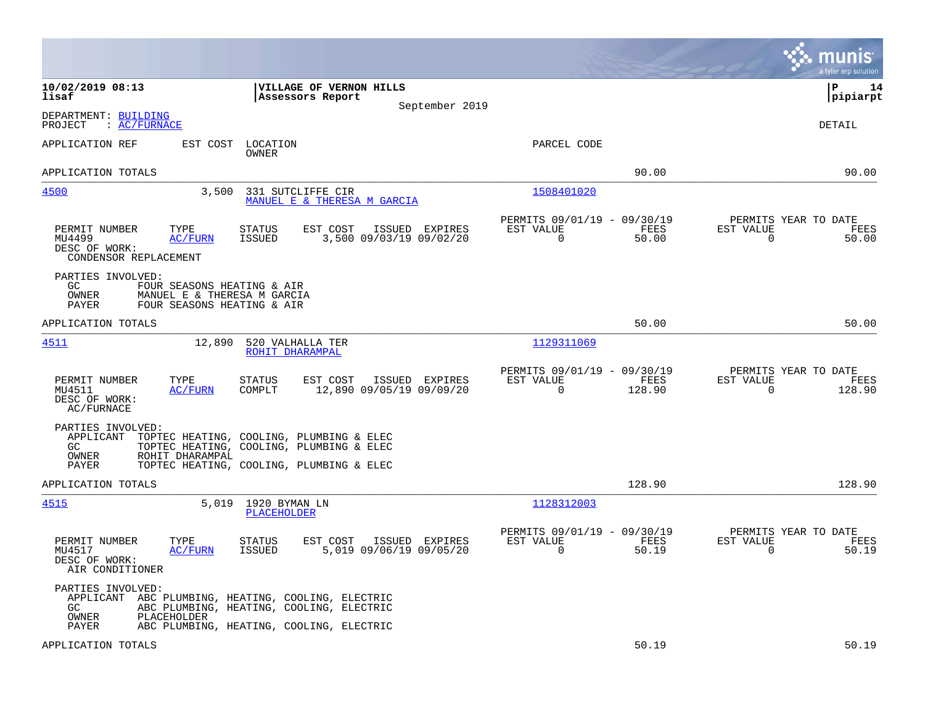|                                                                                                                                                                                                               |                                            |                                                      |                |                                                  | munis<br>a tyler erp solution |
|---------------------------------------------------------------------------------------------------------------------------------------------------------------------------------------------------------------|--------------------------------------------|------------------------------------------------------|----------------|--------------------------------------------------|-------------------------------|
| 10/02/2019 08:13<br>VILLAGE OF VERNON HILLS<br>lisaf<br>Assessors Report                                                                                                                                      | September 2019                             |                                                      |                |                                                  | l P<br>14<br> pipiarpt        |
| DEPARTMENT: BUILDING<br>: <u>AC/FURNACE</u><br>PROJECT                                                                                                                                                        |                                            |                                                      |                |                                                  | <b>DETAIL</b>                 |
| APPLICATION REF<br>EST COST<br>LOCATION<br>OWNER                                                                                                                                                              |                                            | PARCEL CODE                                          |                |                                                  |                               |
| APPLICATION TOTALS                                                                                                                                                                                            |                                            |                                                      | 90.00          |                                                  | 90.00                         |
| 4500<br>3,500<br>331 SUTCLIFFE CIR<br>MANUEL E & THERESA M GARCIA                                                                                                                                             |                                            | 1508401020                                           |                |                                                  |                               |
| EST COST<br>PERMIT NUMBER<br>TYPE<br><b>STATUS</b><br><b>AC/FURN</b><br>ISSUED<br>MU4499<br>DESC OF WORK:<br>CONDENSOR REPLACEMENT                                                                            | ISSUED EXPIRES<br>3,500 09/03/19 09/02/20  | PERMITS 09/01/19 - 09/30/19<br>EST VALUE<br>0        | FEES<br>50.00  | PERMITS YEAR TO DATE<br>EST VALUE<br>0           | FEES<br>50.00                 |
| PARTIES INVOLVED:<br>GC.<br>FOUR SEASONS HEATING & AIR<br>OWNER<br>MANUEL E & THERESA M GARCIA<br>FOUR SEASONS HEATING & AIR<br>PAYER                                                                         |                                            |                                                      |                |                                                  |                               |
| APPLICATION TOTALS                                                                                                                                                                                            |                                            |                                                      | 50.00          |                                                  | 50.00                         |
| 4511<br>12,890<br>520 VALHALLA TER<br>ROHIT DHARAMPAL                                                                                                                                                         |                                            | 1129311069                                           |                |                                                  |                               |
| PERMIT NUMBER<br>TYPE<br><b>STATUS</b><br>EST COST<br><b>AC/FURN</b><br>COMPLT<br>MU4511<br>DESC OF WORK:<br>AC/FURNACE                                                                                       | ISSUED EXPIRES<br>12,890 09/05/19 09/09/20 | PERMITS 09/01/19 - 09/30/19<br>EST VALUE<br>$\Omega$ | FEES<br>128.90 | PERMITS YEAR TO DATE<br>EST VALUE<br>$\Omega$    | FEES<br>128.90                |
| PARTIES INVOLVED:<br>APPLICANT<br>TOPTEC HEATING, COOLING, PLUMBING & ELEC<br>TOPTEC HEATING, COOLING, PLUMBING & ELEC<br>GC<br>OWNER<br>ROHIT DHARAMPAL<br>PAYER<br>TOPTEC HEATING, COOLING, PLUMBING & ELEC |                                            |                                                      |                |                                                  |                               |
| APPLICATION TOTALS                                                                                                                                                                                            |                                            |                                                      | 128.90         |                                                  | 128.90                        |
| <u>4515</u><br>5,019<br>1920 BYMAN LN<br>PLACEHOLDER                                                                                                                                                          |                                            | 1128312003                                           |                |                                                  |                               |
| PERMIT NUMBER<br>TYPE<br><b>STATUS</b><br>EST COST<br>MU4517<br>AC/FURN<br>ISSUED<br>DESC OF WORK:<br>AIR CONDITIONER                                                                                         | ISSUED EXPIRES<br>5,019 09/06/19 09/05/20  | PERMITS 09/01/19 - 09/30/19<br>EST VALUE<br>$\Omega$ | FEES<br>50.19  | PERMITS YEAR TO DATE<br>EST VALUE<br>$\mathbf 0$ | FEES<br>50.19                 |
| PARTIES INVOLVED:<br>APPLICANT ABC PLUMBING, HEATING, COOLING, ELECTRIC<br>GC.<br>ABC PLUMBING, HEATING, COOLING, ELECTRIC<br>OWNER<br>PLACEHOLDER<br>PAYER<br>ABC PLUMBING, HEATING, COOLING, ELECTRIC       |                                            |                                                      |                |                                                  |                               |
| APPLICATION TOTALS                                                                                                                                                                                            |                                            |                                                      | 50.19          |                                                  | 50.19                         |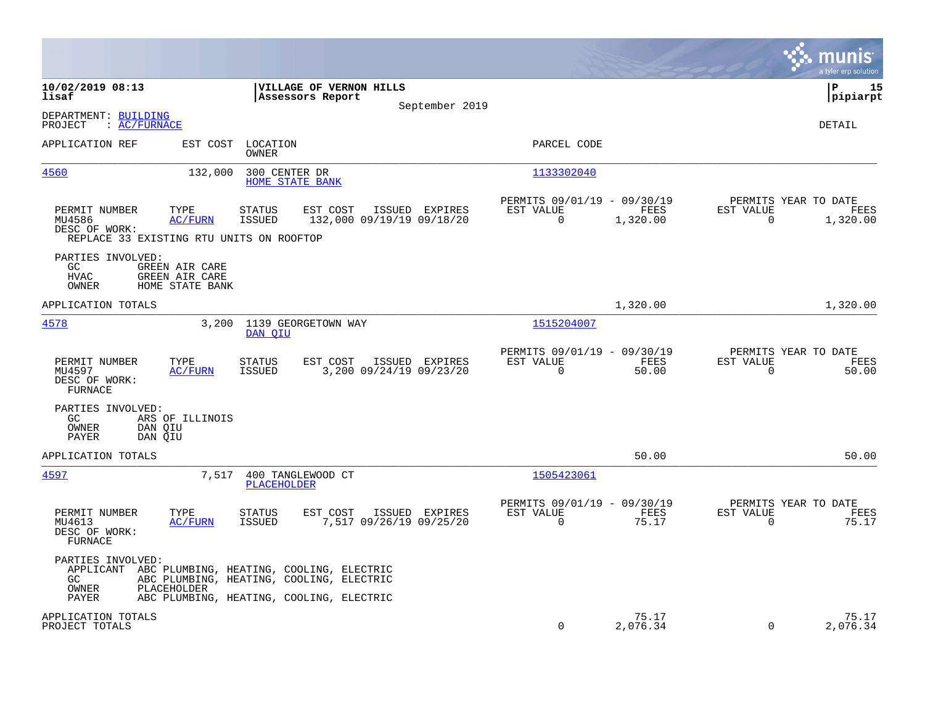|                                                                                                                |                                                                                           |                                                                       | munis<br>a tyler erp solution                                        |
|----------------------------------------------------------------------------------------------------------------|-------------------------------------------------------------------------------------------|-----------------------------------------------------------------------|----------------------------------------------------------------------|
| 10/02/2019 08:13<br>lisaf                                                                                      | VILLAGE OF VERNON HILLS<br>Assessors Report<br>September 2019                             |                                                                       | P<br>15<br> pipiarpt                                                 |
| DEPARTMENT: BUILDING<br>PROJECT<br>: <u>AC/FURNACE</u>                                                         |                                                                                           |                                                                       | DETAIL                                                               |
| APPLICATION REF<br>EST COST                                                                                    | LOCATION<br>OWNER                                                                         | PARCEL CODE                                                           |                                                                      |
| 4560<br>132,000                                                                                                | 300 CENTER DR<br><b>HOME STATE BANK</b>                                                   | 1133302040                                                            |                                                                      |
| PERMIT NUMBER<br>TYPE<br>MU4586<br><u>AC/FURN</u><br>DESC OF WORK:<br>REPLACE 33 EXISTING RTU UNITS ON ROOFTOP | <b>STATUS</b><br>EST COST<br>ISSUED EXPIRES<br><b>ISSUED</b><br>132,000 09/19/19 09/18/20 | PERMITS 09/01/19 - 09/30/19<br>EST VALUE<br>FEES<br>0<br>1,320.00     | PERMITS YEAR TO DATE<br>EST VALUE<br>FEES<br>$\mathbf 0$<br>1,320.00 |
| PARTIES INVOLVED:<br>GC<br>GREEN AIR CARE<br>HVAC<br>GREEN AIR CARE<br>OWNER<br>HOME STATE BANK                |                                                                                           |                                                                       |                                                                      |
| APPLICATION TOTALS                                                                                             |                                                                                           | 1,320.00                                                              | 1,320.00                                                             |
| 4578<br>3,200                                                                                                  | 1139 GEORGETOWN WAY<br>DAN OIU                                                            | 1515204007                                                            |                                                                      |
| PERMIT NUMBER<br>TYPE<br>MU4597<br><b>AC/FURN</b><br>DESC OF WORK:<br><b>FURNACE</b>                           | <b>STATUS</b><br>EST COST<br>ISSUED EXPIRES<br>ISSUED<br>3,200 09/24/19 09/23/20          | PERMITS 09/01/19 - 09/30/19<br>EST VALUE<br>FEES<br>$\Omega$<br>50.00 | PERMITS YEAR TO DATE<br>EST VALUE<br>FEES<br>$\Omega$<br>50.00       |
| PARTIES INVOLVED:<br>ARS OF ILLINOIS<br>GC.<br>DAN OIU<br>OWNER<br>PAYER<br>DAN QIU                            |                                                                                           |                                                                       |                                                                      |
| APPLICATION TOTALS                                                                                             |                                                                                           | 50.00                                                                 | 50.00                                                                |
| 4597<br>7,517                                                                                                  | 400 TANGLEWOOD CT<br><b>PLACEHOLDER</b>                                                   | 1505423061                                                            |                                                                      |
| PERMIT NUMBER<br>TYPE<br><b>AC/FURN</b><br>MU4613<br>DESC OF WORK:<br>FURNACE                                  | EST COST<br><b>STATUS</b><br>ISSUED EXPIRES<br><b>ISSUED</b><br>7,517 09/26/19 09/25/20   | PERMITS 09/01/19 - 09/30/19<br>EST VALUE<br>FEES<br>$\Omega$<br>75.17 | PERMITS YEAR TO DATE<br>EST VALUE<br>FEES<br>75.17<br>$\Omega$       |
| PARTIES INVOLVED:<br>APPLICANT ABC PLUMBING, HEATING, COOLING, ELECTRIC<br>GC<br>OWNER<br>PLACEHOLDER<br>PAYER | ABC PLUMBING, HEATING, COOLING, ELECTRIC<br>ABC PLUMBING, HEATING, COOLING, ELECTRIC      |                                                                       |                                                                      |
| APPLICATION TOTALS<br>PROJECT TOTALS                                                                           |                                                                                           | 75.17<br>$\mathbf 0$<br>2,076.34                                      | 75.17<br>$\Omega$<br>2,076.34                                        |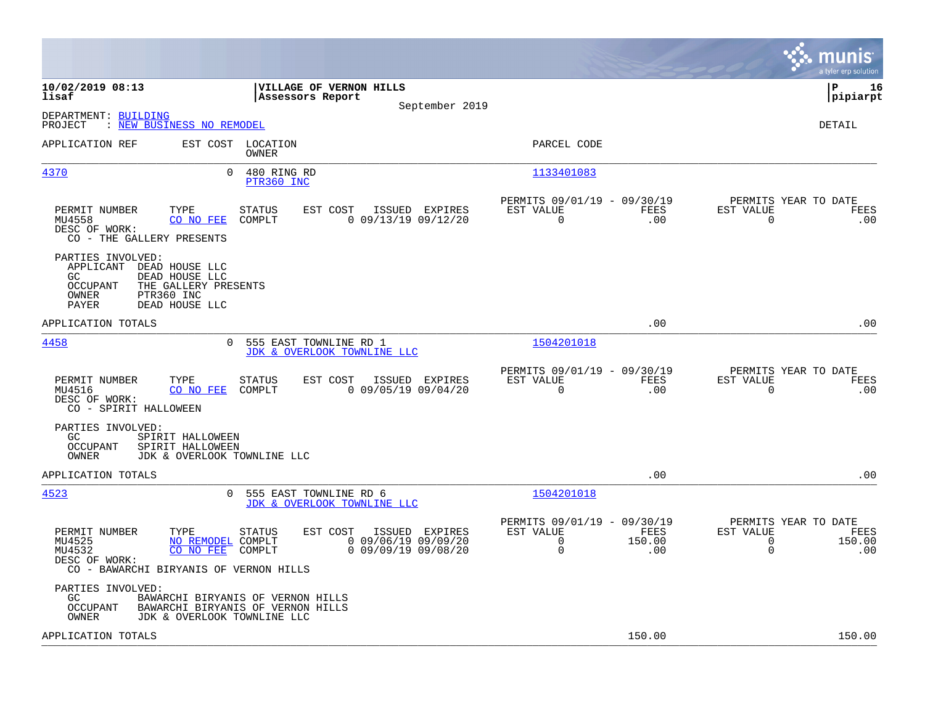|                                                                                                                                                                |                                                                                                  |                                                                     |                       | munis<br>a tyler erp solution                                                            |
|----------------------------------------------------------------------------------------------------------------------------------------------------------------|--------------------------------------------------------------------------------------------------|---------------------------------------------------------------------|-----------------------|------------------------------------------------------------------------------------------|
| 10/02/2019 08:13<br>lisaf                                                                                                                                      | VILLAGE OF VERNON HILLS<br>Assessors Report<br>September 2019                                    |                                                                     |                       | lР<br>16<br> pipiarpt                                                                    |
| DEPARTMENT: BUILDING<br>: NEW BUSINESS NO REMODEL<br>PROJECT                                                                                                   |                                                                                                  |                                                                     |                       | DETAIL                                                                                   |
| APPLICATION REF                                                                                                                                                | EST COST LOCATION<br>OWNER                                                                       | PARCEL CODE                                                         |                       |                                                                                          |
| 4370<br>$\Omega$                                                                                                                                               | 480 RING RD<br>PTR360 INC                                                                        | 1133401083                                                          |                       |                                                                                          |
| PERMIT NUMBER<br>TYPE<br>MU4558<br>CO NO FEE<br>DESC OF WORK:<br>CO - THE GALLERY PRESENTS                                                                     | EST COST<br><b>STATUS</b><br>ISSUED EXPIRES<br>COMPLT<br>$0$ 09/13/19 09/12/20                   | PERMITS 09/01/19 - 09/30/19<br>EST VALUE<br>$\mathbf 0$             | FEES<br>.00           | PERMITS YEAR TO DATE<br>EST VALUE<br>FEES<br>$\overline{0}$<br>.00                       |
| PARTIES INVOLVED:<br>APPLICANT<br>DEAD HOUSE LLC<br>GC<br>DEAD HOUSE LLC<br>THE GALLERY PRESENTS<br>OCCUPANT<br>PTR360 INC<br>OWNER<br>DEAD HOUSE LLC<br>PAYER |                                                                                                  |                                                                     |                       |                                                                                          |
| APPLICATION TOTALS                                                                                                                                             |                                                                                                  |                                                                     | .00                   | .00                                                                                      |
| 4458                                                                                                                                                           | 0 555 EAST TOWNLINE RD 1<br>JDK & OVERLOOK TOWNLINE LLC                                          | 1504201018                                                          |                       |                                                                                          |
| PERMIT NUMBER<br>TYPE<br>MU4516<br>CO NO FEE<br>DESC OF WORK:<br>CO - SPIRIT HALLOWEEN                                                                         | <b>STATUS</b><br>EST COST<br>ISSUED EXPIRES<br>COMPLT<br>$0$ 09/05/19 09/04/20                   | PERMITS 09/01/19 - 09/30/19<br>EST VALUE<br>$\Omega$                | FEES<br>.00           | PERMITS YEAR TO DATE<br>EST VALUE<br>FEES<br>$\Omega$<br>.00                             |
| PARTIES INVOLVED:<br>GC<br>SPIRIT HALLOWEEN<br>OCCUPANT<br>SPIRIT HALLOWEEN<br><b>OWNER</b><br>JDK & OVERLOOK TOWNLINE LLC                                     |                                                                                                  |                                                                     |                       |                                                                                          |
| APPLICATION TOTALS                                                                                                                                             |                                                                                                  |                                                                     | .00                   | .00                                                                                      |
| 4523<br>$\mathbf{0}$                                                                                                                                           | 555 EAST TOWNLINE RD 6<br>JDK & OVERLOOK TOWNLINE LLC                                            | 1504201018                                                          |                       |                                                                                          |
| PERMIT NUMBER<br>TYPE<br>MU4525<br>NO REMODEL COMPLT<br>MU4532<br>CO NO FEE<br>DESC OF WORK:<br>CO - BAWARCHI BIRYANIS OF VERNON HILLS                         | EST COST<br>ISSUED EXPIRES<br>STATUS<br>$0$ 09/06/19 09/09/20<br>$0$ 09/09/19 09/08/20<br>COMPLT | PERMITS 09/01/19 - 09/30/19<br>EST VALUE<br>$\Omega$<br>$\mathbf 0$ | FEES<br>150.00<br>.00 | PERMITS YEAR TO DATE<br>EST VALUE<br>FEES<br>$\mathbf 0$<br>150.00<br>$\mathbf 0$<br>.00 |
| PARTIES INVOLVED:<br>GC<br>OCCUPANT<br>OWNER<br>JDK & OVERLOOK TOWNLINE LLC                                                                                    | BAWARCHI BIRYANIS OF VERNON HILLS<br>BAWARCHI BIRYANIS OF VERNON HILLS                           |                                                                     |                       |                                                                                          |
| APPLICATION TOTALS                                                                                                                                             |                                                                                                  |                                                                     | 150.00                | 150.00                                                                                   |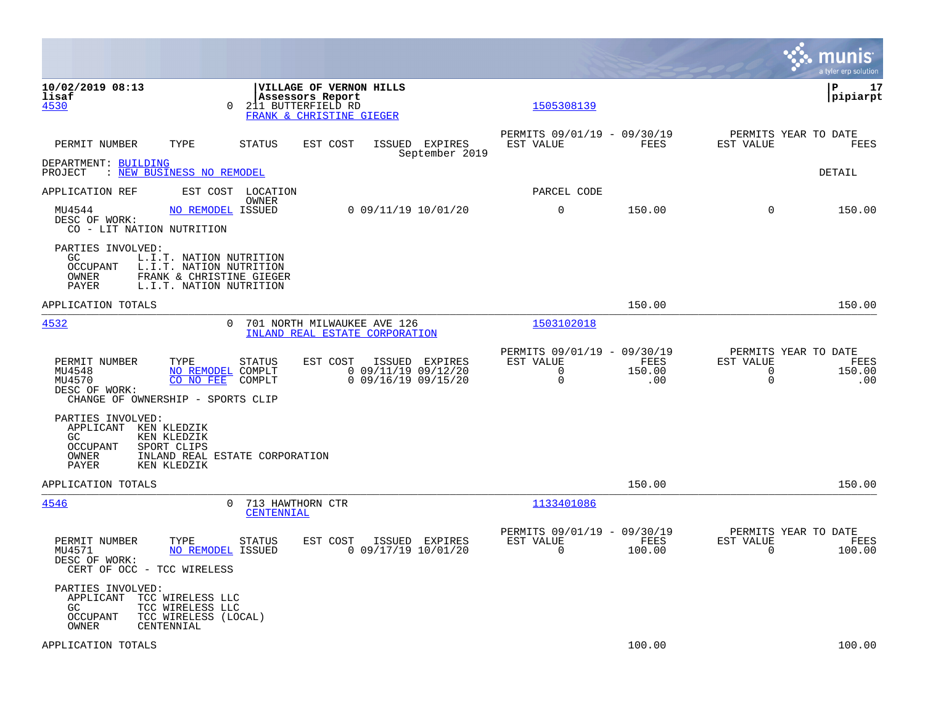|                                                                                       |                                                                                                           |                                                                                                       |                                                |                                  |                                                                     |                       |                               | munis<br>a tyler erp solution                 |
|---------------------------------------------------------------------------------------|-----------------------------------------------------------------------------------------------------------|-------------------------------------------------------------------------------------------------------|------------------------------------------------|----------------------------------|---------------------------------------------------------------------|-----------------------|-------------------------------|-----------------------------------------------|
| 10/02/2019 08:13<br>lisaf<br>4530                                                     | $\Omega$                                                                                                  | <b> VILLAGE OF VERNON HILLS</b><br>Assessors Report<br>211 BUTTERFIELD RD<br>FRANK & CHRISTINE GIEGER |                                                |                                  | 1505308139                                                          |                       |                               | lР<br>17<br> pipiarpt                         |
| PERMIT NUMBER                                                                         | TYPE<br><b>STATUS</b>                                                                                     | EST COST                                                                                              |                                                | ISSUED EXPIRES<br>September 2019 | PERMITS 09/01/19 - 09/30/19<br>EST VALUE                            | FEES                  | EST VALUE                     | PERMITS YEAR TO DATE<br>FEES                  |
| DEPARTMENT: BUILDING<br>PROJECT                                                       | : NEW BUSINESS NO REMODEL                                                                                 |                                                                                                       |                                                |                                  |                                                                     |                       |                               | <b>DETAIL</b>                                 |
| APPLICATION REF                                                                       | EST COST LOCATION                                                                                         | OWNER                                                                                                 |                                                |                                  | PARCEL CODE                                                         |                       |                               |                                               |
| MU4544<br>DESC OF WORK:<br>CO - LIT NATION NUTRITION                                  | NO REMODEL ISSUED                                                                                         |                                                                                                       | $0$ 09/11/19 10/01/20                          |                                  | $\mathbf 0$                                                         | 150.00                | $\Omega$                      | 150.00                                        |
| PARTIES INVOLVED:<br>GC<br><b>OCCUPANT</b><br>OWNER<br>PAYER                          | L.I.T. NATION NUTRITION<br>L.I.T. NATION NUTRITION<br>FRANK & CHRISTINE GIEGER<br>L.I.T. NATION NUTRITION |                                                                                                       |                                                |                                  |                                                                     |                       |                               |                                               |
| APPLICATION TOTALS                                                                    |                                                                                                           |                                                                                                       |                                                |                                  |                                                                     | 150.00                |                               | 150.00                                        |
| 4532                                                                                  | 0                                                                                                         | 701 NORTH MILWAUKEE AVE 126<br>INLAND REAL ESTATE CORPORATION                                         |                                                |                                  | 1503102018                                                          |                       |                               |                                               |
| PERMIT NUMBER<br>MU4548<br>MU4570<br>DESC OF WORK:                                    | TYPE<br><b>STATUS</b><br>NO REMODEL COMPLT<br>CO NO FEE<br>COMPLT<br>CHANGE OF OWNERSHIP - SPORTS CLIP    | EST COST                                                                                              | $0$ 09/11/19 09/12/20<br>$0$ 09/16/19 09/15/20 | ISSUED EXPIRES                   | PERMITS 09/01/19 - 09/30/19<br>EST VALUE<br>$\Omega$<br>$\mathbf 0$ | FEES<br>150.00<br>.00 | EST VALUE<br>0<br>$\mathbf 0$ | PERMITS YEAR TO DATE<br>FEES<br>150.00<br>.00 |
| PARTIES INVOLVED:<br>APPLICANT KEN KLEDZIK<br>GC<br><b>OCCUPANT</b><br>OWNER<br>PAYER | KEN KLEDZIK<br>SPORT CLIPS<br>INLAND REAL ESTATE CORPORATION<br>KEN KLEDZIK                               |                                                                                                       |                                                |                                  |                                                                     |                       |                               |                                               |
| APPLICATION TOTALS                                                                    |                                                                                                           |                                                                                                       |                                                |                                  |                                                                     | 150.00                |                               | 150.00                                        |
| 4546                                                                                  | 0                                                                                                         | 713 HAWTHORN CTR<br>CENTENNIAL                                                                        |                                                |                                  | 1133401086                                                          |                       |                               |                                               |
| PERMIT NUMBER<br>MU4571<br>DESC OF WORK:<br>CERT OF OCC - TCC WIRELESS                | TYPE<br><b>STATUS</b><br>NO REMODEL ISSUED                                                                | EST COST                                                                                              | $0$ 09/17/19 10/01/20                          | ISSUED EXPIRES                   | PERMITS 09/01/19 - 09/30/19<br>EST VALUE<br>$\mathbf 0$             | FEES<br>100.00        | EST VALUE<br>$\mathbf 0$      | PERMITS YEAR TO DATE<br>FEES<br>100.00        |
| PARTIES INVOLVED:<br>APPLICANT<br>GC<br><b>OCCUPANT</b><br>OWNER                      | TCC WIRELESS LLC<br>TCC WIRELESS LLC<br>TCC WIRELESS (LOCAL)<br>CENTENNIAL                                |                                                                                                       |                                                |                                  |                                                                     |                       |                               |                                               |
| APPLICATION TOTALS                                                                    |                                                                                                           |                                                                                                       |                                                |                                  |                                                                     | 100.00                |                               | 100.00                                        |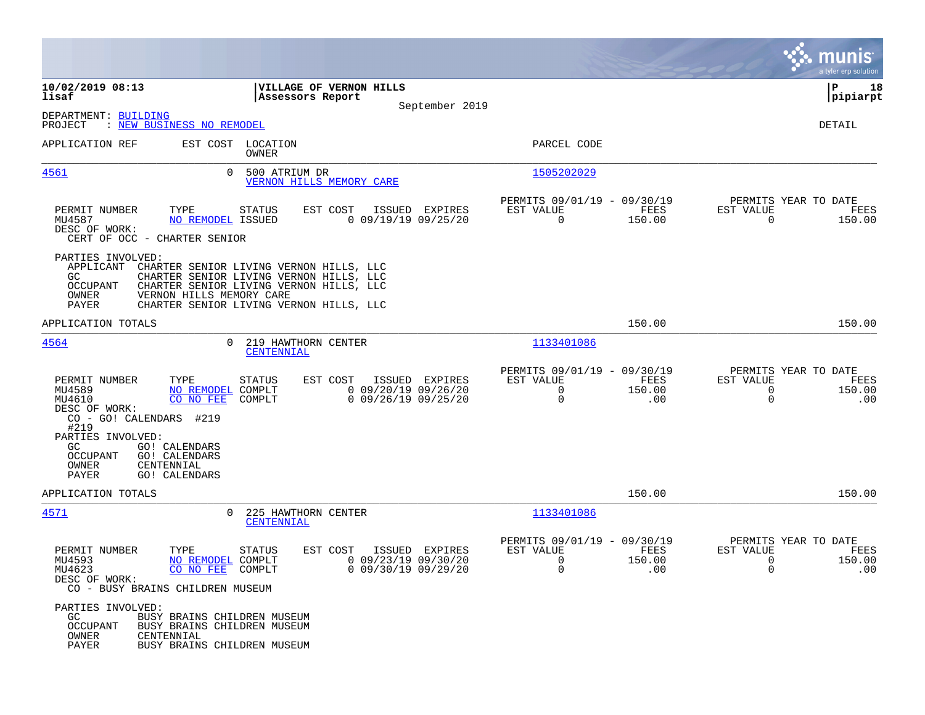|                                                                                                                               |                                                                                                                   |                                                                                                                                                                          |                                                                  |                                                              |                       |                                                                 | munis<br>a tyler erp solution |
|-------------------------------------------------------------------------------------------------------------------------------|-------------------------------------------------------------------------------------------------------------------|--------------------------------------------------------------------------------------------------------------------------------------------------------------------------|------------------------------------------------------------------|--------------------------------------------------------------|-----------------------|-----------------------------------------------------------------|-------------------------------|
| 10/02/2019 08:13<br>lisaf                                                                                                     |                                                                                                                   | VILLAGE OF VERNON HILLS<br>Assessors Report                                                                                                                              | September 2019                                                   |                                                              |                       |                                                                 | ΙP<br>18<br> pipiarpt         |
| DEPARTMENT: BUILDING<br>PROJECT                                                                                               | : NEW BUSINESS NO REMODEL                                                                                         |                                                                                                                                                                          |                                                                  |                                                              |                       |                                                                 | DETAIL                        |
| APPLICATION REF                                                                                                               | EST COST LOCATION<br>OWNER                                                                                        |                                                                                                                                                                          |                                                                  | PARCEL CODE                                                  |                       |                                                                 |                               |
| 4561                                                                                                                          | $\Omega$                                                                                                          | 500 ATRIUM DR<br>VERNON HILLS MEMORY CARE                                                                                                                                |                                                                  | 1505202029                                                   |                       |                                                                 |                               |
| PERMIT NUMBER<br>MU4587<br>DESC OF WORK:<br>CERT OF OCC - CHARTER SENIOR                                                      | TYPE<br><b>STATUS</b><br><b>NO REMODEL ISSUED</b>                                                                 | EST COST                                                                                                                                                                 | ISSUED EXPIRES<br>$0$ 09/19/19 09/25/20                          | PERMITS 09/01/19 - 09/30/19<br>EST VALUE<br>$\Omega$         | FEES<br>150.00        | PERMITS YEAR TO DATE<br>EST VALUE<br>$\Omega$                   | FEES<br>150.00                |
| PARTIES INVOLVED:<br>APPLICANT<br>GC.<br>OCCUPANT<br>OWNER<br>PAYER                                                           | VERNON HILLS MEMORY CARE                                                                                          | CHARTER SENIOR LIVING VERNON HILLS, LLC<br>CHARTER SENIOR LIVING VERNON HILLS, LLC<br>CHARTER SENIOR LIVING VERNON HILLS, LLC<br>CHARTER SENIOR LIVING VERNON HILLS, LLC |                                                                  |                                                              |                       |                                                                 |                               |
| APPLICATION TOTALS                                                                                                            |                                                                                                                   |                                                                                                                                                                          |                                                                  |                                                              | 150.00                |                                                                 | 150.00                        |
| 4564                                                                                                                          | $\Omega$                                                                                                          | 219 HAWTHORN CENTER<br>CENTENNIAL                                                                                                                                        |                                                                  | 1133401086                                                   |                       |                                                                 |                               |
| PERMIT NUMBER<br>MU4589<br>MU4610<br>DESC OF WORK:<br>CO - GO! CALENDARS #219<br>#219<br>PARTIES INVOLVED:<br>GC.<br>OCCUPANT | TYPE<br><b>STATUS</b><br>NO REMODEL COMPLT<br>CO NO FEE<br>COMPLT<br><b>GO! CALENDARS</b><br><b>GO! CALENDARS</b> | EST COST                                                                                                                                                                 | ISSUED EXPIRES<br>$0$ 09/20/19 09/26/20<br>$0$ 09/26/19 09/25/20 | PERMITS 09/01/19 - 09/30/19<br>EST VALUE<br>$\mathbf 0$<br>0 | FEES<br>150.00<br>.00 | PERMITS YEAR TO DATE<br>EST VALUE<br>$\mathbf 0$<br>$\mathbf 0$ | FEES<br>150.00<br>.00         |
| OWNER<br>PAYER                                                                                                                | CENTENNIAL<br><b>GO! CALENDARS</b>                                                                                |                                                                                                                                                                          |                                                                  |                                                              |                       |                                                                 |                               |
| APPLICATION TOTALS                                                                                                            |                                                                                                                   |                                                                                                                                                                          |                                                                  |                                                              | 150.00                |                                                                 | 150.00                        |
| 4571                                                                                                                          | $\mathbf{0}$                                                                                                      | 225 HAWTHORN CENTER<br>CENTENNIAL                                                                                                                                        |                                                                  | 1133401086                                                   |                       |                                                                 |                               |
| PERMIT NUMBER<br>MU4593<br>MU4623<br>DESC OF WORK:                                                                            | TYPE<br><b>STATUS</b><br>NO REMODEL COMPLT<br>CO NO FEE COMPLT<br>CO - BUSY BRAINS CHILDREN MUSEUM                | EST COST                                                                                                                                                                 | ISSUED EXPIRES<br>$0$ 09/23/19 09/30/20<br>0 09/30/19 09/29/20   | PERMITS 09/01/19 - 09/30/19<br>EST VALUE<br>0<br>0           | FEES<br>150.00<br>.00 | PERMITS YEAR TO DATE<br>EST VALUE<br>0<br>0                     | FEES<br>150.00<br>.00         |
| PARTIES INVOLVED:<br>GC<br><b>OCCUPANT</b><br>OWNER<br>PAYER                                                                  | BUSY BRAINS CHILDREN MUSEUM<br>BUSY BRAINS CHILDREN MUSEUM<br>CENTENNIAL<br>BUSY BRAINS CHILDREN MUSEUM           |                                                                                                                                                                          |                                                                  |                                                              |                       |                                                                 |                               |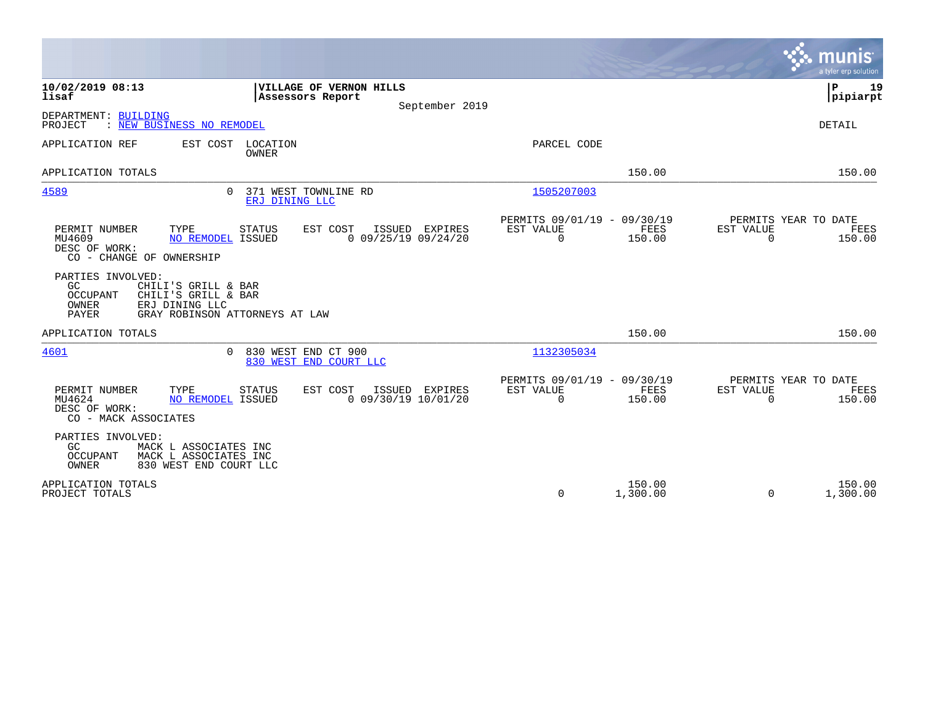|                                                                                                                                                         |                                                               |                                                                           | munis<br>a tyler erp solution                                      |
|---------------------------------------------------------------------------------------------------------------------------------------------------------|---------------------------------------------------------------|---------------------------------------------------------------------------|--------------------------------------------------------------------|
| 10/02/2019 08:13<br>lisaf                                                                                                                               | VILLAGE OF VERNON HILLS<br>Assessors Report<br>September 2019 |                                                                           | P<br>19<br> pipiarpt                                               |
| DEPARTMENT: BUILDING<br>: NEW BUSINESS NO REMODEL<br>PROJECT                                                                                            |                                                               |                                                                           | <b>DETAIL</b>                                                      |
| APPLICATION REF<br>EST COST<br>LOCATION<br>OWNER                                                                                                        |                                                               | PARCEL CODE                                                               |                                                                    |
| APPLICATION TOTALS                                                                                                                                      |                                                               | 150.00                                                                    | 150.00                                                             |
| 4589<br>$\Omega$                                                                                                                                        | 371 WEST TOWNLINE RD<br>ERJ DINING LLC                        | 1505207003                                                                |                                                                    |
| PERMIT NUMBER<br>TYPE<br><b>STATUS</b><br>MU4609<br><b>NO REMODEL ISSUED</b><br>DESC OF WORK:<br>CO - CHANGE OF OWNERSHIP                               | EST COST<br>ISSUED EXPIRES<br>$0$ 09/25/19 09/24/20           | PERMITS 09/01/19 - 09/30/19<br>EST VALUE<br>FEES<br>$\mathbf 0$<br>150.00 | PERMITS YEAR TO DATE<br>EST VALUE<br>FEES<br>$\Omega$<br>150.00    |
| PARTIES INVOLVED:<br>GC<br>CHILI'S GRILL & BAR<br>OCCUPANT<br>CHILI'S GRILL & BAR<br>OWNER<br>ERJ DINING LLC<br>PAYER<br>GRAY ROBINSON ATTORNEYS AT LAW |                                                               |                                                                           |                                                                    |
| APPLICATION TOTALS                                                                                                                                      |                                                               | 150.00                                                                    | 150.00                                                             |
| 4601<br>$\Omega$                                                                                                                                        | 830 WEST END CT 900<br>830 WEST END COURT LLC                 | 1132305034                                                                |                                                                    |
| PERMIT NUMBER<br>TYPE<br>STATUS<br><b>NO REMODEL ISSUED</b><br>MU4624<br>DESC OF WORK:<br>CO - MACK ASSOCIATES                                          | EST COST<br>ISSUED EXPIRES<br>$0$ 09/30/19 10/01/20           | PERMITS 09/01/19 - 09/30/19<br>EST VALUE<br>FEES<br>0<br>150.00           | PERMITS YEAR TO DATE<br>EST VALUE<br>FEES<br>$\mathbf 0$<br>150.00 |
| PARTIES INVOLVED:<br>GC<br>MACK L ASSOCIATES INC<br>OCCUPANT<br>MACK L ASSOCIATES INC<br>OWNER<br>830 WEST END COURT LLC                                |                                                               |                                                                           |                                                                    |
| APPLICATION TOTALS<br>PROJECT TOTALS                                                                                                                    |                                                               | 150.00<br>0<br>1,300.00                                                   | 150.00<br>1,300.00<br>$\Omega$                                     |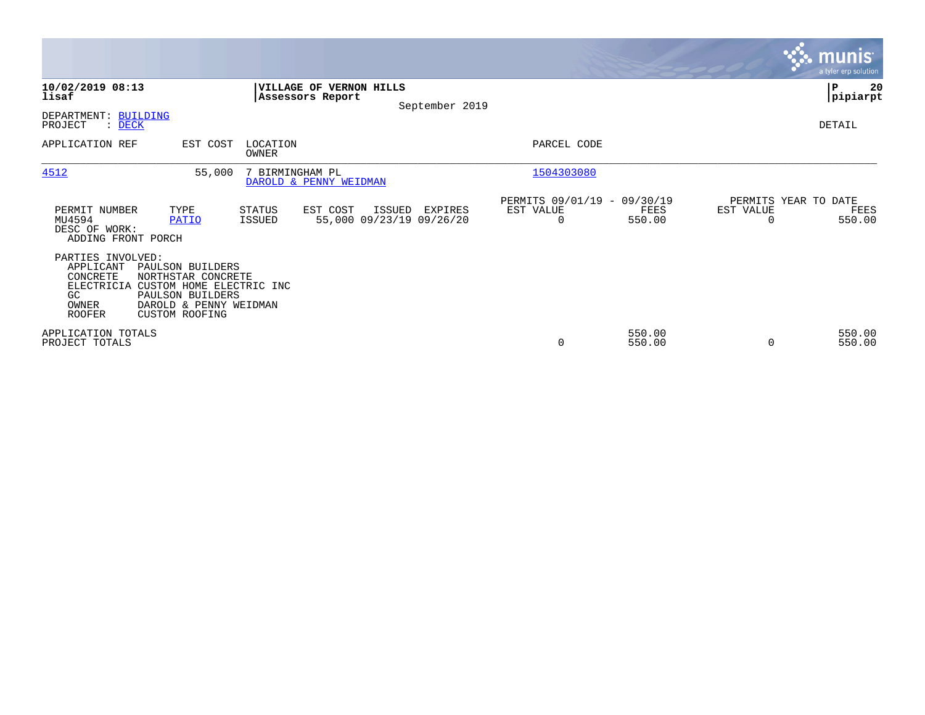|                                                                                          |                                                                                                                                           |                   |                                             |        |                                     |                                                      |                  |           | <b>munis</b><br>a tyler erp solution   |
|------------------------------------------------------------------------------------------|-------------------------------------------------------------------------------------------------------------------------------------------|-------------------|---------------------------------------------|--------|-------------------------------------|------------------------------------------------------|------------------|-----------|----------------------------------------|
| 10/02/2019 08:13<br>lisaf                                                                |                                                                                                                                           |                   | VILLAGE OF VERNON HILLS<br>Assessors Report |        | September 2019                      |                                                      |                  |           | 20<br>∣P<br> pipiarpt                  |
| DEPARTMENT: BUILDING<br>PROJECT<br>$\therefore$ DECK                                     |                                                                                                                                           |                   |                                             |        |                                     |                                                      |                  |           | DETAIL                                 |
| APPLICATION REF                                                                          | EST COST                                                                                                                                  | LOCATION<br>OWNER |                                             |        |                                     | PARCEL CODE                                          |                  |           |                                        |
| 4512                                                                                     | 55,000                                                                                                                                    | 7 BIRMINGHAM PL   | DAROLD & PENNY WEIDMAN                      |        |                                     | 1504303080                                           |                  |           |                                        |
| PERMIT NUMBER<br>MU4594<br>DESC OF WORK:<br>ADDING FRONT PORCH                           | TYPE<br>PATIO                                                                                                                             | STATUS<br>ISSUED  | EST COST                                    | ISSUED | EXPIRES<br>55,000 09/23/19 09/26/20 | PERMITS 09/01/19 - 09/30/19<br>EST VALUE<br>$\Omega$ | FEES<br>550.00   | EST VALUE | PERMITS YEAR TO DATE<br>FEES<br>550.00 |
| PARTIES INVOLVED:<br>APPLICANT<br>CONCRETE<br>ELECTRICIA<br>GC<br>OWNER<br><b>ROOFER</b> | PAULSON BUILDERS<br>NORTHSTAR CONCRETE<br>CUSTOM HOME ELECTRIC INC<br>PAULSON BUILDERS<br>DAROLD & PENNY WEIDMAN<br><b>CUSTOM ROOFING</b> |                   |                                             |        |                                     |                                                      |                  |           |                                        |
| APPLICATION TOTALS<br>PROJECT TOTALS                                                     |                                                                                                                                           |                   |                                             |        |                                     | 0                                                    | 550.00<br>550.00 | $\Omega$  | 550.00<br>550.00                       |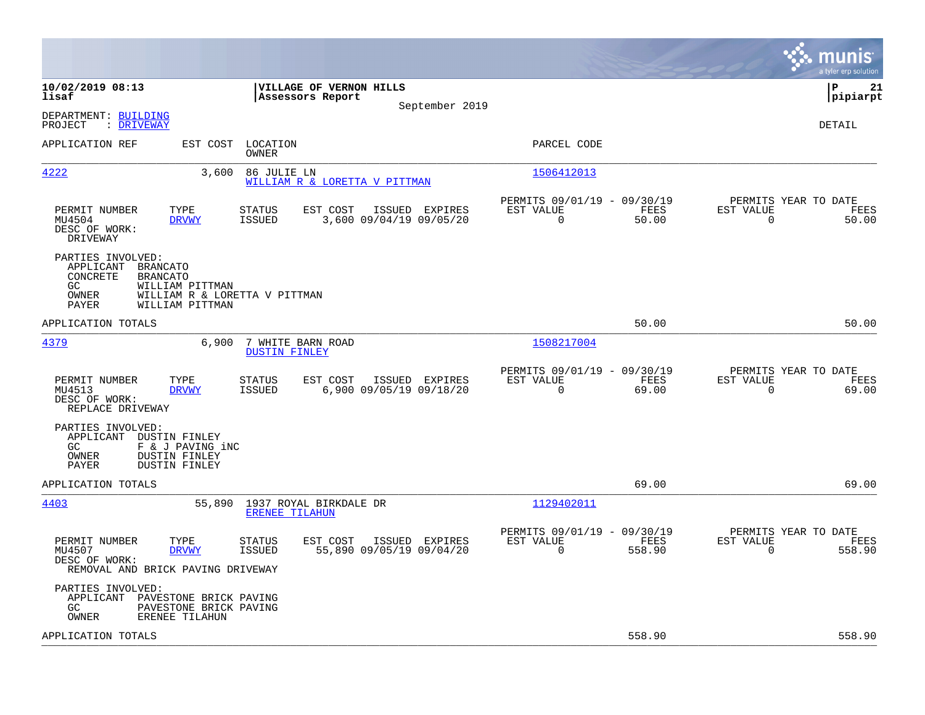|                                                                                                                                                                                                   |                                                                        | munis<br>a tyler erp solution                                   |
|---------------------------------------------------------------------------------------------------------------------------------------------------------------------------------------------------|------------------------------------------------------------------------|-----------------------------------------------------------------|
| 10/02/2019 08:13<br>VILLAGE OF VERNON HILLS<br>lisaf<br>Assessors Report<br>September 2019                                                                                                        |                                                                        | l P<br>21<br> pipiarpt                                          |
| DEPARTMENT: BUILDING<br>: DRIVEWAY<br>PROJECT                                                                                                                                                     |                                                                        | <b>DETAIL</b>                                                   |
| EST COST<br>LOCATION<br>APPLICATION REF<br>OWNER                                                                                                                                                  | PARCEL CODE                                                            |                                                                 |
| 4222<br>3,600<br>86 JULIE LN<br>WILLIAM R & LORETTA V PITTMAN                                                                                                                                     | 1506412013                                                             |                                                                 |
| TYPE<br>EST COST<br>PERMIT NUMBER<br><b>STATUS</b><br>ISSUED EXPIRES<br>MU4504<br><b>ISSUED</b><br>3,600 09/04/19 09/05/20<br><b>DRVWY</b><br>DESC OF WORK:<br>DRIVEWAY                           | PERMITS 09/01/19 - 09/30/19<br>EST VALUE<br>FEES<br>$\Omega$<br>50.00  | PERMITS YEAR TO DATE<br>EST VALUE<br>FEES<br>50.00<br>$\Omega$  |
| PARTIES INVOLVED:<br>APPLICANT<br>BRANCATO<br>CONCRETE<br><b>BRANCATO</b><br>GC<br>WILLIAM PITTMAN<br><b>OWNER</b><br>WILLIAM R & LORETTA V PITTMAN<br>PAYER<br>WILLIAM PITTMAN                   |                                                                        |                                                                 |
| APPLICATION TOTALS                                                                                                                                                                                | 50.00                                                                  | 50.00                                                           |
| 4379<br>6,900<br>7 WHITE BARN ROAD<br><b>DUSTIN FINLEY</b>                                                                                                                                        | 1508217004                                                             |                                                                 |
| PERMIT NUMBER<br>TYPE<br>EST COST<br><b>STATUS</b><br>ISSUED EXPIRES<br>MU4513<br><b>DRVWY</b><br><b>ISSUED</b><br>6,900 09/05/19 09/18/20<br>DESC OF WORK:<br>REPLACE DRIVEWAY                   | PERMITS 09/01/19 - 09/30/19<br>EST VALUE<br>FEES<br>0<br>69.00         | PERMITS YEAR TO DATE<br>EST VALUE<br>FEES<br>69.00<br>0         |
| PARTIES INVOLVED:<br>APPLICANT DUSTIN FINLEY<br>F & J PAVING iNC<br>GC<br>OWNER<br><b>DUSTIN FINLEY</b><br>PAYER<br><b>DUSTIN FINLEY</b>                                                          |                                                                        |                                                                 |
| APPLICATION TOTALS                                                                                                                                                                                | 69.00                                                                  | 69.00                                                           |
| 4403<br>55,890<br>1937 ROYAL BIRKDALE DR<br><b>ERENEE TILAHUN</b>                                                                                                                                 | 1129402011                                                             |                                                                 |
| PERMIT NUMBER<br>TYPE<br><b>STATUS</b><br>EST COST<br>ISSUED EXPIRES<br>55,890 09/05/19 09/04/20<br>MU4507<br><b>DRVWY</b><br><b>ISSUED</b><br>DESC OF WORK:<br>REMOVAL AND BRICK PAVING DRIVEWAY | PERMITS 09/01/19 - 09/30/19<br>EST VALUE<br>FEES<br>$\Omega$<br>558.90 | PERMITS YEAR TO DATE<br>EST VALUE<br>FEES<br>$\Omega$<br>558.90 |
| PARTIES INVOLVED:<br>APPLICANT<br>PAVESTONE BRICK PAVING<br>GC.<br>PAVESTONE BRICK PAVING<br>OWNER<br>ERENEE TILAHUN                                                                              |                                                                        |                                                                 |
| APPLICATION TOTALS                                                                                                                                                                                | 558.90                                                                 | 558.90                                                          |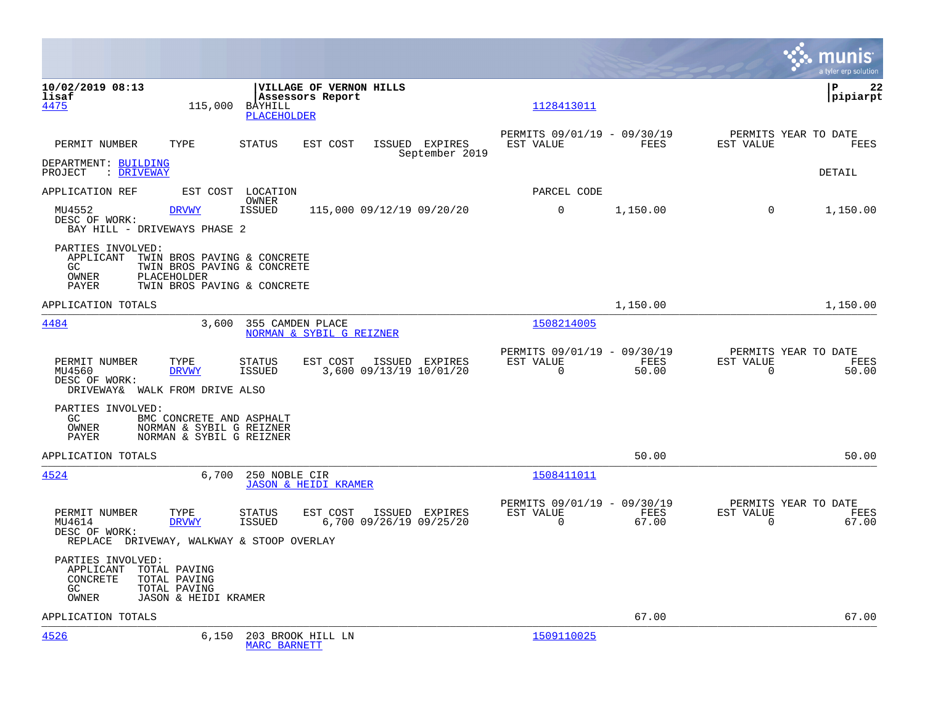|                                                                                                                                   |                                                                                  |                                                      |               | munis<br>a tyler erp solution                                  |
|-----------------------------------------------------------------------------------------------------------------------------------|----------------------------------------------------------------------------------|------------------------------------------------------|---------------|----------------------------------------------------------------|
| 10/02/2019 08:13<br>lisaf<br>4475<br>115,000                                                                                      | VILLAGE OF VERNON HILLS<br>Assessors Report<br>BAYHILL<br>PLACEHOLDER            | 1128413011                                           |               | l P<br>22<br> pipiarpt                                         |
| PERMIT NUMBER<br>TYPE                                                                                                             | <b>STATUS</b><br>ISSUED EXPIRES<br>EST COST<br>September 2019                    | PERMITS 09/01/19 - 09/30/19<br>EST VALUE             | FEES          | PERMITS YEAR TO DATE<br>EST VALUE<br>FEES                      |
| DEPARTMENT: BUILDING<br>: DRIVEWAY<br>PROJECT                                                                                     |                                                                                  |                                                      |               | DETAIL                                                         |
| APPLICATION REF                                                                                                                   | EST COST LOCATION<br>OWNER                                                       | PARCEL CODE                                          |               |                                                                |
| MU4552<br><b>DRVWY</b><br>DESC OF WORK:<br>BAY HILL - DRIVEWAYS PHASE 2                                                           | <b>ISSUED</b><br>115,000 09/12/19 09/20/20                                       | $\Omega$                                             | 1,150.00      | $\Omega$<br>1,150.00                                           |
| PARTIES INVOLVED:<br>APPLICANT<br>TWIN BROS PAVING & CONCRETE<br>GC<br>PLACEHOLDER<br>OWNER<br>PAYER                              | TWIN BROS PAVING & CONCRETE<br>TWIN BROS PAVING & CONCRETE                       |                                                      |               |                                                                |
| APPLICATION TOTALS                                                                                                                |                                                                                  |                                                      | 1,150.00      | 1,150.00                                                       |
| 4484<br>3,600                                                                                                                     | 355 CAMDEN PLACE<br>NORMAN & SYBIL G REIZNER                                     | 1508214005                                           |               |                                                                |
| PERMIT NUMBER<br>TYPE<br>MU4560<br><b>DRVWY</b><br>DESC OF WORK:<br>DRIVEWAY& WALK FROM DRIVE ALSO                                | EST COST<br>STATUS<br>ISSUED EXPIRES<br>3,600 09/13/19 10/01/20<br><b>ISSUED</b> | PERMITS 09/01/19 - 09/30/19<br>EST VALUE<br>$\Omega$ | FEES<br>50.00 | PERMITS YEAR TO DATE<br>EST VALUE<br>FEES<br>$\Omega$<br>50.00 |
| PARTIES INVOLVED:<br>GC<br>BMC CONCRETE AND ASPHALT<br>NORMAN & SYBIL G REIZNER<br>OWNER<br>NORMAN & SYBIL G REIZNER<br>PAYER     |                                                                                  |                                                      |               |                                                                |
| APPLICATION TOTALS                                                                                                                |                                                                                  |                                                      | 50.00         | 50.00                                                          |
| 4524<br>6,700                                                                                                                     | 250 NOBLE CIR<br><b>JASON &amp; HEIDI KRAMER</b>                                 | 1508411011                                           |               |                                                                |
| PERMIT NUMBER<br>TYPE<br>MU4614<br><b>DRVWY</b><br>DESC OF WORK:<br>REPLACE DRIVEWAY, WALKWAY & STOOP OVERLAY                     | EST COST<br>STATUS<br>ISSUED EXPIRES<br><b>ISSUED</b><br>6,700 09/26/19 09/25/20 | PERMITS 09/01/19 - 09/30/19<br>EST VALUE<br>$\Omega$ | FEES<br>67.00 | PERMITS YEAR TO DATE<br>EST VALUE<br>FEES<br>$\Omega$<br>67.00 |
| PARTIES INVOLVED:<br>APPLICANT<br>TOTAL PAVING<br>CONCRETE<br>TOTAL PAVING<br>GC<br>TOTAL PAVING<br>JASON & HEIDI KRAMER<br>OWNER |                                                                                  |                                                      |               |                                                                |
| APPLICATION TOTALS                                                                                                                |                                                                                  |                                                      | 67.00         | 67.00                                                          |
| 4526<br>6,150                                                                                                                     | 203 BROOK HILL LN<br><b>MARC BARNETT</b>                                         | 1509110025                                           |               |                                                                |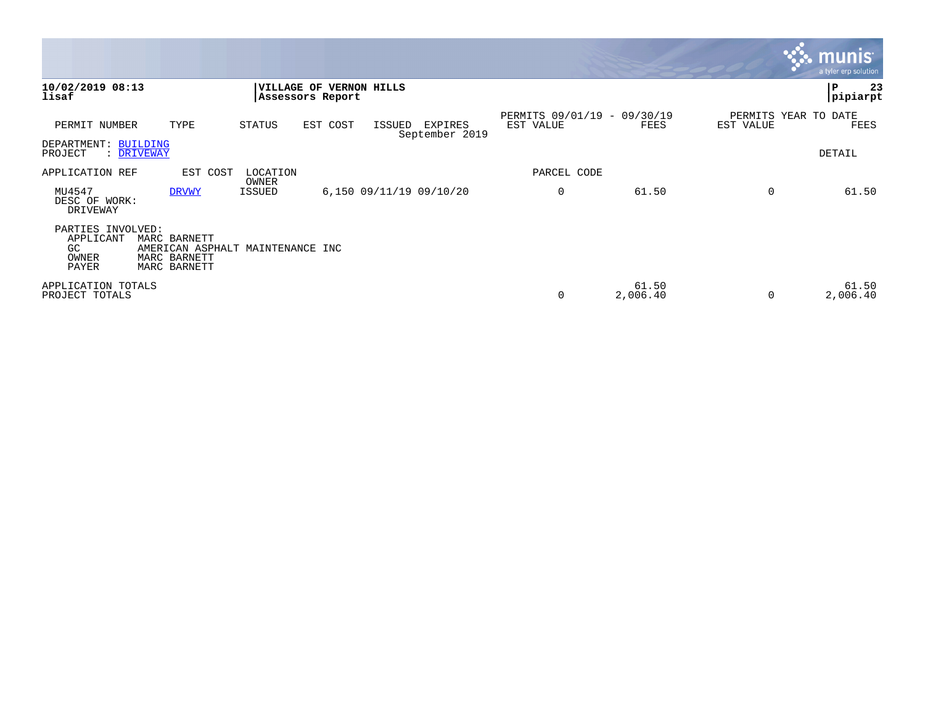|                                                        |                                                                                  |                   |          |                         |                           |                                          |                   |           | <b>munis</b><br>a tyler erp solution |
|--------------------------------------------------------|----------------------------------------------------------------------------------|-------------------|----------|-------------------------|---------------------------|------------------------------------------|-------------------|-----------|--------------------------------------|
| 10/02/2019 08:13<br>lisaf                              |                                                                                  | Assessors Report  |          | VILLAGE OF VERNON HILLS |                           |                                          |                   |           | P<br>23<br>pipiarpt                  |
| PERMIT NUMBER                                          | TYPE                                                                             | STATUS            | EST COST | ISSUED                  | EXPIRES<br>September 2019 | PERMITS 09/01/19 - 09/30/19<br>EST VALUE | FEES              | EST VALUE | PERMITS YEAR TO DATE<br>FEES         |
| DEPARTMENT: BUILDING<br>PROJECT                        | : DRIVEWAY                                                                       |                   |          |                         |                           |                                          |                   |           | DETAIL                               |
| APPLICATION REF                                        | EST COST                                                                         | LOCATION<br>OWNER |          |                         |                           | PARCEL CODE                              |                   |           |                                      |
| MU4547<br>DESC OF WORK:<br>DRIVEWAY                    | <b>DRVWY</b>                                                                     | ISSUED            |          | 6,150 09/11/19 09/10/20 |                           | 0                                        | 61.50             | $\Omega$  | 61.50                                |
| PARTIES INVOLVED:<br>APPLICANT<br>GC<br>OWNER<br>PAYER | MARC BARNETT<br>AMERICAN ASPHALT MAINTENANCE INC<br>MARC BARNETT<br>MARC BARNETT |                   |          |                         |                           |                                          |                   |           |                                      |
| APPLICATION TOTALS<br>PROJECT TOTALS                   |                                                                                  |                   |          |                         |                           | 0                                        | 61.50<br>2,006.40 | 0         | 61.50<br>2,006.40                    |

 $\mathcal{L}^{\text{max}}$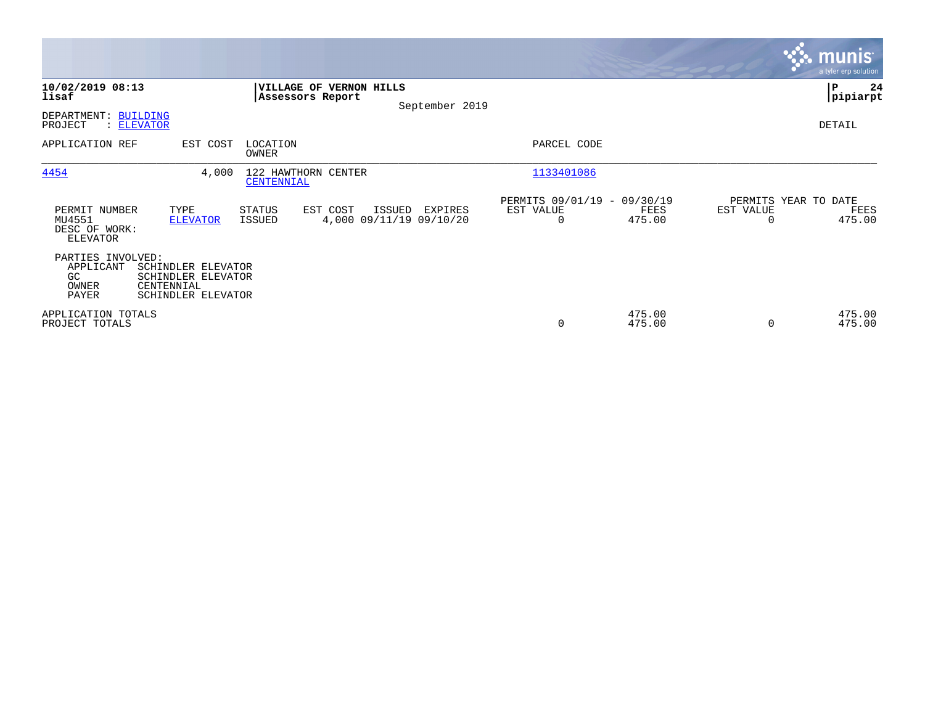|                                                             |                                                                              |                                   |                                               |                |                                               |                  |                                   | <b>munis</b><br>a tyler erp solution |
|-------------------------------------------------------------|------------------------------------------------------------------------------|-----------------------------------|-----------------------------------------------|----------------|-----------------------------------------------|------------------|-----------------------------------|--------------------------------------|
| 10/02/2019 08:13<br>lisaf                                   |                                                                              | Assessors Report                  | VILLAGE OF VERNON HILLS                       | September 2019 |                                               |                  |                                   | ∣₽<br>24<br> pipiarpt                |
| DEPARTMENT: BUILDING<br>PROJECT                             | : ELEVATOR                                                                   |                                   |                                               |                |                                               |                  |                                   | DETAIL                               |
| APPLICATION REF                                             | EST COST                                                                     | LOCATION<br>OWNER                 |                                               |                | PARCEL CODE                                   |                  |                                   |                                      |
| 4454                                                        | 4,000                                                                        | 122 HAWTHORN CENTER<br>CENTENNIAL |                                               |                | 1133401086                                    |                  |                                   |                                      |
| PERMIT NUMBER<br>MU4551<br>DESC OF WORK:<br><b>ELEVATOR</b> | TYPE<br><b>ELEVATOR</b>                                                      | STATUS<br>ISSUED                  | EST COST<br>ISSUED<br>4,000 09/11/19 09/10/20 | EXPIRES        | PERMITS 09/01/19 - 09/30/19<br>EST VALUE<br>0 | FEES<br>475.00   | PERMITS YEAR TO DATE<br>EST VALUE | FEES<br>475.00                       |
| PARTIES INVOLVED:<br>APPLICANT<br>GC<br>OWNER<br>PAYER      | SCHINDLER ELEVATOR<br>SCHINDLER ELEVATOR<br>CENTENNIAL<br>SCHINDLER ELEVATOR |                                   |                                               |                |                                               |                  |                                   |                                      |
| APPLICATION TOTALS<br>PROJECT TOTALS                        |                                                                              |                                   |                                               |                | 0                                             | 475.00<br>475.00 |                                   | 475.00<br>475.00                     |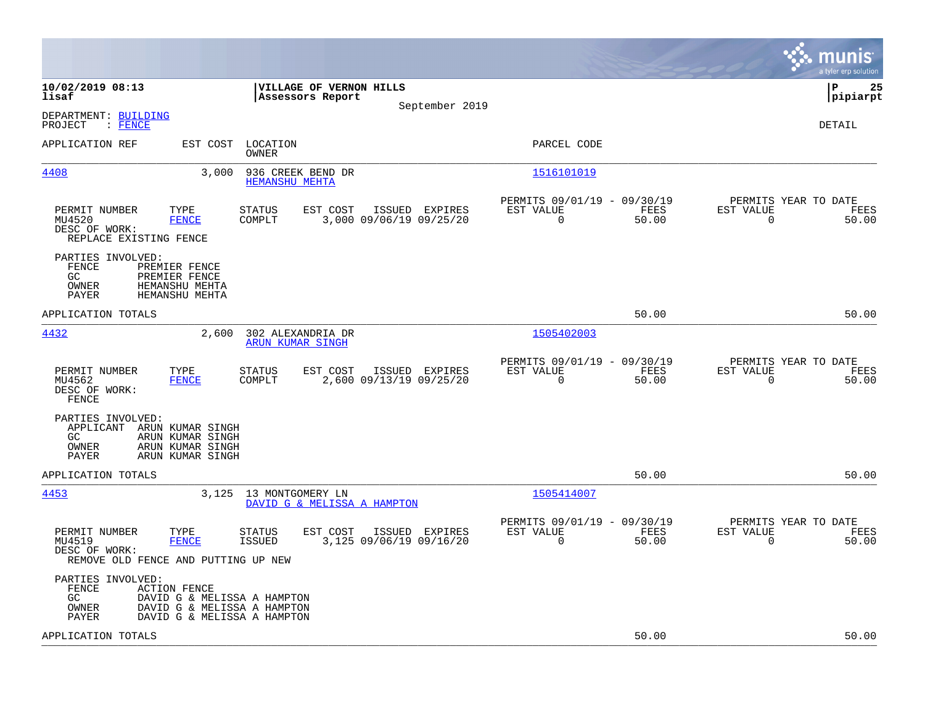|                                                                                 |                                                                    |                                                                                           |                         |                                           |                                                      |               |                                                  | munis<br>a tyler erp solution |
|---------------------------------------------------------------------------------|--------------------------------------------------------------------|-------------------------------------------------------------------------------------------|-------------------------|-------------------------------------------|------------------------------------------------------|---------------|--------------------------------------------------|-------------------------------|
| 10/02/2019 08:13<br>lisaf                                                       |                                                                    | Assessors Report                                                                          | VILLAGE OF VERNON HILLS |                                           |                                                      |               |                                                  | lР<br>25<br> pipiarpt         |
| DEPARTMENT: BUILDING<br>PROJECT<br>$:$ FENCE                                    |                                                                    |                                                                                           |                         | September 2019                            |                                                      |               |                                                  | DETAIL                        |
| APPLICATION REF                                                                 | EST COST                                                           | LOCATION<br>OWNER                                                                         |                         |                                           | PARCEL CODE                                          |               |                                                  |                               |
| 4408                                                                            | 3,000                                                              | 936 CREEK BEND DR<br><b>HEMANSHU MEHTA</b>                                                |                         |                                           | 1516101019                                           |               |                                                  |                               |
| PERMIT NUMBER<br>MU4520<br>DESC OF WORK:<br>REPLACE EXISTING FENCE              | TYPE<br><b>FENCE</b>                                               | <b>STATUS</b><br>COMPLT                                                                   | EST COST                | ISSUED EXPIRES<br>3,000 09/06/19 09/25/20 | PERMITS 09/01/19 - 09/30/19<br>EST VALUE<br>$\Omega$ | FEES<br>50.00 | PERMITS YEAR TO DATE<br>EST VALUE<br>$\Omega$    | FEES<br>50.00                 |
| PARTIES INVOLVED:<br><b>FENCE</b><br>GC<br>OWNER<br>PAYER                       | PREMIER FENCE<br>PREMIER FENCE<br>HEMANSHU MEHTA<br>HEMANSHU MEHTA |                                                                                           |                         |                                           |                                                      |               |                                                  |                               |
| APPLICATION TOTALS                                                              |                                                                    |                                                                                           |                         |                                           |                                                      | 50.00         |                                                  | 50.00                         |
| 4432                                                                            | 2,600                                                              | 302 ALEXANDRIA DR<br><b>ARUN KUMAR SINGH</b>                                              |                         |                                           | 1505402003                                           |               |                                                  |                               |
| PERMIT NUMBER<br>MU4562<br>DESC OF WORK:<br>FENCE                               | TYPE<br><b>FENCE</b>                                               | <b>STATUS</b><br>COMPLT                                                                   | EST COST                | ISSUED EXPIRES<br>2,600 09/13/19 09/25/20 | PERMITS 09/01/19 - 09/30/19<br>EST VALUE<br>0        | FEES<br>50.00 | PERMITS YEAR TO DATE<br>EST VALUE<br>$\mathbf 0$ | FEES<br>50.00                 |
| PARTIES INVOLVED:<br>APPLICANT ARUN KUMAR SINGH<br>GC.<br>OWNER<br>PAYER        | ARUN KUMAR SINGH<br>ARUN KUMAR SINGH<br>ARUN KUMAR SINGH           |                                                                                           |                         |                                           |                                                      |               |                                                  |                               |
| APPLICATION TOTALS                                                              |                                                                    |                                                                                           |                         |                                           |                                                      | 50.00         |                                                  | 50.00                         |
| 4453                                                                            |                                                                    | 3,125 13 MONTGOMERY LN<br>DAVID G & MELISSA A HAMPTON                                     |                         |                                           | 1505414007                                           |               |                                                  |                               |
| PERMIT NUMBER<br>MU4519<br>DESC OF WORK:<br>REMOVE OLD FENCE AND PUTTING UP NEW | TYPE<br><b>FENCE</b>                                               | STATUS<br><b>ISSUED</b>                                                                   | EST COST                | ISSUED EXPIRES<br>3,125 09/06/19 09/16/20 | PERMITS 09/01/19 - 09/30/19<br>EST VALUE<br>0        | FEES<br>50.00 | PERMITS YEAR TO DATE<br>EST VALUE<br>0           | FEES<br>50.00                 |
| PARTIES INVOLVED:<br>FENCE<br>GC.<br>OWNER<br>PAYER                             | <b>ACTION FENCE</b>                                                | DAVID G & MELISSA A HAMPTON<br>DAVID G & MELISSA A HAMPTON<br>DAVID G & MELISSA A HAMPTON |                         |                                           |                                                      |               |                                                  |                               |
| APPLICATION TOTALS                                                              |                                                                    |                                                                                           |                         |                                           |                                                      | 50.00         |                                                  | 50.00                         |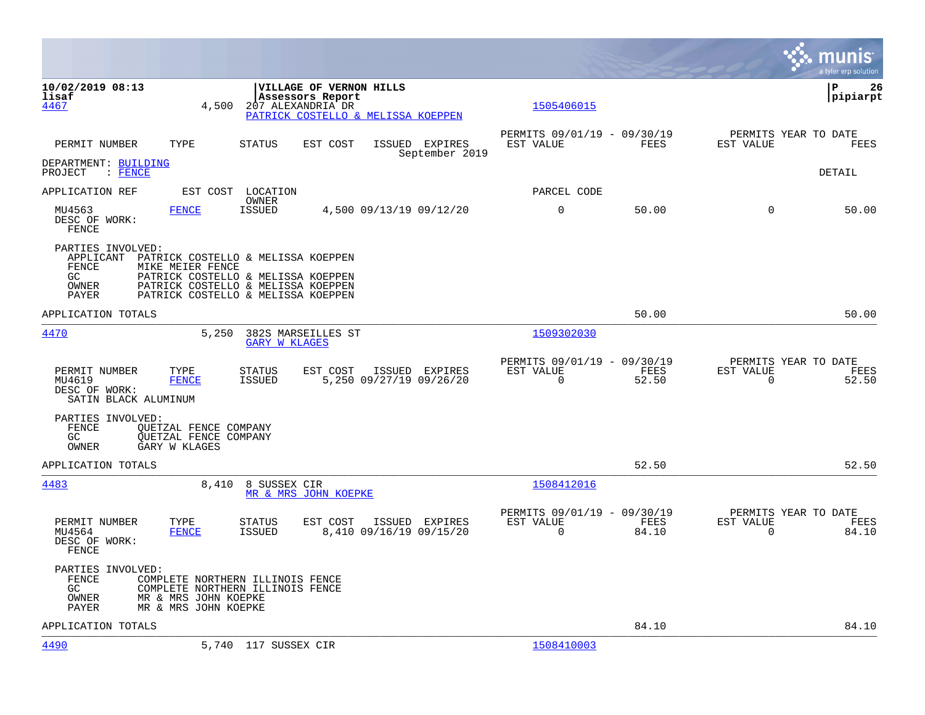|                                                                  |                                                                                                                                                                          |                            |                                             |                                           |                                                         |               |                                                  | munis<br>a tyler erp solution |
|------------------------------------------------------------------|--------------------------------------------------------------------------------------------------------------------------------------------------------------------------|----------------------------|---------------------------------------------|-------------------------------------------|---------------------------------------------------------|---------------|--------------------------------------------------|-------------------------------|
| 10/02/2019 08:13<br>lisaf<br>4467                                | 4,500                                                                                                                                                                    | 207 ALEXANDRIA DR          | VILLAGE OF VERNON HILLS<br>Assessors Report | PATRICK COSTELLO & MELISSA KOEPPEN        | 1505406015                                              |               |                                                  | l P<br>26<br> pipiarpt        |
| PERMIT NUMBER                                                    | TYPE                                                                                                                                                                     | STATUS                     | EST COST                                    | ISSUED EXPIRES<br>September 2019          | PERMITS 09/01/19 - 09/30/19<br>EST VALUE                | FEES          | PERMITS YEAR TO DATE<br>EST VALUE                | FEES                          |
| DEPARTMENT: BUILDING<br>PROJECT<br>: FENCE                       |                                                                                                                                                                          |                            |                                             |                                           |                                                         |               |                                                  | DETAIL                        |
| APPLICATION REF                                                  |                                                                                                                                                                          | EST COST LOCATION<br>OWNER |                                             |                                           | PARCEL CODE                                             |               |                                                  |                               |
| MU4563<br>DESC OF WORK:<br>FENCE                                 | <b>FENCE</b>                                                                                                                                                             | <b>ISSUED</b>              |                                             | 4,500 09/13/19 09/12/20                   | $\overline{0}$                                          | 50.00         | $\Omega$                                         | 50.00                         |
| PARTIES INVOLVED:<br>APPLICANT<br>FENCE<br>GC.<br>OWNER<br>PAYER | PATRICK COSTELLO & MELISSA KOEPPEN<br>MIKE MEIER FENCE<br>PATRICK COSTELLO & MELISSA KOEPPEN<br>PATRICK COSTELLO & MELISSA KOEPPEN<br>PATRICK COSTELLO & MELISSA KOEPPEN |                            |                                             |                                           |                                                         |               |                                                  |                               |
| APPLICATION TOTALS                                               |                                                                                                                                                                          |                            |                                             |                                           |                                                         | 50.00         |                                                  | 50.00                         |
| 4470                                                             | 5,250                                                                                                                                                                    | <b>GARY W KLAGES</b>       | 382S MARSEILLES ST                          |                                           | 1509302030                                              |               |                                                  |                               |
| PERMIT NUMBER<br>MU4619<br>DESC OF WORK:<br>SATIN BLACK ALUMINUM | TYPE<br><b>FENCE</b>                                                                                                                                                     | STATUS<br>ISSUED           | EST COST                                    | ISSUED EXPIRES<br>5,250 09/27/19 09/26/20 | PERMITS 09/01/19 - 09/30/19<br>EST VALUE<br>$\mathbf 0$ | FEES<br>52.50 | PERMITS YEAR TO DATE<br>EST VALUE<br>$\mathbf 0$ | FEES<br>52.50                 |
| PARTIES INVOLVED:<br>FENCE<br>GC<br>OWNER                        | QUETZAL FENCE COMPANY<br>OUETZAL FENCE COMPANY<br>GARY W KLAGES                                                                                                          |                            |                                             |                                           |                                                         |               |                                                  |                               |
| APPLICATION TOTALS                                               |                                                                                                                                                                          |                            |                                             |                                           |                                                         | 52.50         |                                                  | 52.50                         |
| 4483                                                             |                                                                                                                                                                          | 8,410 8 SUSSEX CIR         | MR & MRS JOHN KOEPKE                        |                                           | 1508412016                                              |               |                                                  |                               |
| PERMIT NUMBER<br>MU4564<br>DESC OF WORK:<br>FENCE                | TYPE<br><b>FENCE</b>                                                                                                                                                     | <b>STATUS</b><br>ISSUED    | EST COST                                    | ISSUED EXPIRES<br>8,410 09/16/19 09/15/20 | PERMITS 09/01/19 - 09/30/19<br>EST VALUE<br>$\mathbf 0$ | FEES<br>84.10 | PERMITS YEAR TO DATE<br>EST VALUE<br>$\mathbf 0$ | FEES<br>84.10                 |
| PARTIES INVOLVED:<br>FENCE<br>GC<br>OWNER<br>PAYER               | COMPLETE NORTHERN ILLINOIS FENCE<br>COMPLETE NORTHERN ILLINOIS FENCE<br>MR & MRS JOHN KOEPKE<br>MR & MRS JOHN KOEPKE                                                     |                            |                                             |                                           |                                                         |               |                                                  |                               |
| APPLICATION TOTALS                                               |                                                                                                                                                                          |                            |                                             |                                           |                                                         | 84.10         |                                                  | 84.10                         |
| <u>4490</u>                                                      |                                                                                                                                                                          | 5,740 117 SUSSEX CIR       |                                             |                                           | 1508410003                                              |               |                                                  |                               |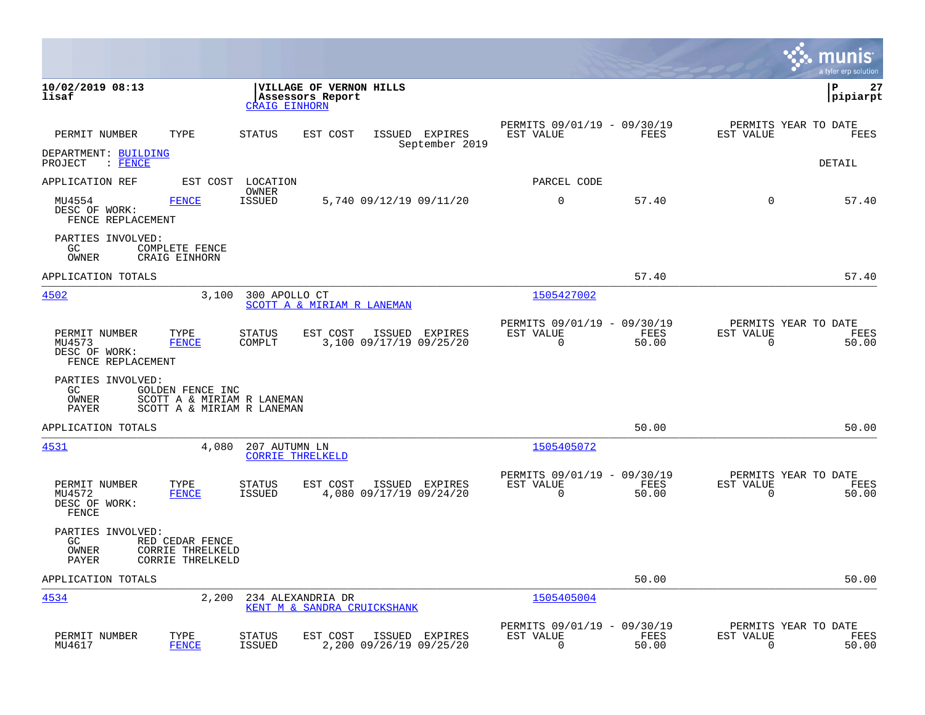|                                                                                                       |                                                          |                                                  |                                  |                                                         |               |                                                  | munis<br>a tyler erp solution |
|-------------------------------------------------------------------------------------------------------|----------------------------------------------------------|--------------------------------------------------|----------------------------------|---------------------------------------------------------|---------------|--------------------------------------------------|-------------------------------|
| 10/02/2019 08:13<br>lisaf                                                                             | <b>CRAIG EINHORN</b>                                     | VILLAGE OF VERNON HILLS<br>Assessors Report      |                                  |                                                         |               |                                                  | ΙP<br>27<br> pipiarpt         |
| TYPE<br>PERMIT NUMBER                                                                                 | <b>STATUS</b>                                            | EST COST                                         | ISSUED EXPIRES<br>September 2019 | PERMITS 09/01/19 - 09/30/19<br>EST VALUE                | FEES          | PERMITS YEAR TO DATE<br>EST VALUE                | FEES                          |
| DEPARTMENT: BUILDING<br>PROJECT<br>$\therefore$ FENCE                                                 |                                                          |                                                  |                                  |                                                         |               |                                                  | DETAIL                        |
| APPLICATION REF                                                                                       | EST COST LOCATION                                        |                                                  |                                  | PARCEL CODE                                             |               |                                                  |                               |
| MU4554<br><b>FENCE</b><br>DESC OF WORK:<br>FENCE REPLACEMENT                                          | OWNER<br><b>ISSUED</b>                                   | 5,740 09/12/19 09/11/20                          |                                  | $\mathbf 0$                                             | 57.40         | $\Omega$                                         | 57.40                         |
| PARTIES INVOLVED:<br>GC.<br>COMPLETE FENCE<br>OWNER<br>CRAIG EINHORN                                  |                                                          |                                                  |                                  |                                                         |               |                                                  |                               |
| APPLICATION TOTALS                                                                                    |                                                          |                                                  |                                  |                                                         | 57.40         |                                                  | 57.40                         |
| 4502                                                                                                  | 3,100<br>300 APOLLO CT                                   | SCOTT A & MIRIAM R LANEMAN                       |                                  | 1505427002                                              |               |                                                  |                               |
| TYPE<br>PERMIT NUMBER<br>MU4573<br><b>FENCE</b><br>DESC OF WORK:<br>FENCE REPLACEMENT                 | <b>STATUS</b><br>COMPLT                                  | EST COST<br>3,100 09/17/19 09/25/20              | ISSUED EXPIRES                   | PERMITS 09/01/19 - 09/30/19<br>EST VALUE<br>$\mathbf 0$ | FEES<br>50.00 | PERMITS YEAR TO DATE<br>EST VALUE<br>$\mathbf 0$ | FEES<br>50.00                 |
| PARTIES INVOLVED:<br>GC<br>GOLDEN FENCE INC<br>OWNER<br>PAYER                                         | SCOTT A & MIRIAM R LANEMAN<br>SCOTT A & MIRIAM R LANEMAN |                                                  |                                  |                                                         |               |                                                  |                               |
| APPLICATION TOTALS                                                                                    |                                                          |                                                  |                                  |                                                         | 50.00         |                                                  | 50.00                         |
| 4531                                                                                                  | 4,080<br>207 AUTUMN LN<br><b>CORRIE THRELKELD</b>        |                                                  |                                  | 1505405072                                              |               |                                                  |                               |
| PERMIT NUMBER<br>TYPE<br>MU4572<br><b>FENCE</b><br>DESC OF WORK:<br>FENCE                             | <b>STATUS</b><br><b>ISSUED</b>                           | EST COST<br>4,080 09/17/19 09/24/20              | ISSUED EXPIRES                   | PERMITS 09/01/19 - 09/30/19<br>EST VALUE<br>$\Omega$    | FEES<br>50.00 | PERMITS YEAR TO DATE<br>EST VALUE<br>0           | FEES<br>50.00                 |
| PARTIES INVOLVED:<br>GC.<br>RED CEDAR FENCE<br>OWNER<br>CORRIE THRELKELD<br>PAYER<br>CORRIE THRELKELD |                                                          |                                                  |                                  |                                                         |               |                                                  |                               |
| APPLICATION TOTALS                                                                                    |                                                          |                                                  |                                  |                                                         | 50.00         |                                                  | 50.00                         |
| 4534                                                                                                  | 2,200                                                    | 234 ALEXANDRIA DR<br>KENT M & SANDRA CRUICKSHANK |                                  | 1505405004                                              |               |                                                  |                               |
| PERMIT NUMBER<br>TYPE<br><b>FENCE</b><br>MU4617                                                       | <b>STATUS</b><br><b>ISSUED</b>                           | EST COST<br>2,200 09/26/19 09/25/20              | ISSUED EXPIRES                   | PERMITS 09/01/19 - 09/30/19<br>EST VALUE<br>$\mathbf 0$ | FEES<br>50.00 | PERMITS YEAR TO DATE<br>EST VALUE<br>$\mathbf 0$ | FEES<br>50.00                 |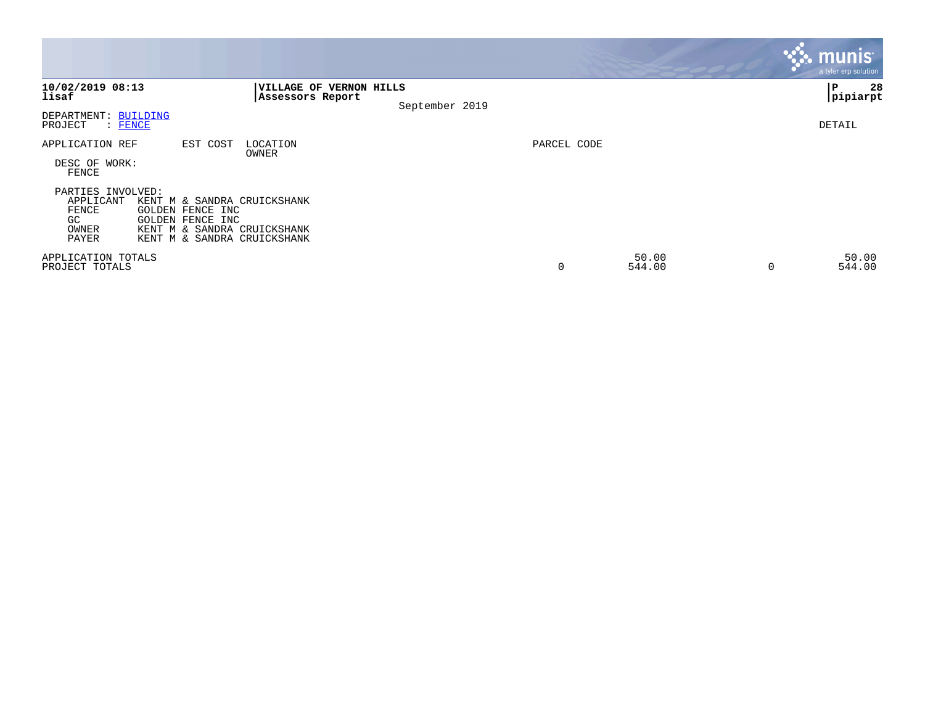|                                                                 |                                                                                                                                   |                                             |                |             |                 |   | <b>munis</b><br>a tyler erp solution |
|-----------------------------------------------------------------|-----------------------------------------------------------------------------------------------------------------------------------|---------------------------------------------|----------------|-------------|-----------------|---|--------------------------------------|
| 10/02/2019 08:13<br>lisaf                                       |                                                                                                                                   | VILLAGE OF VERNON HILLS<br>Assessors Report |                |             |                 |   | 28<br>l P<br> pipiarpt               |
| DEPARTMENT: BUILDING<br>PROJECT<br>: FENCE                      |                                                                                                                                   |                                             | September 2019 |             |                 |   | DETAIL                               |
| APPLICATION REF<br>DESC OF WORK:<br>FENCE                       | EST COST                                                                                                                          | LOCATION<br>OWNER                           |                | PARCEL CODE |                 |   |                                      |
| PARTIES INVOLVED:<br>APPLICANT<br>FENCE<br>GC<br>OWNER<br>PAYER | KENT M & SANDRA CRUICKSHANK<br>GOLDEN FENCE INC<br>GOLDEN FENCE INC<br>KENT M & SANDRA CRUICKSHANK<br>KENT M & SANDRA CRUICKSHANK |                                             |                |             |                 |   |                                      |
| APPLICATION TOTALS<br>PROJECT TOTALS                            |                                                                                                                                   |                                             |                | 0           | 50.00<br>544.00 | 0 | 50.00<br>544.00                      |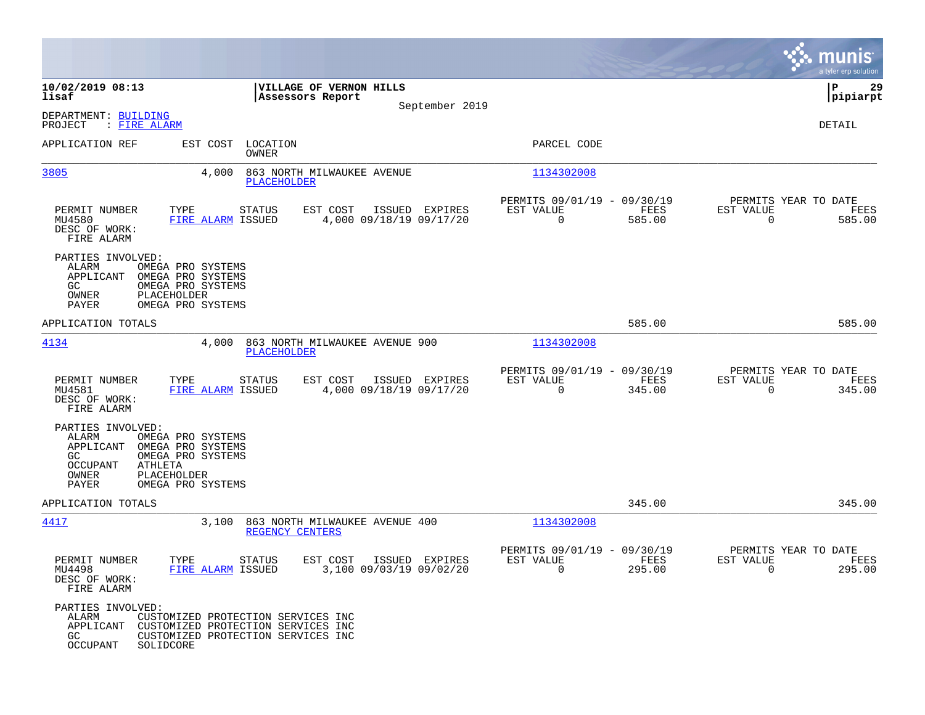|                                                                                                                                                                                                  |                                                                                                                |                |                                                         |                |                                                  | munis<br>a tyler erp solution |
|--------------------------------------------------------------------------------------------------------------------------------------------------------------------------------------------------|----------------------------------------------------------------------------------------------------------------|----------------|---------------------------------------------------------|----------------|--------------------------------------------------|-------------------------------|
| 10/02/2019 08:13<br>lisaf                                                                                                                                                                        | <b>VILLAGE OF VERNON HILLS</b><br>Assessors Report                                                             |                |                                                         |                |                                                  | ΙP<br>29<br> pipiarpt         |
| DEPARTMENT: BUILDING<br>: FIRE ALARM<br>PROJECT                                                                                                                                                  |                                                                                                                | September 2019 |                                                         |                |                                                  | DETAIL                        |
| APPLICATION REF                                                                                                                                                                                  | EST COST LOCATION<br>OWNER                                                                                     |                | PARCEL CODE                                             |                |                                                  |                               |
| 3805<br>4,000                                                                                                                                                                                    | 863 NORTH MILWAUKEE AVENUE<br>PLACEHOLDER                                                                      |                | 1134302008                                              |                |                                                  |                               |
| PERMIT NUMBER<br>TYPE<br>MU4580<br>FIRE ALARM ISSUED<br>DESC OF WORK:<br>FIRE ALARM                                                                                                              | <b>STATUS</b><br>EST COST<br>4,000 09/18/19 09/17/20                                                           | ISSUED EXPIRES | PERMITS 09/01/19 - 09/30/19<br>EST VALUE<br>$\mathbf 0$ | FEES<br>585.00 | PERMITS YEAR TO DATE<br>EST VALUE<br>$\mathbf 0$ | FEES<br>585.00                |
| PARTIES INVOLVED:<br>ALARM<br>OMEGA PRO SYSTEMS<br>APPLICANT<br>OMEGA PRO SYSTEMS<br>GC.<br>OMEGA PRO SYSTEMS<br>OWNER<br><b>PLACEHOLDER</b><br>PAYER<br>OMEGA PRO SYSTEMS                       |                                                                                                                |                |                                                         |                |                                                  |                               |
| APPLICATION TOTALS                                                                                                                                                                               |                                                                                                                |                |                                                         | 585.00         |                                                  | 585.00                        |
| 4134<br>4,000                                                                                                                                                                                    | 863 NORTH MILWAUKEE AVENUE 900<br>PLACEHOLDER                                                                  |                | 1134302008                                              |                |                                                  |                               |
| PERMIT NUMBER<br>TYPE<br>MU4581<br>FIRE ALARM ISSUED<br>DESC OF WORK:<br>FIRE ALARM                                                                                                              | <b>STATUS</b><br>EST COST<br>4,000 09/18/19 09/17/20                                                           | ISSUED EXPIRES | PERMITS 09/01/19 - 09/30/19<br>EST VALUE<br>$\Omega$    | FEES<br>345.00 | PERMITS YEAR TO DATE<br>EST VALUE<br>$\mathbf 0$ | FEES<br>345.00                |
| PARTIES INVOLVED:<br>ALARM<br>OMEGA PRO SYSTEMS<br>APPLICANT<br>OMEGA PRO SYSTEMS<br>GC<br>OMEGA PRO SYSTEMS<br><b>OCCUPANT</b><br>ATHLETA<br>OWNER<br>PLACEHOLDER<br>OMEGA PRO SYSTEMS<br>PAYER |                                                                                                                |                |                                                         |                |                                                  |                               |
| APPLICATION TOTALS                                                                                                                                                                               |                                                                                                                |                |                                                         | 345.00         |                                                  | 345.00                        |
| 4417<br>3,100                                                                                                                                                                                    | 863 NORTH MILWAUKEE AVENUE 400<br>REGENCY CENTERS                                                              |                | 1134302008                                              |                |                                                  |                               |
| PERMIT NUMBER<br>TYPE<br>FIRE ALARM ISSUED<br>MU4498<br>DESC OF WORK:<br>FIRE ALARM                                                                                                              | EST COST<br><b>STATUS</b><br>3,100 09/03/19 09/02/20                                                           | ISSUED EXPIRES | PERMITS 09/01/19 - 09/30/19<br>EST VALUE<br>$\mathbf 0$ | FEES<br>295.00 | PERMITS YEAR TO DATE<br>EST VALUE<br>$\mathbf 0$ | FEES<br>295.00                |
| PARTIES INVOLVED:<br>ALARM<br>APPLICANT<br>GC.<br><b>OCCUPANT</b><br>SOLIDCORE                                                                                                                   | CUSTOMIZED PROTECTION SERVICES INC<br>CUSTOMIZED PROTECTION SERVICES INC<br>CUSTOMIZED PROTECTION SERVICES INC |                |                                                         |                |                                                  |                               |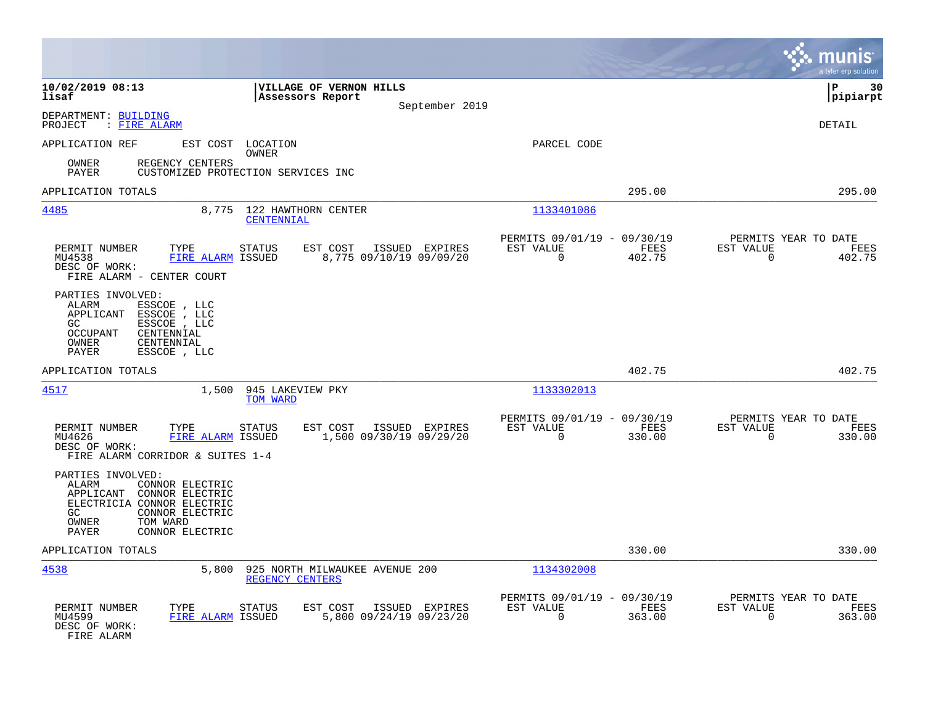|                                                                                                                                                                                        |                                                                        |                                                                           | munis<br>a tyler erp solution                                      |
|----------------------------------------------------------------------------------------------------------------------------------------------------------------------------------------|------------------------------------------------------------------------|---------------------------------------------------------------------------|--------------------------------------------------------------------|
| 10/02/2019 08:13<br>lisaf                                                                                                                                                              | VILLAGE OF VERNON HILLS<br>Assessors Report<br>September 2019          |                                                                           | l P<br>30<br> pipiarpt                                             |
| DEPARTMENT: BUILDING<br>: FIRE ALARM<br>PROJECT                                                                                                                                        |                                                                        |                                                                           | <b>DETAIL</b>                                                      |
| APPLICATION REF<br>REGENCY CENTERS<br>OWNER                                                                                                                                            | EST COST LOCATION<br>OWNER                                             | PARCEL CODE                                                               |                                                                    |
| PAYER                                                                                                                                                                                  | CUSTOMIZED PROTECTION SERVICES INC                                     |                                                                           |                                                                    |
| APPLICATION TOTALS                                                                                                                                                                     |                                                                        | 295.00                                                                    | 295.00                                                             |
| 4485<br>8,775                                                                                                                                                                          | 122 HAWTHORN CENTER<br>CENTENNIAL                                      | 1133401086                                                                |                                                                    |
| PERMIT NUMBER<br>TYPE<br>MU4538<br>FIRE ALARM ISSUED<br>DESC OF WORK:<br>FIRE ALARM - CENTER COURT                                                                                     | <b>STATUS</b><br>EST COST<br>ISSUED EXPIRES<br>8,775 09/10/19 09/09/20 | PERMITS 09/01/19 - 09/30/19<br>FEES<br>EST VALUE<br>402.75<br>$\Omega$    | PERMITS YEAR TO DATE<br>EST VALUE<br>FEES<br>$\Omega$<br>402.75    |
| PARTIES INVOLVED:<br>ALARM<br>ESSCOE , LLC<br>APPLICANT<br>ESSCOE , LLC<br>GC.<br>ESSCOE , LLC<br><b>OCCUPANT</b><br>CENTENNIAL<br>OWNER<br>CENTENNIAL<br>PAYER<br>ESSCOE , LLC        |                                                                        |                                                                           |                                                                    |
| APPLICATION TOTALS                                                                                                                                                                     |                                                                        | 402.75                                                                    | 402.75                                                             |
| 1,500<br>4517                                                                                                                                                                          | 945 LAKEVIEW PKY<br>TOM WARD                                           | 1133302013                                                                |                                                                    |
| PERMIT NUMBER<br>TYPE<br>MU4626<br>FIRE ALARM ISSUED<br>DESC OF WORK:<br>FIRE ALARM CORRIDOR & SUITES 1-4                                                                              | EST COST<br>ISSUED EXPIRES<br>STATUS<br>1,500 09/30/19 09/29/20        | PERMITS 09/01/19 - 09/30/19<br>EST VALUE<br>FEES<br>$\Omega$<br>330.00    | PERMITS YEAR TO DATE<br>EST VALUE<br>FEES<br>$\Omega$<br>330.00    |
| PARTIES INVOLVED:<br>ALARM<br>CONNOR ELECTRIC<br>APPLICANT<br>CONNOR ELECTRIC<br>ELECTRICIA CONNOR ELECTRIC<br>CONNOR ELECTRIC<br>GC.<br>OWNER<br>TOM WARD<br>PAYER<br>CONNOR ELECTRIC |                                                                        |                                                                           |                                                                    |
| APPLICATION TOTALS                                                                                                                                                                     |                                                                        | 330.00                                                                    | 330.00                                                             |
| 4538<br>5,800                                                                                                                                                                          | 925 NORTH MILWAUKEE AVENUE 200<br>REGENCY CENTERS                      | 1134302008                                                                |                                                                    |
| PERMIT NUMBER<br>TYPE<br>MU4599<br>FIRE ALARM ISSUED<br>DESC OF WORK:<br>FIRE ALARM                                                                                                    | EST COST<br>ISSUED EXPIRES<br>STATUS<br>5,800 09/24/19 09/23/20        | PERMITS 09/01/19 -<br>09/30/19<br>EST VALUE<br>FEES<br>$\Omega$<br>363.00 | PERMITS YEAR TO DATE<br>EST VALUE<br>FEES<br>363.00<br>$\mathbf 0$ |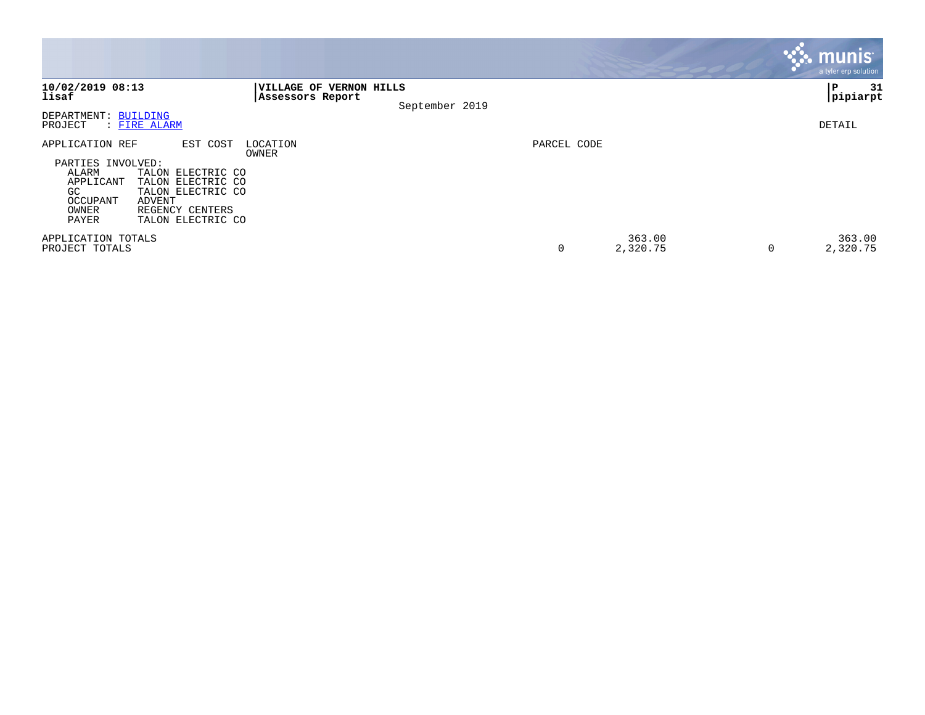|                                                                                                                                                                                                                 |                                             |                |             |                    |   | munis <sup>1</sup><br>a tyler erp solution |
|-----------------------------------------------------------------------------------------------------------------------------------------------------------------------------------------------------------------|---------------------------------------------|----------------|-------------|--------------------|---|--------------------------------------------|
| 10/02/2019 08:13<br>lisaf                                                                                                                                                                                       | VILLAGE OF VERNON HILLS<br>Assessors Report | September 2019 |             |                    |   | 31<br>PΡ<br> pipiarpt                      |
| DEPARTMENT: BUILDING<br>PROJECT<br>: FIRE ALARM                                                                                                                                                                 |                                             |                |             |                    |   | DETAIL                                     |
| APPLICATION REF<br>PARTIES INVOLVED:<br>ALARM<br>TALON ELECTRIC CO<br>TALON ELECTRIC CO<br>APPLICANT<br>GC<br>TALON ELECTRIC CO<br>OCCUPANT<br>ADVENT<br>REGENCY CENTERS<br>OWNER<br>PAYER<br>TALON ELECTRIC CO | EST COST<br>LOCATION<br>OWNER               |                | PARCEL CODE |                    |   |                                            |
| APPLICATION TOTALS<br>PROJECT TOTALS                                                                                                                                                                            |                                             |                | 0           | 363.00<br>2,320.75 | 0 | 363.00<br>2,320.75                         |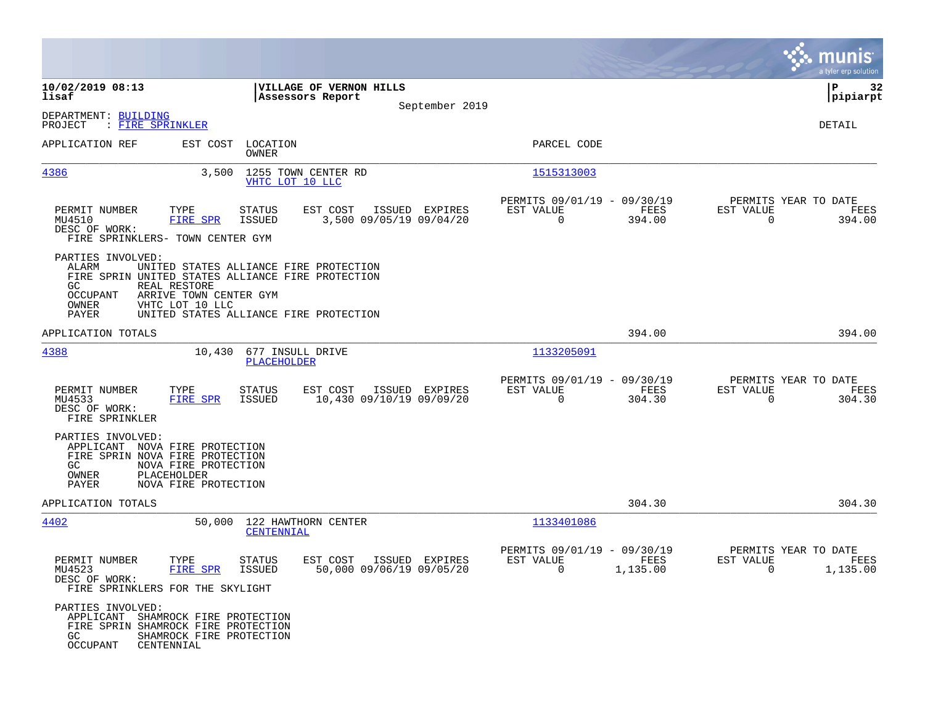|                                                                                                                             |                                                             |                                        |                                                                                  |                                           |                                                            |                  |                                                     | munis<br>a tyler erp solution |
|-----------------------------------------------------------------------------------------------------------------------------|-------------------------------------------------------------|----------------------------------------|----------------------------------------------------------------------------------|-------------------------------------------|------------------------------------------------------------|------------------|-----------------------------------------------------|-------------------------------|
| 10/02/2019 08:13<br>lisaf                                                                                                   |                                                             |                                        | VILLAGE OF VERNON HILLS<br>Assessors Report                                      |                                           |                                                            |                  |                                                     | 32<br>ΙP<br> pipiarpt         |
| DEPARTMENT: BUILDING<br>PROJECT<br>: FIRE SPRINKLER                                                                         |                                                             |                                        |                                                                                  | September 2019                            |                                                            |                  |                                                     | DETAIL                        |
| APPLICATION REF                                                                                                             |                                                             | EST COST LOCATION<br><b>OWNER</b>      |                                                                                  |                                           | PARCEL CODE                                                |                  |                                                     |                               |
| <u>4386</u>                                                                                                                 | 3,500                                                       | VHTC LOT 10 LLC                        | 1255 TOWN CENTER RD                                                              |                                           | 1515313003                                                 |                  |                                                     |                               |
| PERMIT NUMBER<br>MU4510<br>DESC OF WORK:<br>FIRE SPRINKLERS- TOWN CENTER GYM                                                | TYPE<br>FIRE SPR                                            | STATUS<br>ISSUED                       | EST COST                                                                         | ISSUED EXPIRES<br>3,500 09/05/19 09/04/20 | PERMITS 09/01/19 - 09/30/19<br>EST VALUE<br>$\overline{0}$ | FEES<br>394.00   | PERMITS YEAR TO DATE<br>EST VALUE<br>$\mathbf 0$    | FEES<br>394.00                |
| PARTIES INVOLVED:<br>ALARM<br>FIRE SPRIN UNITED STATES ALLIANCE FIRE PROTECTION<br>GC<br>OCCUPANT<br>OWNER<br>PAYER         | REAL RESTORE<br>ARRIVE TOWN CENTER GYM<br>VHTC LOT 10 LLC   |                                        | UNITED STATES ALLIANCE FIRE PROTECTION<br>UNITED STATES ALLIANCE FIRE PROTECTION |                                           |                                                            |                  |                                                     |                               |
| APPLICATION TOTALS                                                                                                          |                                                             |                                        |                                                                                  |                                           |                                                            | 394.00           |                                                     | 394.00                        |
| 4388                                                                                                                        |                                                             | 10,430 677 INSULL DRIVE<br>PLACEHOLDER |                                                                                  |                                           | 1133205091                                                 |                  |                                                     |                               |
| PERMIT NUMBER<br>MU4533<br>DESC OF WORK:<br>FIRE SPRINKLER                                                                  | TYPE<br>FIRE SPR                                            | <b>STATUS</b><br>ISSUED                | EST COST<br>10,430 09/10/19 09/09/20                                             | ISSUED EXPIRES                            | PERMITS 09/01/19 - 09/30/19<br>EST VALUE<br>$\Omega$       | FEES<br>304.30   | PERMITS YEAR TO DATE<br>EST VALUE<br>$\Omega$       | FEES<br>304.30                |
| PARTIES INVOLVED:<br>APPLICANT NOVA FIRE PROTECTION<br>FIRE SPRIN NOVA FIRE PROTECTION<br>GC.<br>OWNER<br>PAYER             | NOVA FIRE PROTECTION<br>PLACEHOLDER<br>NOVA FIRE PROTECTION |                                        |                                                                                  |                                           |                                                            |                  |                                                     |                               |
| APPLICATION TOTALS                                                                                                          |                                                             |                                        |                                                                                  |                                           |                                                            | 304.30           |                                                     | 304.30                        |
| 4402                                                                                                                        |                                                             | <b>CENTENNIAL</b>                      | 50,000 122 HAWTHORN CENTER                                                       |                                           | 1133401086                                                 |                  |                                                     |                               |
| PERMIT NUMBER<br>MU4523<br>DESC OF WORK:<br>FIRE SPRINKLERS FOR THE SKYLIGHT                                                | TYPE<br>FIRE SPR                                            | <b>STATUS</b><br>ISSUED                | EST COST<br>50,000 09/06/19 09/05/20                                             | ISSUED EXPIRES                            | PERMITS 09/01/19 - 09/30/19<br>EST VALUE<br>$\overline{0}$ | FEES<br>1,135.00 | PERMITS YEAR TO DATE<br>EST VALUE<br>$\overline{0}$ | FEES<br>1,135.00              |
| PARTIES INVOLVED:<br>APPLICANT SHAMROCK FIRE PROTECTION<br>FIRE SPRIN SHAMROCK FIRE PROTECTION<br>GC<br>OCCUPANT CENTENNIAL | SHAMROCK FIRE PROTECTION                                    |                                        |                                                                                  |                                           |                                                            |                  |                                                     |                               |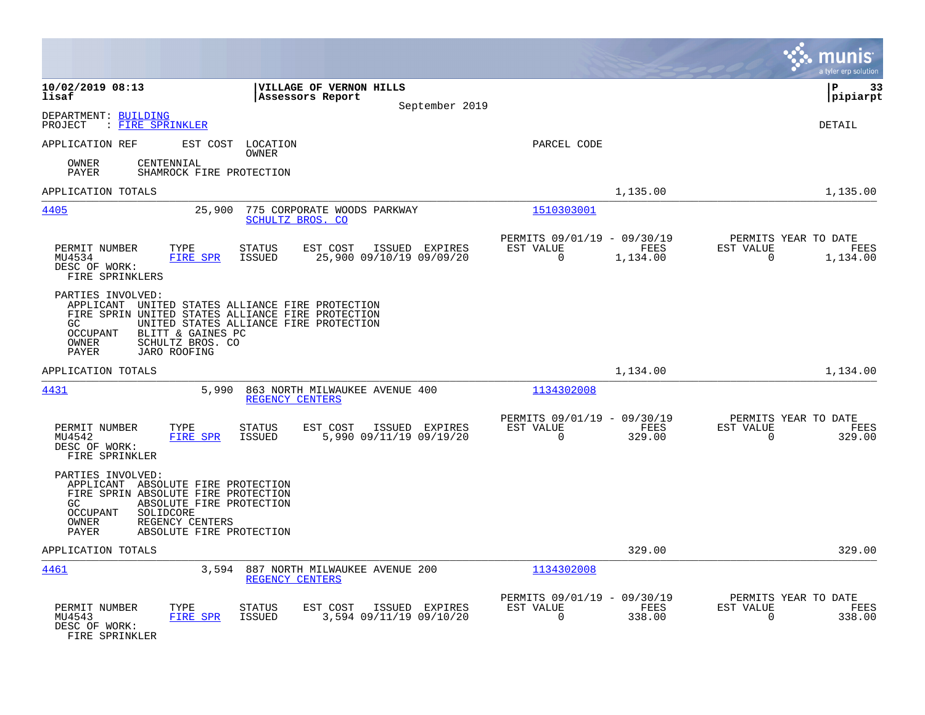|                                                                                                                                                                                                                                                                           |                                                               |                                                         |                            | munis<br>a tyler erp solution                                     |
|---------------------------------------------------------------------------------------------------------------------------------------------------------------------------------------------------------------------------------------------------------------------------|---------------------------------------------------------------|---------------------------------------------------------|----------------------------|-------------------------------------------------------------------|
| 10/02/2019 08:13<br>lisaf                                                                                                                                                                                                                                                 | VILLAGE OF VERNON HILLS<br>Assessors Report<br>September 2019 |                                                         |                            | l P<br>33<br> pipiarpt                                            |
| DEPARTMENT: BUILDING<br>: FIRE SPRINKLER<br>PROJECT                                                                                                                                                                                                                       |                                                               |                                                         |                            | <b>DETAIL</b>                                                     |
| EST COST LOCATION<br>APPLICATION REF<br>OWNER<br>CENTENNIAL<br>OWNER<br>PAYER<br>SHAMROCK FIRE PROTECTION                                                                                                                                                                 |                                                               | PARCEL CODE                                             |                            |                                                                   |
| APPLICATION TOTALS                                                                                                                                                                                                                                                        |                                                               |                                                         | 1,135.00                   | 1,135.00                                                          |
| 4405<br>25,900                                                                                                                                                                                                                                                            | 775 CORPORATE WOODS PARKWAY<br>SCHULTZ BROS. CO               | 1510303001                                              |                            |                                                                   |
| TYPE<br>PERMIT NUMBER<br>STATUS<br>FIRE SPR<br>MU4534<br>ISSUED<br>DESC OF WORK:<br>FIRE SPRINKLERS                                                                                                                                                                       | EST COST<br>ISSUED EXPIRES<br>25,900 09/10/19 09/09/20        | PERMITS 09/01/19 - 09/30/19<br>EST VALUE<br>$\mathbf 0$ | FEES<br>1,134.00           | PERMITS YEAR TO DATE<br>EST VALUE<br>FEES<br>$\Omega$<br>1,134.00 |
| PARTIES INVOLVED:<br>APPLICANT UNITED STATES ALLIANCE FIRE PROTECTION<br>FIRE SPRIN UNITED STATES ALLIANCE FIRE PROTECTION<br>UNITED STATES ALLIANCE FIRE PROTECTION<br>GC.<br>BLITT & GAINES PC<br>OCCUPANT<br>OWNER<br>SCHULTZ BROS. CO<br><b>JARO ROOFING</b><br>PAYER |                                                               |                                                         |                            |                                                                   |
| APPLICATION TOTALS                                                                                                                                                                                                                                                        |                                                               |                                                         | 1,134.00                   | 1,134.00                                                          |
| 4431<br>5,990                                                                                                                                                                                                                                                             | 863 NORTH MILWAUKEE AVENUE 400<br>REGENCY CENTERS             | 1134302008                                              |                            |                                                                   |
| PERMIT NUMBER<br>TYPE<br><b>STATUS</b><br>MU4542<br>FIRE SPR<br>ISSUED<br>DESC OF WORK:<br>FIRE SPRINKLER                                                                                                                                                                 | EST COST<br>ISSUED EXPIRES<br>5,990 09/11/19 09/19/20         | PERMITS 09/01/19 - 09/30/19<br>EST VALUE<br>$\Omega$    | FEES<br>329.00             | PERMITS YEAR TO DATE<br>EST VALUE<br>FEES<br>$\Omega$<br>329.00   |
| PARTIES INVOLVED:<br>APPLICANT ABSOLUTE FIRE PROTECTION<br>FIRE SPRIN ABSOLUTE FIRE PROTECTION<br>ABSOLUTE FIRE PROTECTION<br>GC.<br><b>OCCUPANT</b><br>SOLIDCORE<br>OWNER<br>REGENCY CENTERS<br>PAYER<br>ABSOLUTE FIRE PROTECTION                                        |                                                               |                                                         |                            |                                                                   |
| APPLICATION TOTALS                                                                                                                                                                                                                                                        |                                                               |                                                         | 329.00                     | 329.00                                                            |
| <u>4461</u>                                                                                                                                                                                                                                                               | 3,594 887 NORTH MILWAUKEE AVENUE 200<br>REGENCY CENTERS       | 1134302008                                              |                            |                                                                   |
| PERMIT NUMBER<br>TYPE<br><b>STATUS</b><br>MU4543<br>FIRE SPR<br><b>ISSUED</b><br>DESC OF WORK:<br>FIRE SPRINKLER                                                                                                                                                          | EST COST<br>ISSUED EXPIRES<br>3,594 09/11/19 09/10/20         | PERMITS 09/01/19 -<br>EST VALUE<br>0                    | 09/30/19<br>FEES<br>338.00 | PERMITS YEAR TO DATE<br>EST VALUE<br>FEES<br>$\Omega$<br>338.00   |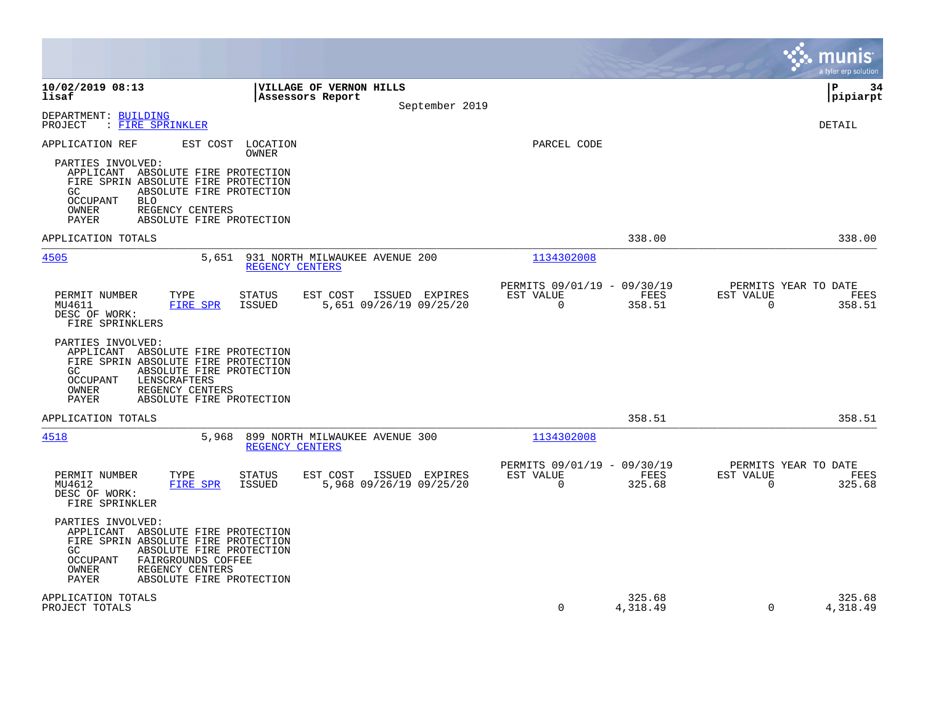|                                                                                                                                                                                                                                                                      |                                                                           |                                                                              | munis<br>a tyler erp solution                                         |
|----------------------------------------------------------------------------------------------------------------------------------------------------------------------------------------------------------------------------------------------------------------------|---------------------------------------------------------------------------|------------------------------------------------------------------------------|-----------------------------------------------------------------------|
| 10/02/2019 08:13<br>lisaf                                                                                                                                                                                                                                            | VILLAGE OF VERNON HILLS<br>Assessors Report<br>September 2019             |                                                                              | P<br>34<br>pipiarpt                                                   |
| DEPARTMENT: BUILDING<br>: FIRE SPRINKLER<br>PROJECT                                                                                                                                                                                                                  |                                                                           |                                                                              | <b>DETAIL</b>                                                         |
| APPLICATION REF<br>EST COST LOCATION<br>PARTIES INVOLVED:<br>APPLICANT ABSOLUTE FIRE PROTECTION<br>FIRE SPRIN ABSOLUTE FIRE PROTECTION<br>ABSOLUTE FIRE PROTECTION<br>GC.<br>OCCUPANT<br><b>BLO</b><br>OWNER<br>REGENCY CENTERS<br>PAYER<br>ABSOLUTE FIRE PROTECTION | <b>OWNER</b>                                                              | PARCEL CODE                                                                  |                                                                       |
| APPLICATION TOTALS                                                                                                                                                                                                                                                   |                                                                           | 338.00                                                                       | 338.00                                                                |
| 4505<br>5,651                                                                                                                                                                                                                                                        | 931 NORTH MILWAUKEE AVENUE 200<br>REGENCY CENTERS                         | 1134302008                                                                   |                                                                       |
| PERMIT NUMBER<br>TYPE<br>MU4611<br><b>FIRE SPR</b><br>DESC OF WORK:<br>FIRE SPRINKLERS                                                                                                                                                                               | STATUS<br>EST COST<br>ISSUED EXPIRES<br>ISSUED<br>5,651 09/26/19 09/25/20 | PERMITS 09/01/19 - 09/30/19<br>EST VALUE<br>FEES<br>$\overline{0}$<br>358.51 | PERMITS YEAR TO DATE<br>EST VALUE<br>FEES<br>$\overline{0}$<br>358.51 |
| PARTIES INVOLVED:<br>APPLICANT ABSOLUTE FIRE PROTECTION<br>FIRE SPRIN ABSOLUTE FIRE PROTECTION<br>ABSOLUTE FIRE PROTECTION<br>GC.<br>OCCUPANT<br>LENSCRAFTERS<br><b>OWNER</b><br>REGENCY CENTERS<br><b>PAYER</b><br>ABSOLUTE FIRE PROTECTION                         |                                                                           |                                                                              |                                                                       |
| APPLICATION TOTALS                                                                                                                                                                                                                                                   |                                                                           | 358.51                                                                       | 358.51                                                                |
| 4518<br>5,968                                                                                                                                                                                                                                                        | 899 NORTH MILWAUKEE AVENUE 300<br>REGENCY CENTERS                         | 1134302008                                                                   |                                                                       |
| PERMIT NUMBER<br>TYPE<br>MU4612<br><b>FIRE SPR</b><br>DESC OF WORK:<br>FIRE SPRINKLER                                                                                                                                                                                | STATUS<br>EST COST<br>ISSUED EXPIRES<br>ISSUED<br>5,968 09/26/19 09/25/20 | PERMITS 09/01/19 - 09/30/19<br>EST VALUE<br>FEES<br>$\mathbf 0$<br>325.68    | PERMITS YEAR TO DATE<br>EST VALUE<br>FEES<br>$\mathbf 0$<br>325.68    |
| PARTIES INVOLVED:<br>APPLICANT ABSOLUTE FIRE PROTECTION<br>FIRE SPRIN ABSOLUTE FIRE PROTECTION<br>GC<br>ABSOLUTE FIRE PROTECTION<br><b>OCCUPANT</b><br>FAIRGROUNDS COFFEE<br>OWNER<br>REGENCY CENTERS<br><b>PAYER</b><br>ABSOLUTE FIRE PROTECTION                    |                                                                           |                                                                              |                                                                       |
| APPLICATION TOTALS<br>PROJECT TOTALS                                                                                                                                                                                                                                 |                                                                           | 325.68<br>$\Omega$<br>4,318.49                                               | 325.68<br>$\Omega$<br>4,318.49                                        |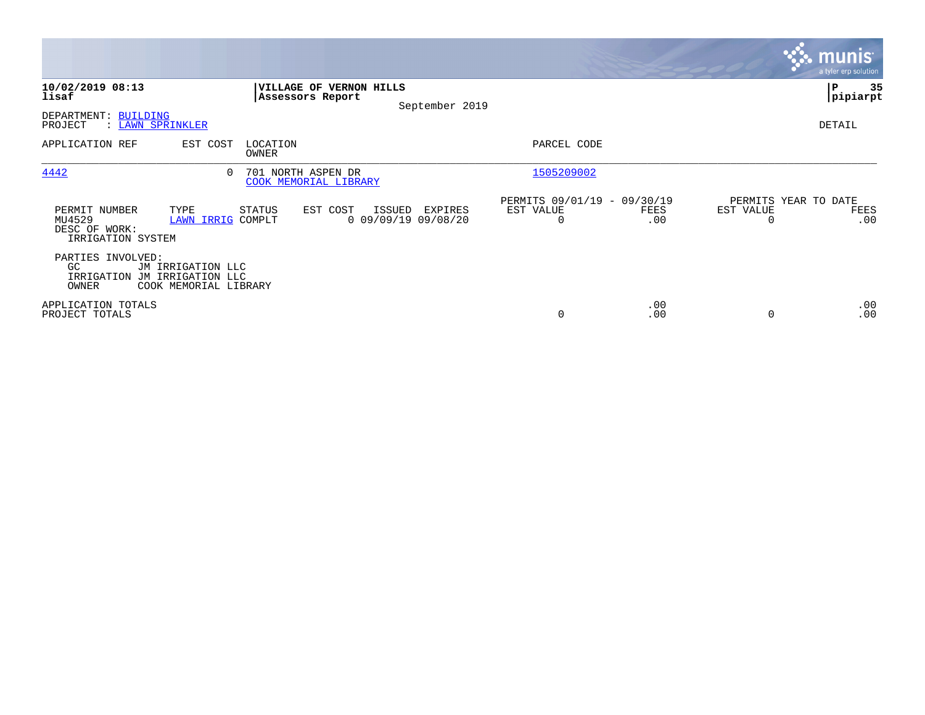|                                                                   |                                            |                                             |                                             |                |                                               |             |           | <b>munis</b><br>a tyler erp solution |
|-------------------------------------------------------------------|--------------------------------------------|---------------------------------------------|---------------------------------------------|----------------|-----------------------------------------------|-------------|-----------|--------------------------------------|
| 10/02/2019 08:13<br>lisaf                                         |                                            | Assessors Report                            | VILLAGE OF VERNON HILLS                     | September 2019 |                                               |             |           | ∣P<br>35<br> pipiarpt                |
| DEPARTMENT: BUILDING<br>PROJECT                                   | : LAWN SPRINKLER                           |                                             |                                             |                |                                               |             |           | DETAIL                               |
| APPLICATION REF                                                   | EST COST                                   | LOCATION<br>OWNER                           |                                             |                | PARCEL CODE                                   |             |           |                                      |
| 4442                                                              | $\Omega$                                   | 701 NORTH ASPEN DR<br>COOK MEMORIAL LIBRARY |                                             |                | 1505209002                                    |             |           |                                      |
| PERMIT NUMBER<br>MU4529<br>DESC OF WORK:<br>IRRIGATION SYSTEM     | TYPE<br><b>LAWN IRRIG COMPLT</b>           | STATUS                                      | EST COST<br>ISSUED<br>$0$ 09/09/19 09/08/20 | EXPIRES        | PERMITS 09/01/19 - 09/30/19<br>EST VALUE<br>0 | FEES<br>.00 | EST VALUE | PERMITS YEAR TO DATE<br>FEES<br>.00  |
| PARTIES INVOLVED:<br>GC.<br>IRRIGATION JM IRRIGATION LLC<br>OWNER | JM IRRIGATION LLC<br>COOK MEMORIAL LIBRARY |                                             |                                             |                |                                               |             |           |                                      |
| APPLICATION TOTALS<br>PROJECT TOTALS                              |                                            |                                             |                                             |                | 0                                             | .00<br>.00  |           | .00<br>.00                           |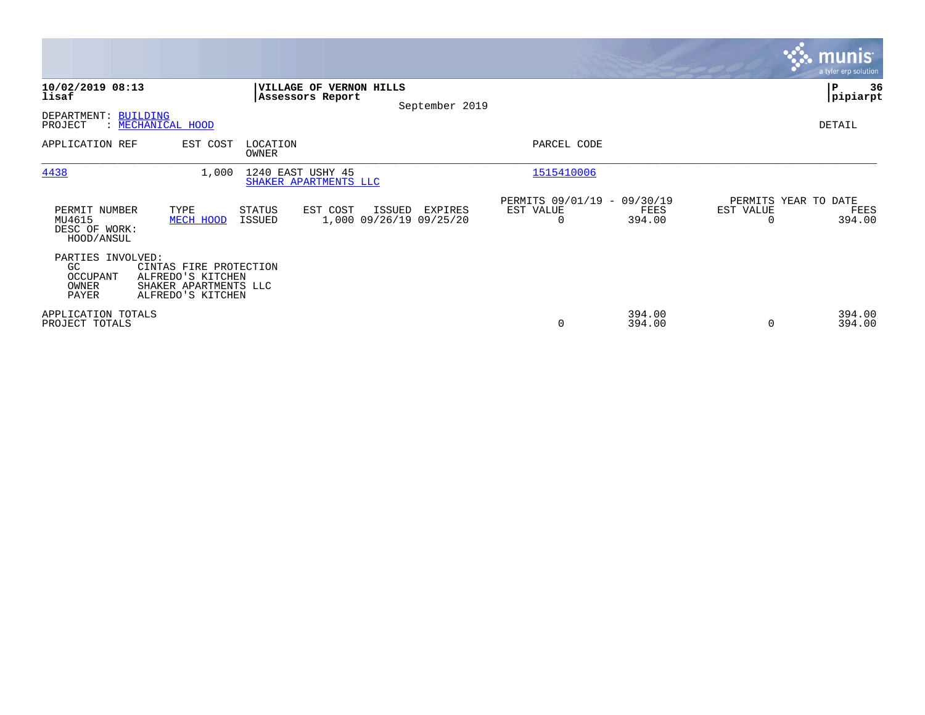|                                                        |                                                                                           |                                             |                                              |                                                      |                  |                                   | <b>munis</b><br>a tyler erp solution |
|--------------------------------------------------------|-------------------------------------------------------------------------------------------|---------------------------------------------|----------------------------------------------|------------------------------------------------------|------------------|-----------------------------------|--------------------------------------|
| 10/02/2019 08:13<br>lisaf                              |                                                                                           | VILLAGE OF VERNON HILLS<br>Assessors Report | September 2019                               |                                                      |                  |                                   | ∣P<br>36<br> pipiarpt                |
| DEPARTMENT:<br>PROJECT                                 | <b>BUILDING</b><br>: MECHANICAL HOOD                                                      |                                             |                                              |                                                      |                  |                                   | DETAIL                               |
| APPLICATION REF                                        | EST COST                                                                                  | LOCATION<br>OWNER                           |                                              | PARCEL CODE                                          |                  |                                   |                                      |
| 4438                                                   | 1,000                                                                                     | 1240 EAST USHY 45<br>SHAKER APARTMENTS LLC  |                                              | 1515410006                                           |                  |                                   |                                      |
| PERMIT NUMBER<br>MU4615<br>DESC OF WORK:<br>HOOD/ANSUL | TYPE<br>MECH HOOD                                                                         | STATUS<br>EST COST<br>ISSUED                | ISSUED<br>EXPIRES<br>1,000 09/26/19 09/25/20 | PERMITS 09/01/19 - 09/30/19<br>EST VALUE<br>$\Omega$ | FEES<br>394.00   | PERMITS YEAR TO DATE<br>EST VALUE | FEES<br>394.00                       |
| PARTIES INVOLVED:<br>GC.<br>OCCUPANT<br>OWNER<br>PAYER | CINTAS FIRE PROTECTION<br>ALFREDO'S KITCHEN<br>SHAKER APARTMENTS LLC<br>ALFREDO'S KITCHEN |                                             |                                              |                                                      |                  |                                   |                                      |
| APPLICATION TOTALS<br>PROJECT TOTALS                   |                                                                                           |                                             |                                              | 0                                                    | 394.00<br>394.00 | $\Omega$                          | 394.00<br>394.00                     |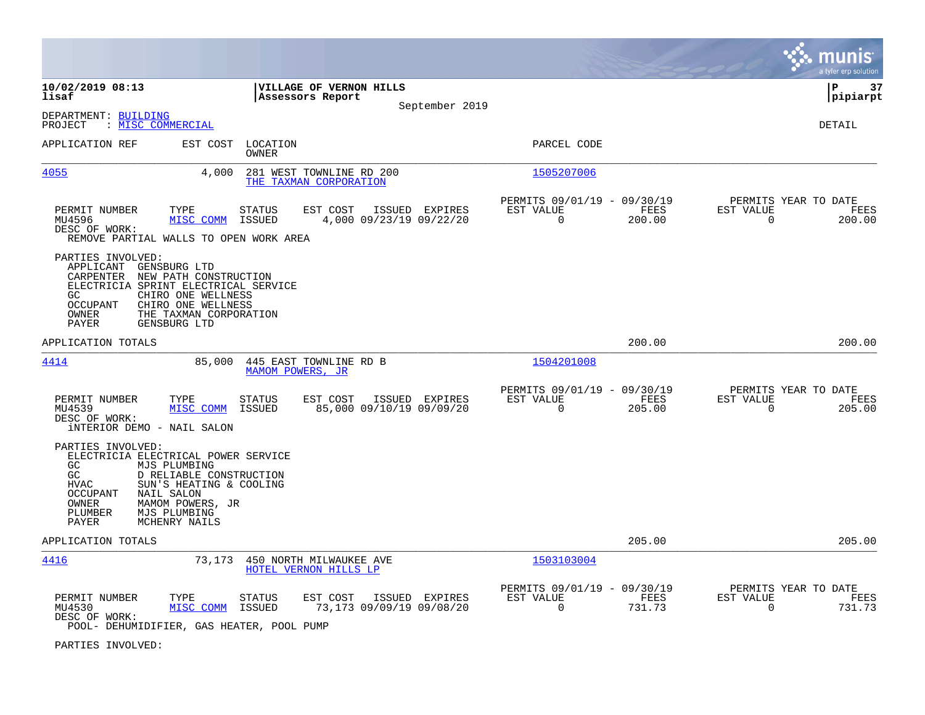|                                                                                                                                                                                                    |                                                                                             |                                                    |                |                                                            |                       |                                                  | munis<br>a tyler erp solution |
|----------------------------------------------------------------------------------------------------------------------------------------------------------------------------------------------------|---------------------------------------------------------------------------------------------|----------------------------------------------------|----------------|------------------------------------------------------------|-----------------------|--------------------------------------------------|-------------------------------|
| 10/02/2019 08:13<br>lisaf                                                                                                                                                                          |                                                                                             | VILLAGE OF VERNON HILLS<br>Assessors Report        | September 2019 |                                                            |                       |                                                  | l P<br>37<br> pipiarpt        |
| DEPARTMENT: BUILDING<br>: MISC COMMERCIAL<br>PROJECT                                                                                                                                               |                                                                                             |                                                    |                |                                                            |                       |                                                  | DETAIL                        |
| APPLICATION REF                                                                                                                                                                                    | EST COST<br>LOCATION<br><b>OWNER</b>                                                        |                                                    |                | PARCEL CODE                                                |                       |                                                  |                               |
| <u>4055</u>                                                                                                                                                                                        | 4,000                                                                                       | 281 WEST TOWNLINE RD 200<br>THE TAXMAN CORPORATION |                | 1505207006                                                 |                       |                                                  |                               |
| PERMIT NUMBER<br>TYPE<br>MU4596<br>DESC OF WORK:<br>REMOVE PARTIAL WALLS TO OPEN WORK AREA                                                                                                         | <b>STATUS</b><br>MISC COMM<br>ISSUED                                                        | EST COST<br>4,000 09/23/19 09/22/20                | ISSUED EXPIRES | PERMITS 09/01/19 - 09/30/19<br>EST VALUE<br>$\overline{0}$ | FEES<br>200.00        | PERMITS YEAR TO DATE<br>EST VALUE<br>0           | FEES<br>200.00                |
| PARTIES INVOLVED:<br>APPLICANT<br>GENSBURG LTD<br>CARPENTER<br>ELECTRICIA SPRINT ELECTRICAL SERVICE<br>GC.<br><b>OCCUPANT</b><br>OWNER<br>PAYER<br>GENSBURG LTD                                    | NEW PATH CONSTRUCTION<br>CHIRO ONE WELLNESS<br>CHIRO ONE WELLNESS<br>THE TAXMAN CORPORATION |                                                    |                |                                                            |                       |                                                  |                               |
| APPLICATION TOTALS                                                                                                                                                                                 |                                                                                             |                                                    |                |                                                            | 200.00                |                                                  | 200.00                        |
| 4414                                                                                                                                                                                               | 85,000                                                                                      | 445 EAST TOWNLINE RD B<br>MAMOM POWERS, JR         |                | 1504201008                                                 |                       |                                                  |                               |
| PERMIT NUMBER<br>TYPE<br>MU4539<br>DESC OF WORK:<br><b>iNTERIOR DEMO - NAIL SALON</b>                                                                                                              | <b>STATUS</b><br>MISC COMM<br><b>ISSUED</b>                                                 | EST COST<br>85,000 09/10/19 09/09/20               | ISSUED EXPIRES | PERMITS 09/01/19 - 09/30/19<br>EST VALUE<br>$\mathbf 0$    | <b>FEES</b><br>205.00 | PERMITS YEAR TO DATE<br>EST VALUE<br>$\mathbf 0$ | FEES<br>205.00                |
| PARTIES INVOLVED:<br>ELECTRICIA ELECTRICAL POWER SERVICE<br>GC<br>MJS PLUMBING<br>GC<br><b>HVAC</b><br>NAIL SALON<br><b>OCCUPANT</b><br>OWNER<br>PLUMBER<br>MJS PLUMBING<br>MCHENRY NAILS<br>PAYER | D RELIABLE CONSTRUCTION<br>SUN'S HEATING & COOLING<br>MAMOM POWERS, JR                      |                                                    |                |                                                            |                       |                                                  |                               |
| APPLICATION TOTALS                                                                                                                                                                                 |                                                                                             |                                                    |                |                                                            | 205.00                |                                                  | 205.00                        |
| 4416                                                                                                                                                                                               | 73,173                                                                                      | 450 NORTH MILWAUKEE AVE<br>HOTEL VERNON HILLS LP   |                | 1503103004                                                 |                       |                                                  |                               |
| PERMIT NUMBER<br>TYPE<br>MU4530<br>DESC OF WORK:<br>POOL- DEHUMIDIFIER, GAS HEATER, POOL PUMP                                                                                                      | STATUS<br>MISC COMM<br><b>ISSUED</b>                                                        | EST COST<br>73,173 09/09/19 09/08/20               | ISSUED EXPIRES | PERMITS 09/01/19 - 09/30/19<br>EST VALUE<br>$\mathbf 0$    | <b>FEES</b><br>731.73 | PERMITS YEAR TO DATE<br>EST VALUE<br>$\Omega$    | FEES<br>731.73                |

PARTIES INVOLVED: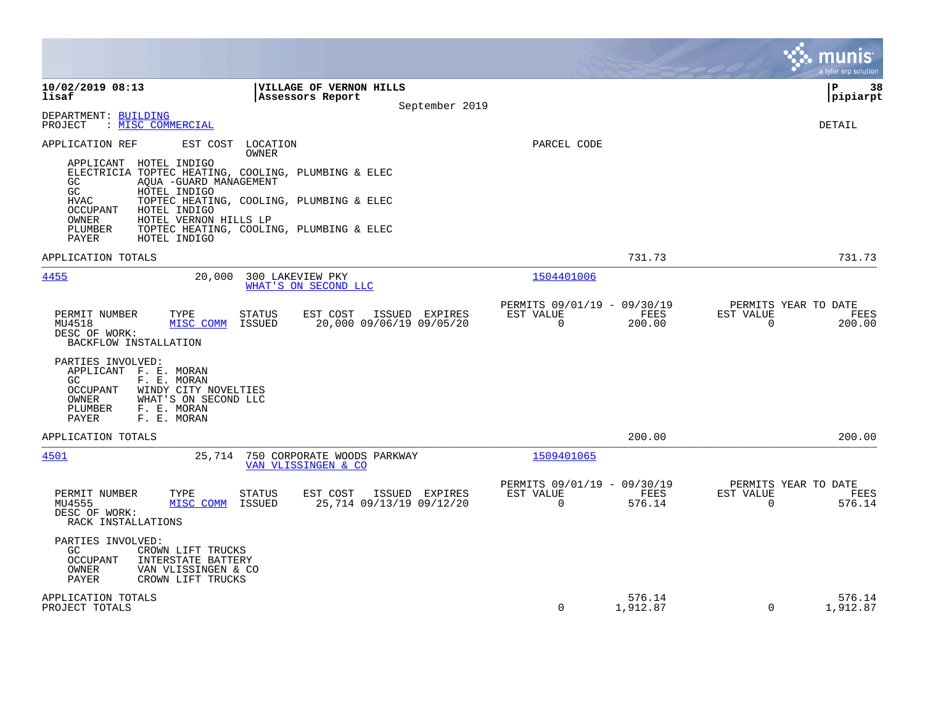|                                                                                                                                                                                                                                                                                                                                                                                                                                  |                                                                                                                     |                                                                    |                    |                       | a tyler erp solution                   |
|----------------------------------------------------------------------------------------------------------------------------------------------------------------------------------------------------------------------------------------------------------------------------------------------------------------------------------------------------------------------------------------------------------------------------------|---------------------------------------------------------------------------------------------------------------------|--------------------------------------------------------------------|--------------------|-----------------------|----------------------------------------|
| 10/02/2019 08:13<br>lisaf<br>DEPARTMENT: BUILDING                                                                                                                                                                                                                                                                                                                                                                                | VILLAGE OF VERNON HILLS<br>Assessors Report<br>September 2019                                                       |                                                                    |                    |                       | l P<br>38<br>pipiarpt                  |
| : MISC COMMERCIAL<br>PROJECT<br>APPLICATION REF<br>EST COST<br>LOCATION<br>OWNER<br>APPLICANT HOTEL INDIGO<br>ELECTRICIA TOPTEC HEATING, COOLING, PLUMBING & ELEC<br>GC<br>AOUA -GUARD MANAGEMENT<br>GC<br>HOTEL INDIGO<br><b>HVAC</b><br>TOPTEC HEATING, COOLING, PLUMBING & ELEC<br>OCCUPANT<br>HOTEL INDIGO<br>HOTEL VERNON HILLS LP<br>OWNER<br>PLUMBER<br>TOPTEC HEATING, COOLING, PLUMBING & ELEC<br>PAYER<br>HOTEL INDIGO |                                                                                                                     | PARCEL CODE                                                        |                    |                       | DETAIL                                 |
| APPLICATION TOTALS                                                                                                                                                                                                                                                                                                                                                                                                               |                                                                                                                     |                                                                    | 731.73             |                       | 731.73                                 |
| 4455<br>20,000<br>PERMIT NUMBER<br>TYPE<br><b>STATUS</b><br>ISSUED<br>MU4518<br>MISC COMM<br>DESC OF WORK:<br>BACKFLOW INSTALLATION<br>PARTIES INVOLVED:<br>APPLICANT F. E. MORAN<br>GC.<br>F. E. MORAN<br>WINDY CITY NOVELTIES<br><b>OCCUPANT</b><br>WHAT'S ON SECOND LLC<br>OWNER<br>F. E. MORAN<br>PLUMBER<br>PAYER<br>F. E. MORAN                                                                                            | 300 LAKEVIEW PKY<br>WHAT'S ON SECOND LLC<br>EST COST<br>ISSUED EXPIRES<br>20,000 09/06/19 09/05/20                  | 1504401006<br>PERMITS 09/01/19 - 09/30/19<br>EST VALUE<br>0        | FEES<br>200.00     | EST VALUE<br>$\Omega$ | PERMITS YEAR TO DATE<br>FEES<br>200.00 |
| APPLICATION TOTALS                                                                                                                                                                                                                                                                                                                                                                                                               |                                                                                                                     |                                                                    | 200.00             |                       | 200.00                                 |
| 4501<br>PERMIT NUMBER<br>STATUS<br>TYPE<br>MU4555<br>MISC COMM<br>ISSUED<br>DESC OF WORK:<br>RACK INSTALLATIONS<br>PARTIES INVOLVED:<br>GC<br>CROWN LIFT TRUCKS<br><b>OCCUPANT</b><br>INTERSTATE BATTERY<br>OWNER<br>VAN VLISSINGEN & CO<br>PAYER<br>CROWN LIFT TRUCKS                                                                                                                                                           | 25,714 750 CORPORATE WOODS PARKWAY<br>VAN VLISSINGEN & CO<br>EST COST<br>ISSUED EXPIRES<br>25,714 09/13/19 09/12/20 | 1509401065<br>PERMITS 09/01/19 - 09/30/19<br>EST VALUE<br>$\Omega$ | FEES<br>576.14     | EST VALUE<br>$\Omega$ | PERMITS YEAR TO DATE<br>FEES<br>576.14 |
| APPLICATION TOTALS<br>PROJECT TOTALS                                                                                                                                                                                                                                                                                                                                                                                             |                                                                                                                     | $\Omega$                                                           | 576.14<br>1,912.87 | $\Omega$              | 576.14<br>1,912.87                     |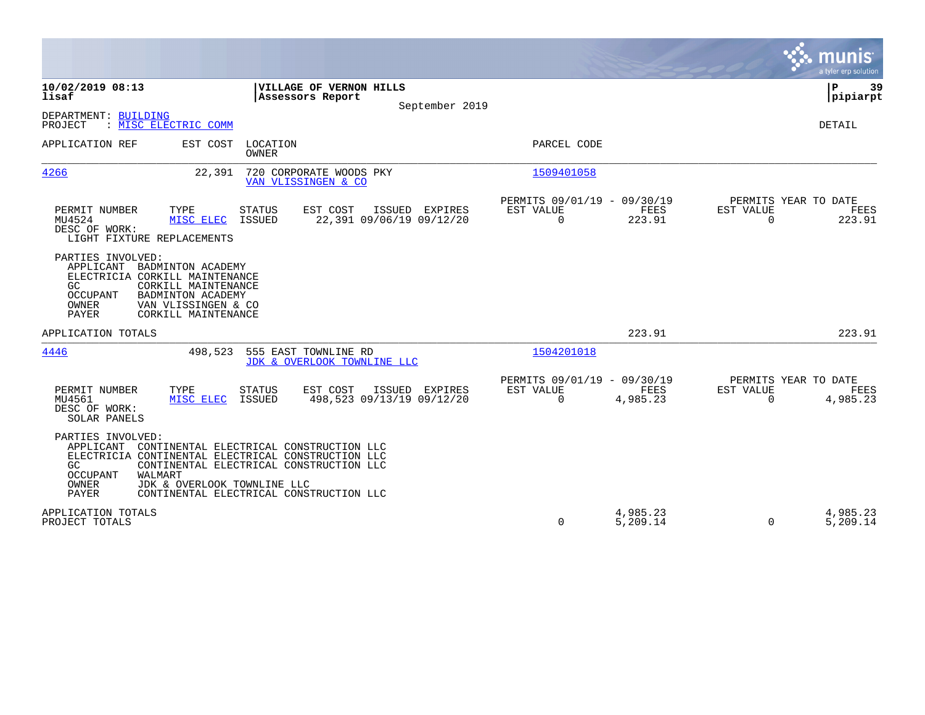|                                                                                                                                                                                                                                                                                                      | munis<br>a tyler erp solution                                                                                                          |
|------------------------------------------------------------------------------------------------------------------------------------------------------------------------------------------------------------------------------------------------------------------------------------------------------|----------------------------------------------------------------------------------------------------------------------------------------|
| 10/02/2019 08:13<br>VILLAGE OF VERNON HILLS<br>lisaf<br>Assessors Report                                                                                                                                                                                                                             | ΙP<br>39<br> pipiarpt<br>September 2019                                                                                                |
| DEPARTMENT: BUILDING<br>: MISC ELECTRIC COMM<br>PROJECT                                                                                                                                                                                                                                              | <b>DETAIL</b>                                                                                                                          |
| APPLICATION REF<br>EST COST<br>LOCATION<br>OWNER                                                                                                                                                                                                                                                     | PARCEL CODE                                                                                                                            |
| 4266<br>22,391<br>720 CORPORATE WOODS PKY<br>VAN VLISSINGEN & CO                                                                                                                                                                                                                                     | 1509401058                                                                                                                             |
| PERMIT NUMBER<br>TYPE<br><b>STATUS</b><br>EST COST<br>ISSUED EXPIRES<br>22,391 09/06/19 09/12/20<br>MU4524<br>MISC ELEC<br>ISSUED<br>DESC OF WORK:<br>LIGHT FIXTURE REPLACEMENTS                                                                                                                     | PERMITS 09/01/19 - 09/30/19<br>PERMITS YEAR TO DATE<br>FEES<br>EST VALUE<br>EST VALUE<br>FEES<br>223.91<br>0<br>$\mathbf 0$<br>223.91  |
| PARTIES INVOLVED:<br>APPLICANT<br>BADMINTON ACADEMY<br>ELECTRICIA CORKILL MAINTENANCE<br>GC.<br>CORKILL MAINTENANCE<br><b>OCCUPANT</b><br>BADMINTON ACADEMY<br>OWNER<br>VAN VLISSINGEN & CO<br><b>PAYER</b><br>CORKILL MAINTENANCE                                                                   |                                                                                                                                        |
| APPLICATION TOTALS                                                                                                                                                                                                                                                                                   | 223.91<br>223.91                                                                                                                       |
| 4446<br>555 EAST TOWNLINE RD<br>498,523<br>JDK & OVERLOOK TOWNLINE LLC                                                                                                                                                                                                                               | 1504201018                                                                                                                             |
| PERMIT NUMBER<br>TYPE<br>EST COST<br>ISSUED EXPIRES<br>STATUS<br>498,523 09/13/19 09/12/20<br>MU4561<br>MISC ELEC<br>ISSUED<br>DESC OF WORK:<br>SOLAR PANELS                                                                                                                                         | PERMITS 09/01/19 - 09/30/19<br>PERMITS YEAR TO DATE<br>EST VALUE<br>FEES<br>EST VALUE<br>FEES<br>0<br>4,985.23<br>4,985.23<br>$\Omega$ |
| PARTIES INVOLVED:<br>APPLICANT<br>CONTINENTAL ELECTRICAL CONSTRUCTION LLC<br>ELECTRICIA CONTINENTAL ELECTRICAL CONSTRUCTION LLC<br>GC.<br>CONTINENTAL ELECTRICAL CONSTRUCTION LLC<br>WALMART<br>OCCUPANT<br>OWNER<br>JDK & OVERLOOK TOWNLINE LLC<br>PAYER<br>CONTINENTAL ELECTRICAL CONSTRUCTION LLC |                                                                                                                                        |
| APPLICATION TOTALS<br>PROJECT TOTALS                                                                                                                                                                                                                                                                 | 4,985.23<br>4,985.23<br>0<br>5,209.14<br>$\Omega$<br>5,209.14                                                                          |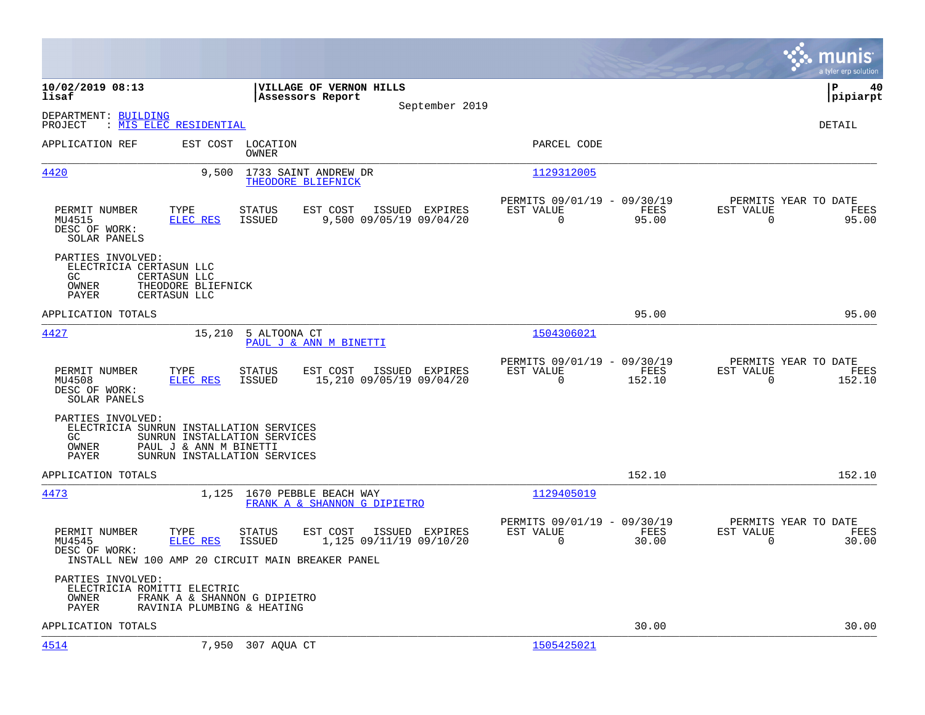|                                                                      |                                                                                                                                                           |                                                                        | munis<br>a tyler erp solution                                        |
|----------------------------------------------------------------------|-----------------------------------------------------------------------------------------------------------------------------------------------------------|------------------------------------------------------------------------|----------------------------------------------------------------------|
| 10/02/2019 08:13<br>lisaf                                            | VILLAGE OF VERNON HILLS<br>Assessors Report<br>September 2019                                                                                             |                                                                        | l P<br>40<br> pipiarpt                                               |
| DEPARTMENT: BUILDING<br>: MIS ELEC RESIDENTIAL<br>PROJECT            |                                                                                                                                                           |                                                                        | DETAIL                                                               |
| APPLICATION REF                                                      | EST COST LOCATION<br>OWNER                                                                                                                                | PARCEL CODE                                                            |                                                                      |
| 4420                                                                 | 9,500<br>1733 SAINT ANDREW DR<br>THEODORE BLIEFNICK                                                                                                       | 1129312005                                                             |                                                                      |
| PERMIT NUMBER<br>MU4515<br>DESC OF WORK:<br>SOLAR PANELS             | TYPE<br><b>STATUS</b><br>EST COST<br>ISSUED EXPIRES<br>ELEC RES<br>ISSUED<br>9,500 09/05/19 09/04/20                                                      | PERMITS 09/01/19 - 09/30/19<br>EST VALUE<br>FEES<br>$\Omega$<br>95.00  | PERMITS YEAR TO DATE<br>EST VALUE<br>FEES<br>$\mathbf 0$<br>95.00    |
| PARTIES INVOLVED:<br>ELECTRICIA CERTASUN LLC<br>GC<br>OWNER<br>PAYER | CERTASUN LLC<br>THEODORE BLIEFNICK<br>CERTASUN LLC                                                                                                        |                                                                        |                                                                      |
| APPLICATION TOTALS                                                   |                                                                                                                                                           | 95.00                                                                  | 95.00                                                                |
| 4427                                                                 | 15,210 5 ALTOONA CT<br>PAUL J & ANN M BINETTI                                                                                                             | 1504306021                                                             |                                                                      |
| PERMIT NUMBER<br>MU4508<br>DESC OF WORK:<br>SOLAR PANELS             | TYPE<br><b>STATUS</b><br>EST COST<br>ISSUED EXPIRES<br><b>ELEC RES</b><br>ISSUED<br>15,210 09/05/19 09/04/20                                              | PERMITS 09/01/19 - 09/30/19<br>EST VALUE<br>FEES<br>$\Omega$<br>152.10 | PERMITS YEAR TO DATE<br>EST VALUE<br>FEES<br>$\Omega$<br>152.10      |
| PARTIES INVOLVED:<br>GC.<br>OWNER<br>PAYER                           | ELECTRICIA SUNRUN INSTALLATION SERVICES<br>SUNRUN INSTALLATION SERVICES<br>PAUL J & ANN M BINETTI<br>SUNRUN INSTALLATION SERVICES                         |                                                                        |                                                                      |
| APPLICATION TOTALS                                                   |                                                                                                                                                           | 152.10                                                                 | 152.10                                                               |
| 4473                                                                 | 1,125<br>1670 PEBBLE BEACH WAY<br>FRANK A & SHANNON G DIPIETRO                                                                                            | 1129405019                                                             |                                                                      |
| PERMIT NUMBER<br>MU4545<br>DESC OF WORK:                             | TYPE<br>EST COST<br>ISSUED EXPIRES<br>STATUS<br>ELEC RES<br><b>ISSUED</b><br>1,125 09/11/19 09/10/20<br>INSTALL NEW 100 AMP 20 CIRCUIT MAIN BREAKER PANEL | PERMITS 09/01/19 - 09/30/19<br>EST VALUE<br>FEES<br>$\Omega$<br>30.00  | PERMITS YEAR TO DATE<br>EST VALUE<br>FEES<br>$\overline{0}$<br>30.00 |
| PARTIES INVOLVED:<br>ELECTRICIA ROMITTI ELECTRIC<br>OWNER<br>PAYER   | FRANK A & SHANNON G DIPIETRO<br>RAVINIA PLUMBING & HEATING                                                                                                |                                                                        |                                                                      |
| APPLICATION TOTALS                                                   |                                                                                                                                                           | 30.00                                                                  | 30.00                                                                |
| 4514                                                                 | 7,950 307 AQUA CT                                                                                                                                         | 1505425021                                                             |                                                                      |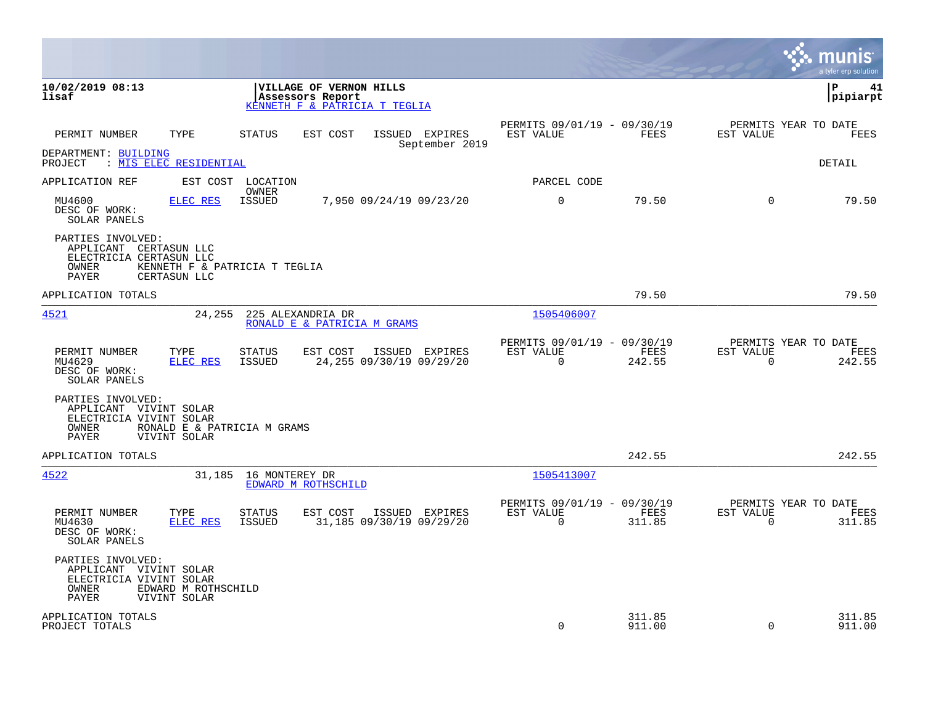|                                                                                                 |                                               |                            |                                                                              |                                            |                                                      |                  |                          | munis<br>a tyler erp solution          |
|-------------------------------------------------------------------------------------------------|-----------------------------------------------|----------------------------|------------------------------------------------------------------------------|--------------------------------------------|------------------------------------------------------|------------------|--------------------------|----------------------------------------|
| 10/02/2019 08:13<br>lisaf                                                                       |                                               |                            | VILLAGE OF VERNON HILLS<br>Assessors Report<br>KENNETH F & PATRICIA T TEGLIA |                                            |                                                      |                  |                          | lР<br>41<br> pipiarpt                  |
| PERMIT NUMBER                                                                                   | TYPE                                          | <b>STATUS</b>              | EST COST                                                                     | ISSUED EXPIRES<br>September 2019           | PERMITS 09/01/19 - 09/30/19<br>EST VALUE             | FEES             | EST VALUE                | PERMITS YEAR TO DATE<br>FEES           |
| DEPARTMENT: BUILDING<br>PROJECT : MIS ELEC RESIDENTIAL                                          |                                               |                            |                                                                              |                                            |                                                      |                  |                          | DETAIL                                 |
| APPLICATION REF                                                                                 |                                               | EST COST LOCATION<br>OWNER |                                                                              |                                            | PARCEL CODE                                          |                  |                          |                                        |
| MU4600<br>DESC OF WORK:<br>SOLAR PANELS                                                         | <b>ELEC RES</b>                               | <b>ISSUED</b>              |                                                                              | 7,950 09/24/19 09/23/20                    | $\mathbf 0$                                          | 79.50            | $\Omega$                 | 79.50                                  |
| PARTIES INVOLVED:<br>APPLICANT CERTASUN LLC<br>ELECTRICIA CERTASUN LLC<br>OWNER<br>PAYER        | KENNETH F & PATRICIA T TEGLIA<br>CERTASUN LLC |                            |                                                                              |                                            |                                                      |                  |                          |                                        |
| APPLICATION TOTALS                                                                              |                                               |                            |                                                                              |                                            |                                                      | 79.50            |                          | 79.50                                  |
| 4521                                                                                            | 24,255                                        |                            | 225 ALEXANDRIA DR<br>RONALD E & PATRICIA M GRAMS                             |                                            | 1505406007                                           |                  |                          |                                        |
| PERMIT NUMBER<br>MU4629<br>DESC OF WORK:<br>SOLAR PANELS                                        | TYPE<br>ELEC RES                              | STATUS<br>ISSUED           | EST COST                                                                     | ISSUED EXPIRES<br>24,255 09/30/19 09/29/20 | PERMITS 09/01/19 - 09/30/19<br>EST VALUE<br>$\Omega$ | FEES<br>242.55   | EST VALUE<br>$\mathbf 0$ | PERMITS YEAR TO DATE<br>FEES<br>242.55 |
| PARTIES INVOLVED:<br>APPLICANT VIVINT SOLAR<br>ELECTRICIA VIVINT SOLAR<br>OWNER<br>PAYER        | RONALD E & PATRICIA M GRAMS<br>VIVINT SOLAR   |                            |                                                                              |                                            |                                                      |                  |                          |                                        |
| APPLICATION TOTALS                                                                              |                                               |                            |                                                                              |                                            |                                                      | 242.55           |                          | 242.55                                 |
| 4522                                                                                            |                                               | 31,185 16 MONTEREY DR      | EDWARD M ROTHSCHILD                                                          |                                            | 1505413007                                           |                  |                          |                                        |
| PERMIT NUMBER<br>MU4630<br>DESC OF WORK:<br>SOLAR PANELS                                        | TYPE<br><b>ELEC RES</b>                       | <b>STATUS</b><br>ISSUED    | EST COST                                                                     | ISSUED EXPIRES<br>31,185 09/30/19 09/29/20 | PERMITS 09/01/19 - 09/30/19<br>EST VALUE<br>$\Omega$ | FEES<br>311.85   | EST VALUE<br>$\Omega$    | PERMITS YEAR TO DATE<br>FEES<br>311.85 |
| PARTIES INVOLVED:<br>APPLICANT VIVINT SOLAR<br>ELECTRICIA VIVINT SOLAR<br>OWNER<br><b>PAYER</b> | EDWARD M ROTHSCHILD<br>VIVINT SOLAR           |                            |                                                                              |                                            |                                                      |                  |                          |                                        |
| APPLICATION TOTALS<br>PROJECT TOTALS                                                            |                                               |                            |                                                                              |                                            | $\Omega$                                             | 311.85<br>911.00 | $\Omega$                 | 311.85<br>911.00                       |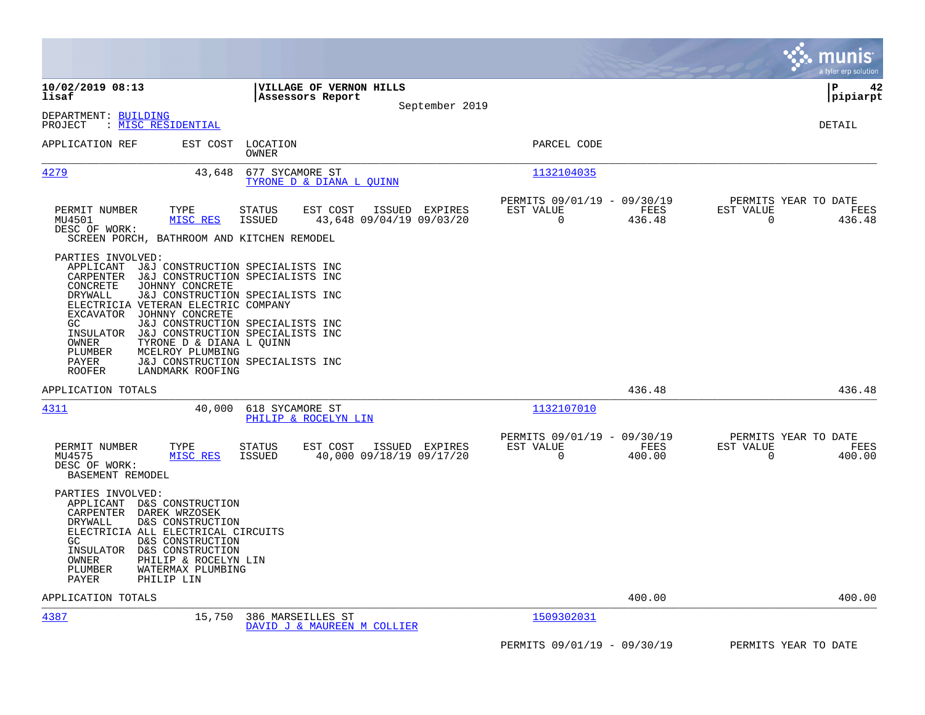|                                                                                                                                                                                                                                                                                                                                                                                                                                                                                                                         |                                                               |                                                         |                | munis<br>a tyler erp solution                                   |
|-------------------------------------------------------------------------------------------------------------------------------------------------------------------------------------------------------------------------------------------------------------------------------------------------------------------------------------------------------------------------------------------------------------------------------------------------------------------------------------------------------------------------|---------------------------------------------------------------|---------------------------------------------------------|----------------|-----------------------------------------------------------------|
| 10/02/2019 08:13<br>lisaf                                                                                                                                                                                                                                                                                                                                                                                                                                                                                               | VILLAGE OF VERNON HILLS<br>Assessors Report<br>September 2019 |                                                         |                | ΙP<br>42<br> pipiarpt                                           |
| DEPARTMENT: BUILDING<br>: MISC RESIDENTIAL<br>PROJECT                                                                                                                                                                                                                                                                                                                                                                                                                                                                   |                                                               |                                                         |                | DETAIL                                                          |
| APPLICATION REF<br>EST COST<br>LOCATION<br>OWNER                                                                                                                                                                                                                                                                                                                                                                                                                                                                        |                                                               | PARCEL CODE                                             |                |                                                                 |
| <u>4279</u><br>43,648<br>677 SYCAMORE ST                                                                                                                                                                                                                                                                                                                                                                                                                                                                                | TYRONE D & DIANA L OUINN                                      | 1132104035                                              |                |                                                                 |
| PERMIT NUMBER<br>TYPE<br><b>STATUS</b><br>MU4501<br>MISC RES<br>ISSUED<br>DESC OF WORK:<br>SCREEN PORCH, BATHROOM AND KITCHEN REMODEL                                                                                                                                                                                                                                                                                                                                                                                   | EST COST<br>ISSUED EXPIRES<br>43,648 09/04/19 09/03/20        | PERMITS 09/01/19 - 09/30/19<br>EST VALUE<br>0           | FEES<br>436.48 | PERMITS YEAR TO DATE<br>EST VALUE<br>FEES<br>0<br>436.48        |
| PARTIES INVOLVED:<br>APPLICANT J&J CONSTRUCTION SPECIALISTS INC<br>CARPENTER<br>J&J CONSTRUCTION SPECIALISTS INC<br>CONCRETE<br>JOHNNY CONCRETE<br>DRYWALL<br>J&J CONSTRUCTION SPECIALISTS INC<br>ELECTRICIA VETERAN ELECTRIC COMPANY<br>EXCAVATOR<br>JOHNNY CONCRETE<br>GC.<br>J&J CONSTRUCTION SPECIALISTS INC<br>J&J CONSTRUCTION SPECIALISTS INC<br>INSULATOR<br>OWNER<br>TYRONE D & DIANA L QUINN<br>PLUMBER<br>MCELROY PLUMBING<br>J&J CONSTRUCTION SPECIALISTS INC<br>PAYER<br><b>ROOFER</b><br>LANDMARK ROOFING |                                                               |                                                         |                |                                                                 |
| APPLICATION TOTALS                                                                                                                                                                                                                                                                                                                                                                                                                                                                                                      |                                                               |                                                         | 436.48         | 436.48                                                          |
| 4311<br>40,000<br>618 SYCAMORE ST                                                                                                                                                                                                                                                                                                                                                                                                                                                                                       | PHILIP & ROCELYN LIN                                          | 1132107010                                              |                |                                                                 |
| PERMIT NUMBER<br>TYPE<br><b>STATUS</b><br>MU4575<br>MISC RES<br>ISSUED<br>DESC OF WORK:<br>BASEMENT REMODEL                                                                                                                                                                                                                                                                                                                                                                                                             | EST COST<br>ISSUED EXPIRES<br>40,000 09/18/19 09/17/20        | PERMITS 09/01/19 - 09/30/19<br>EST VALUE<br>$\mathbf 0$ | FEES<br>400.00 | PERMITS YEAR TO DATE<br>EST VALUE<br>FEES<br>$\Omega$<br>400.00 |
| PARTIES INVOLVED:<br>APPLICANT D&S CONSTRUCTION<br>CARPENTER<br>DAREK WRZOSEK<br>DRYWALL<br>D&S CONSTRUCTION<br>ELECTRICIA ALL ELECTRICAL CIRCUITS<br>D&S CONSTRUCTION<br>GC.<br>INSULATOR D&S CONSTRUCTION<br>OWNER<br>PHILIP & ROCELYN LIN<br>PLUMBER<br>WATERMAX PLUMBING<br>PAYER<br>PHILIP LIN                                                                                                                                                                                                                     |                                                               |                                                         |                |                                                                 |
| APPLICATION TOTALS                                                                                                                                                                                                                                                                                                                                                                                                                                                                                                      |                                                               |                                                         | 400.00         | 400.00                                                          |
| 4387<br>15,750<br>386 MARSEILLES ST                                                                                                                                                                                                                                                                                                                                                                                                                                                                                     | DAVID J & MAUREEN M COLLIER                                   | 1509302031                                              |                |                                                                 |
|                                                                                                                                                                                                                                                                                                                                                                                                                                                                                                                         |                                                               | PERMITS 09/01/19 - 09/30/19                             |                | PERMITS YEAR TO DATE                                            |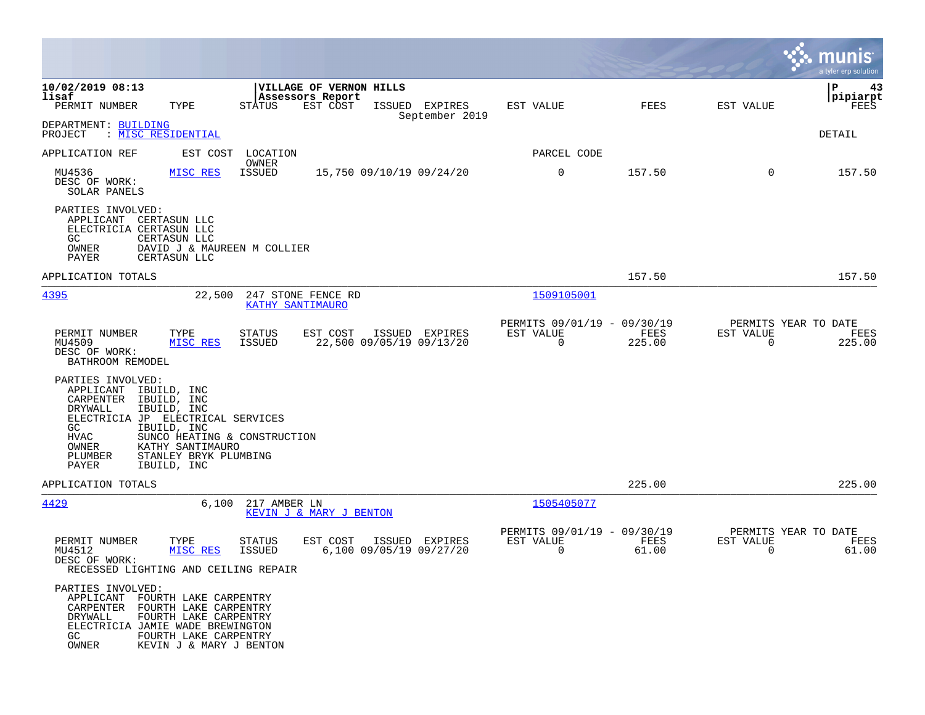|                                                                                                                                                                |                                                                                                                             |                                |                                                         |                                           |                                                         |                |                                               | a tyler erp solution          |
|----------------------------------------------------------------------------------------------------------------------------------------------------------------|-----------------------------------------------------------------------------------------------------------------------------|--------------------------------|---------------------------------------------------------|-------------------------------------------|---------------------------------------------------------|----------------|-----------------------------------------------|-------------------------------|
| 10/02/2019 08:13<br>lisaf<br>PERMIT NUMBER                                                                                                                     | TYPE                                                                                                                        | <b>STATUS</b>                  | VILLAGE OF VERNON HILLS<br>Assessors Report<br>EST COST | ISSUED EXPIRES<br>September 2019          | EST VALUE                                               | FEES           | EST VALUE                                     | ΙP<br>43<br> pipiarpt<br>FEES |
| DEPARTMENT: BUILDING<br>: MISC RESIDENTIAL<br>PROJECT                                                                                                          |                                                                                                                             |                                |                                                         |                                           |                                                         |                |                                               | DETAIL                        |
| APPLICATION REF                                                                                                                                                |                                                                                                                             | EST COST LOCATION<br>OWNER     |                                                         |                                           | PARCEL CODE                                             |                |                                               |                               |
| MU4536<br>DESC OF WORK:<br>SOLAR PANELS                                                                                                                        | MISC RES                                                                                                                    | ISSUED                         | 15,750 09/10/19 09/24/20                                |                                           | $\mathbf 0$                                             | 157.50         | $\mathbf 0$                                   | 157.50                        |
| PARTIES INVOLVED:<br>APPLICANT CERTASUN LLC<br>ELECTRICIA CERTASUN LLC<br>GC.<br>OWNER<br>PAYER                                                                | CERTASUN LLC<br>DAVID J & MAUREEN M COLLIER<br>CERTASUN LLC                                                                 |                                |                                                         |                                           |                                                         |                |                                               |                               |
| APPLICATION TOTALS                                                                                                                                             |                                                                                                                             |                                |                                                         |                                           |                                                         | 157.50         |                                               | 157.50                        |
| 4395                                                                                                                                                           | 22,500                                                                                                                      | KATHY SANTIMAURO               | 247 STONE FENCE RD                                      |                                           | 1509105001                                              |                |                                               |                               |
| PERMIT NUMBER<br>MU4509<br>DESC OF WORK:<br>BATHROOM REMODEL                                                                                                   | TYPE<br>MISC RES                                                                                                            | STATUS<br>ISSUED               | EST COST<br>22,500 09/05/19 09/13/20                    | ISSUED EXPIRES                            | PERMITS 09/01/19 - 09/30/19<br>EST VALUE<br>$\mathbf 0$ | FEES<br>225.00 | PERMITS YEAR TO DATE<br>EST VALUE<br>$\Omega$ | FEES<br>225.00                |
| PARTIES INVOLVED:<br>APPLICANT IBUILD, INC<br>CARPENTER IBUILD, INC<br>DRYWALL<br>ELECTRICIA JP ELECTRICAL SERVICES<br>GC<br>HVAC<br>OWNER<br>PLUMBER<br>PAYER | IBUILD, INC<br>IBUILD, INC<br>SUNCO HEATING & CONSTRUCTION<br>KATHY SANTIMAURO<br>STANLEY BRYK PLUMBING<br>IBUILD, INC      |                                |                                                         |                                           |                                                         |                |                                               |                               |
| APPLICATION TOTALS                                                                                                                                             |                                                                                                                             |                                |                                                         |                                           |                                                         | 225.00         |                                               | 225.00                        |
| 4429                                                                                                                                                           | 6,100                                                                                                                       | 217 AMBER LN                   | KEVIN J & MARY J BENTON                                 |                                           | 1505405077                                              |                |                                               |                               |
| PERMIT NUMBER<br>MU4512<br>DESC OF WORK:<br>RECESSED LIGHTING AND CEILING REPAIR                                                                               | TYPE<br>MISC RES                                                                                                            | <b>STATUS</b><br><b>ISSUED</b> | EST COST                                                | ISSUED EXPIRES<br>6,100 09/05/19 09/27/20 | PERMITS 09/01/19 - 09/30/19<br>EST VALUE<br>0           | FEES<br>61.00  | PERMITS YEAR TO DATE<br>EST VALUE<br>0        | FEES<br>61.00                 |
| PARTIES INVOLVED:<br>APPLICANT<br>CARPENTER<br>DRYWALL<br>ELECTRICIA JAMIE WADE BREWINGTON<br>GC<br>OWNER                                                      | FOURTH LAKE CARPENTRY<br>FOURTH LAKE CARPENTRY<br>FOURTH LAKE CARPENTRY<br>FOURTH LAKE CARPENTRY<br>KEVIN J & MARY J BENTON |                                |                                                         |                                           |                                                         |                |                                               |                               |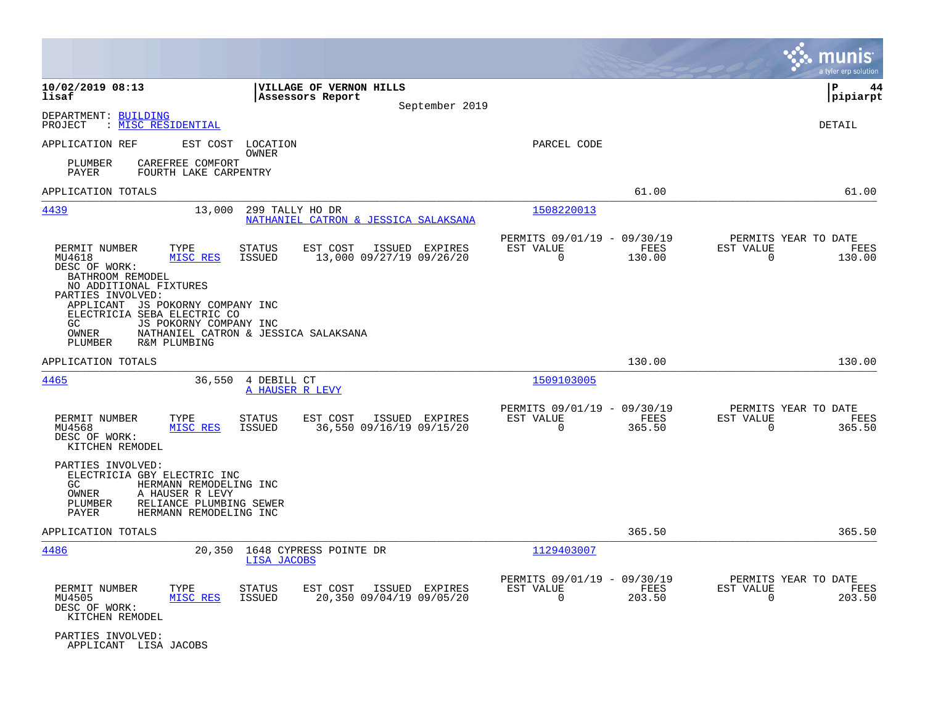|                                                                                                                                                                                                                                   |                                                                                                              |                                             |                |                                                         |                |                                                  | munis<br>a tyler erp solution |
|-----------------------------------------------------------------------------------------------------------------------------------------------------------------------------------------------------------------------------------|--------------------------------------------------------------------------------------------------------------|---------------------------------------------|----------------|---------------------------------------------------------|----------------|--------------------------------------------------|-------------------------------|
| 10/02/2019 08:13<br>lisaf                                                                                                                                                                                                         |                                                                                                              | VILLAGE OF VERNON HILLS<br>Assessors Report | September 2019 |                                                         |                |                                                  | ΙP<br>44<br> pipiarpt         |
| DEPARTMENT: BUILDING<br>: MISC RESIDENTIAL<br>PROJECT                                                                                                                                                                             |                                                                                                              |                                             |                |                                                         |                |                                                  | DETAIL                        |
| APPLICATION REF<br>CAREFREE COMFORT<br>PLUMBER<br>PAYER                                                                                                                                                                           | EST COST<br>LOCATION<br>OWNER<br>FOURTH LAKE CARPENTRY                                                       |                                             |                | PARCEL CODE                                             |                |                                                  |                               |
| APPLICATION TOTALS                                                                                                                                                                                                                |                                                                                                              |                                             |                |                                                         | 61.00          |                                                  | 61.00                         |
| 4439                                                                                                                                                                                                                              | 13,000<br>299 TALLY HO DR                                                                                    | NATHANIEL CATRON & JESSICA SALAKSANA        |                | 1508220013                                              |                |                                                  |                               |
| PERMIT NUMBER<br>TYPE<br>MU4618<br>DESC OF WORK:<br>BATHROOM REMODEL<br>NO ADDITIONAL FIXTURES<br>PARTIES INVOLVED:<br>APPLICANT JS POKORNY COMPANY INC<br>ELECTRICIA SEBA ELECTRIC CO<br>GC.<br>OWNER<br>R&M PLUMBING<br>PLUMBER | <b>STATUS</b><br>MISC RES<br><b>ISSUED</b><br>JS POKORNY COMPANY INC<br>NATHANIEL CATRON & JESSICA SALAKSANA | EST COST<br>13,000 09/27/19 09/26/20        | ISSUED EXPIRES | PERMITS 09/01/19 - 09/30/19<br>EST VALUE<br>$\mathbf 0$ | FEES<br>130.00 | PERMITS YEAR TO DATE<br>EST VALUE<br>0           | FEES<br>130.00                |
| APPLICATION TOTALS                                                                                                                                                                                                                |                                                                                                              |                                             |                |                                                         | 130.00         |                                                  | 130.00                        |
| <u>4465</u>                                                                                                                                                                                                                       | 36,550<br>4 DEBILL CT<br>A HAUSER R LEVY                                                                     |                                             |                | 1509103005                                              |                |                                                  |                               |
| PERMIT NUMBER<br>TYPE<br>MU4568<br>DESC OF WORK:<br>KITCHEN REMODEL                                                                                                                                                               | <b>STATUS</b><br>MISC RES<br><b>ISSUED</b>                                                                   | EST COST<br>36,550 09/16/19 09/15/20        | ISSUED EXPIRES | PERMITS 09/01/19 - 09/30/19<br>EST VALUE<br>$\Omega$    | FEES<br>365.50 | PERMITS YEAR TO DATE<br>EST VALUE<br>0           | FEES<br>365.50                |
| PARTIES INVOLVED:<br>ELECTRICIA GBY ELECTRIC INC<br>GC<br>OWNER<br>A HAUSER R LEVY<br>PLUMBER<br>PAYER                                                                                                                            | HERMANN REMODELING INC<br>RELIANCE PLUMBING SEWER<br>HERMANN REMODELING INC                                  |                                             |                |                                                         |                |                                                  |                               |
| APPLICATION TOTALS                                                                                                                                                                                                                |                                                                                                              |                                             |                |                                                         | 365.50         |                                                  | 365.50                        |
| 4486                                                                                                                                                                                                                              | 20,350<br>LISA JACOBS                                                                                        | 1648 CYPRESS POINTE DR                      |                | 1129403007                                              |                |                                                  |                               |
| PERMIT NUMBER<br>TYPE<br>MU4505<br>DESC OF WORK:<br>KITCHEN REMODEL                                                                                                                                                               | <b>STATUS</b><br>MISC RES<br>ISSUED                                                                          | EST COST<br>20,350 09/04/19 09/05/20        | ISSUED EXPIRES | PERMITS 09/01/19 - 09/30/19<br>EST VALUE<br>$\mathbf 0$ | FEES<br>203.50 | PERMITS YEAR TO DATE<br>EST VALUE<br>$\mathbf 0$ | FEES<br>203.50                |
| PARTIES INVOLVED:<br>APPLICANT LISA JACOBS                                                                                                                                                                                        |                                                                                                              |                                             |                |                                                         |                |                                                  |                               |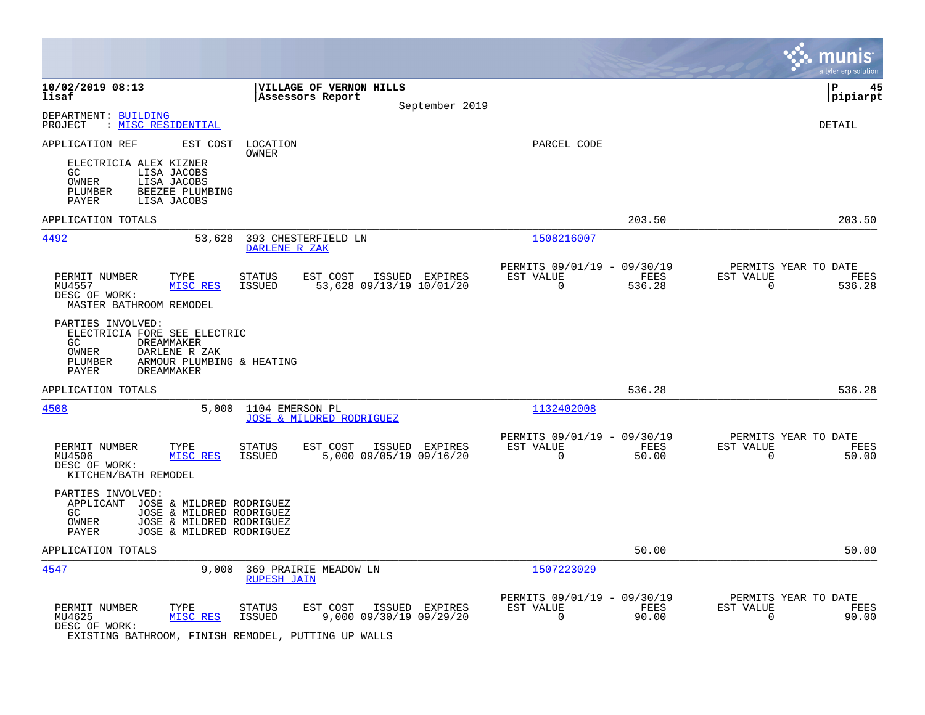|                                                                                                                                                                         |                                                                                         |                                                         |                | munis<br>a tyler erp solution                                      |
|-------------------------------------------------------------------------------------------------------------------------------------------------------------------------|-----------------------------------------------------------------------------------------|---------------------------------------------------------|----------------|--------------------------------------------------------------------|
| 10/02/2019 08:13<br>lisaf                                                                                                                                               | VILLAGE OF VERNON HILLS<br>Assessors Report<br>September 2019                           |                                                         |                | ΙP<br>45<br> pipiarpt                                              |
| DEPARTMENT: BUILDING<br>: MISC RESIDENTIAL<br>PROJECT                                                                                                                   |                                                                                         |                                                         |                | DETAIL                                                             |
| APPLICATION REF<br>EST COST                                                                                                                                             | LOCATION<br>OWNER                                                                       | PARCEL CODE                                             |                |                                                                    |
| ELECTRICIA ALEX KIZNER<br>GC<br>LISA JACOBS<br>OWNER<br>LISA JACOBS<br>PLUMBER<br>BEEZEE PLUMBING<br>PAYER<br>LISA JACOBS                                               |                                                                                         |                                                         |                |                                                                    |
| APPLICATION TOTALS                                                                                                                                                      |                                                                                         |                                                         | 203.50         | 203.50                                                             |
| 4492<br>53,628                                                                                                                                                          | 393 CHESTERFIELD LN<br>DARLENE R ZAK                                                    | 1508216007                                              |                |                                                                    |
| PERMIT NUMBER<br>TYPE<br>MU4557<br>MISC RES<br>DESC OF WORK:<br>MASTER BATHROOM REMODEL                                                                                 | <b>STATUS</b><br>EST COST<br>ISSUED EXPIRES<br>53,628 09/13/19 10/01/20<br>ISSUED       | PERMITS 09/01/19 - 09/30/19<br>EST VALUE<br>$\mathbf 0$ | FEES<br>536.28 | PERMITS YEAR TO DATE<br>EST VALUE<br>FEES<br>$\mathbf 0$<br>536.28 |
| PARTIES INVOLVED:<br>ELECTRICIA FORE SEE ELECTRIC<br>GC.<br>DREAMMAKER<br>OWNER<br>DARLENE R ZAK<br>PLUMBER<br>ARMOUR PLUMBING & HEATING<br>PAYER<br><b>DREAMMAKER</b>  |                                                                                         |                                                         |                |                                                                    |
| APPLICATION TOTALS                                                                                                                                                      |                                                                                         |                                                         | 536.28         | 536.28                                                             |
| 4508<br>5,000                                                                                                                                                           | 1104 EMERSON PL<br><b>JOSE &amp; MILDRED RODRIGUEZ</b>                                  | 1132402008                                              |                |                                                                    |
| PERMIT NUMBER<br>TYPE<br>MU4506<br><b>MISC RES</b><br>DESC OF WORK:<br>KITCHEN/BATH REMODEL                                                                             | <b>STATUS</b><br>EST COST<br>ISSUED EXPIRES<br><b>ISSUED</b><br>5,000 09/05/19 09/16/20 | PERMITS 09/01/19 - 09/30/19<br>EST VALUE<br>$\Omega$    | FEES<br>50.00  | PERMITS YEAR TO DATE<br>EST VALUE<br>FEES<br>$\Omega$<br>50.00     |
| PARTIES INVOLVED:<br>APPLICANT<br>JOSE & MILDRED RODRIGUEZ<br>GC.<br>JOSE & MILDRED RODRIGUEZ<br>OWNER<br>JOSE & MILDRED RODRIGUEZ<br>JOSE & MILDRED RODRIGUEZ<br>PAYER |                                                                                         |                                                         |                |                                                                    |
| APPLICATION TOTALS                                                                                                                                                      |                                                                                         |                                                         | 50.00          | 50.00                                                              |
| 4547<br>9,000                                                                                                                                                           | 369 PRAIRIE MEADOW LN<br><b>RUPESH JAIN</b>                                             | 1507223029                                              |                |                                                                    |
| PERMIT NUMBER<br>TYPE<br>MU4625<br>MISC RES<br>DESC OF WORK:<br>EXISTING BATHROOM, FINISH REMODEL, PUTTING UP WALLS                                                     | <b>STATUS</b><br>EST COST<br>ISSUED EXPIRES<br>9,000 09/30/19 09/29/20<br><b>ISSUED</b> | PERMITS 09/01/19 - 09/30/19<br>EST VALUE<br>$\mathbf 0$ | FEES<br>90.00  | PERMITS YEAR TO DATE<br>EST VALUE<br>FEES<br>$\mathbf 0$<br>90.00  |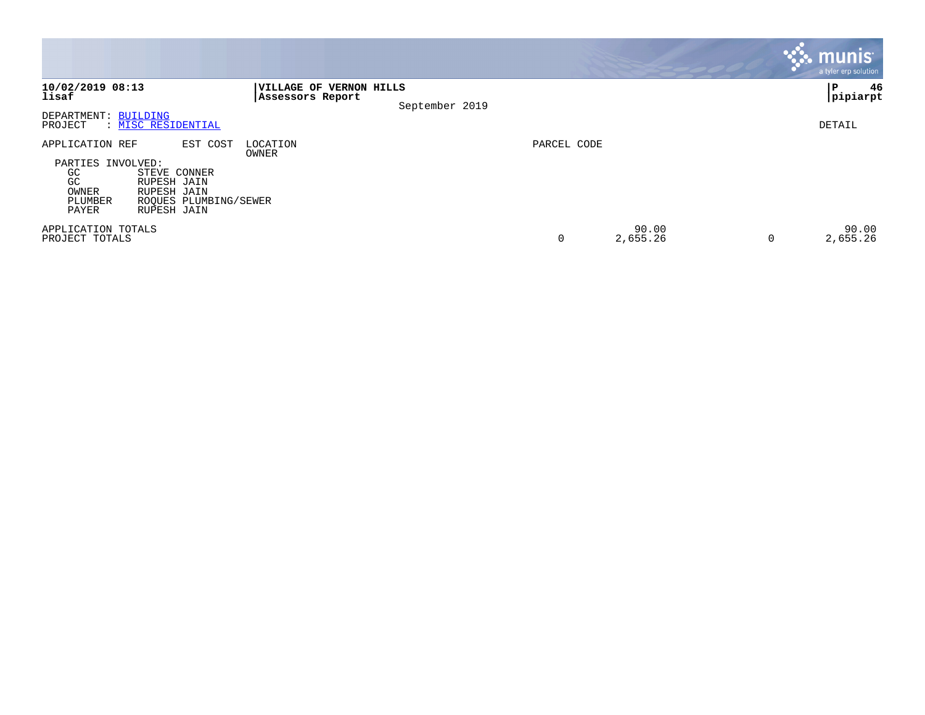|                                                                                                                                                                                 |                                                                      |             |                        | <b>munis</b><br>a tyler erp solution |
|---------------------------------------------------------------------------------------------------------------------------------------------------------------------------------|----------------------------------------------------------------------|-------------|------------------------|--------------------------------------|
| 10/02/2019 08:13<br>lisaf                                                                                                                                                       | <b>VILLAGE OF VERNON HILLS</b><br>Assessors Report<br>September 2019 |             |                        | 46<br>  P<br> pipiarpt               |
| DEPARTMENT: BUILDING<br>: MISC RESIDENTIAL<br>PROJECT                                                                                                                           |                                                                      |             |                        | DETAIL                               |
| APPLICATION REF<br>EST COST<br>PARTIES INVOLVED:<br>GC<br>STEVE CONNER<br>GC<br>RUPESH JAIN<br>OWNER<br>RUPESH JAIN<br>ROOUES PLUMBING/SEWER<br>PLUMBER<br>RUPESH JAIN<br>PAYER | LOCATION<br>OWNER                                                    | PARCEL CODE |                        |                                      |
| APPLICATION TOTALS<br>PROJECT TOTALS                                                                                                                                            |                                                                      | 0           | 90.00<br>2,655.26<br>0 | 90.00<br>2,655.26                    |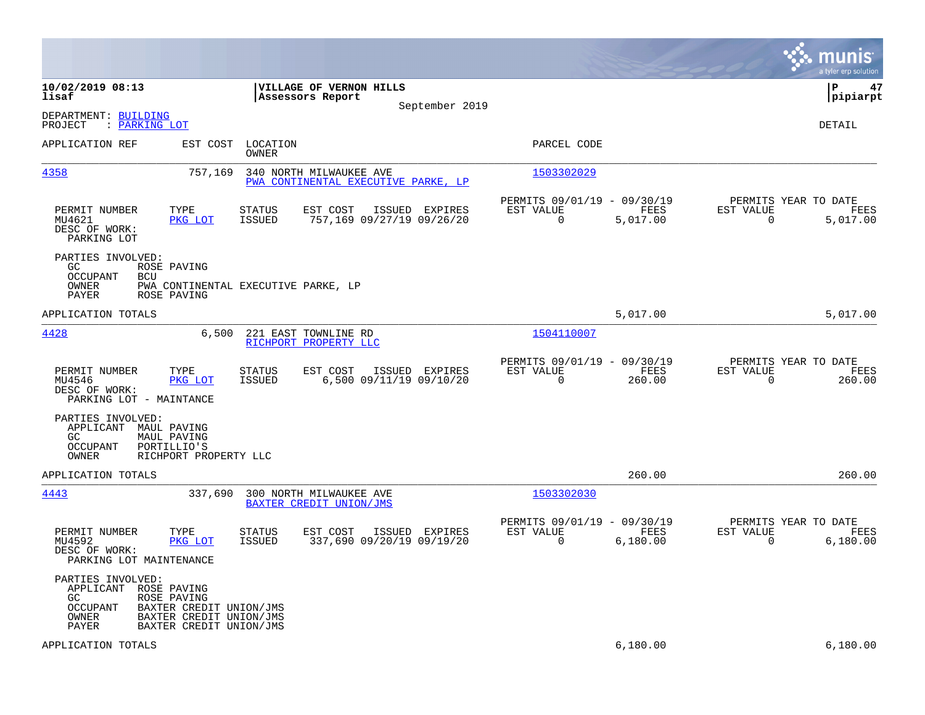|                                                                                                                                                                                    |                                                                                           |                                                                        | munis<br>a tyler erp solution                                      |
|------------------------------------------------------------------------------------------------------------------------------------------------------------------------------------|-------------------------------------------------------------------------------------------|------------------------------------------------------------------------|--------------------------------------------------------------------|
| 10/02/2019 08:13<br>lisaf                                                                                                                                                          | VILLAGE OF VERNON HILLS<br>Assessors Report<br>September 2019                             |                                                                        | ΙP<br>47<br> pipiarpt                                              |
| DEPARTMENT: BUILDING<br>PROJECT<br>: PARKING LOT                                                                                                                                   |                                                                                           |                                                                        | DETAIL                                                             |
| APPLICATION REF<br>EST COST                                                                                                                                                        | LOCATION<br>OWNER                                                                         | PARCEL CODE                                                            |                                                                    |
| 4358<br>757,169                                                                                                                                                                    | 340 NORTH MILWAUKEE AVE<br>PWA CONTINENTAL EXECUTIVE PARKE, LP                            | 1503302029                                                             |                                                                    |
| TYPE<br>PERMIT NUMBER<br>MU4621<br>PKG LOT<br>DESC OF WORK:<br>PARKING LOT                                                                                                         | EST COST<br>STATUS<br>ISSUED EXPIRES<br>757,169 09/27/19 09/26/20<br><b>ISSUED</b>        | PERMITS 09/01/19 - 09/30/19<br>EST VALUE<br>FEES<br>5,017.00<br>0      | PERMITS YEAR TO DATE<br>EST VALUE<br>FEES<br>5,017.00<br>0         |
| PARTIES INVOLVED:<br>GC.<br>ROSE PAVING<br>OCCUPANT<br><b>BCU</b><br>OWNER<br>PAYER<br>ROSE PAVING                                                                                 | PWA CONTINENTAL EXECUTIVE PARKE, LP                                                       |                                                                        |                                                                    |
| APPLICATION TOTALS                                                                                                                                                                 |                                                                                           | 5,017.00                                                               | 5,017.00                                                           |
| 4428<br>6,500                                                                                                                                                                      | 221 EAST TOWNLINE RD<br>RICHPORT PROPERTY LLC                                             | 1504110007                                                             |                                                                    |
| PERMIT NUMBER<br>TYPE<br>MU4546<br>PKG LOT<br>DESC OF WORK:<br>PARKING LOT - MAINTANCE                                                                                             | ISSUED EXPIRES<br><b>STATUS</b><br>EST COST<br>6,500 09/11/19 09/10/20<br><b>ISSUED</b>   | PERMITS 09/01/19 - 09/30/19<br>EST VALUE<br>FEES<br>$\Omega$<br>260.00 | PERMITS YEAR TO DATE<br>EST VALUE<br>FEES<br>$\mathbf 0$<br>260.00 |
| PARTIES INVOLVED:<br>APPLICANT MAUL PAVING<br>GC.<br>MAUL PAVING<br>PORTILLIO'S<br>OCCUPANT<br>OWNER<br>RICHPORT PROPERTY LLC                                                      |                                                                                           |                                                                        |                                                                    |
| APPLICATION TOTALS                                                                                                                                                                 |                                                                                           | 260.00                                                                 | 260.00                                                             |
| 4443<br>337,690                                                                                                                                                                    | 300 NORTH MILWAUKEE AVE<br>BAXTER CREDIT UNION/JMS                                        | 1503302030                                                             |                                                                    |
| PERMIT NUMBER<br>TYPE<br>MU4592<br>PKG LOT<br>DESC OF WORK:<br>PARKING LOT MAINTENANCE                                                                                             | <b>STATUS</b><br>EST COST<br>ISSUED EXPIRES<br>337,690 09/20/19 09/19/20<br><b>ISSUED</b> | PERMITS 09/01/19 - 09/30/19<br>EST VALUE<br>FEES<br>0<br>6,180.00      | PERMITS YEAR TO DATE<br>EST VALUE<br>FEES<br>0<br>6,180.00         |
| PARTIES INVOLVED:<br>APPLICANT<br>ROSE PAVING<br>ROSE PAVING<br>GC.<br>OCCUPANT<br>BAXTER CREDIT UNION/JMS<br>OWNER<br>BAXTER CREDIT UNION/JMS<br>PAYER<br>BAXTER CREDIT UNION/JMS |                                                                                           |                                                                        |                                                                    |
| APPLICATION TOTALS                                                                                                                                                                 |                                                                                           | 6,180.00                                                               | 6,180.00                                                           |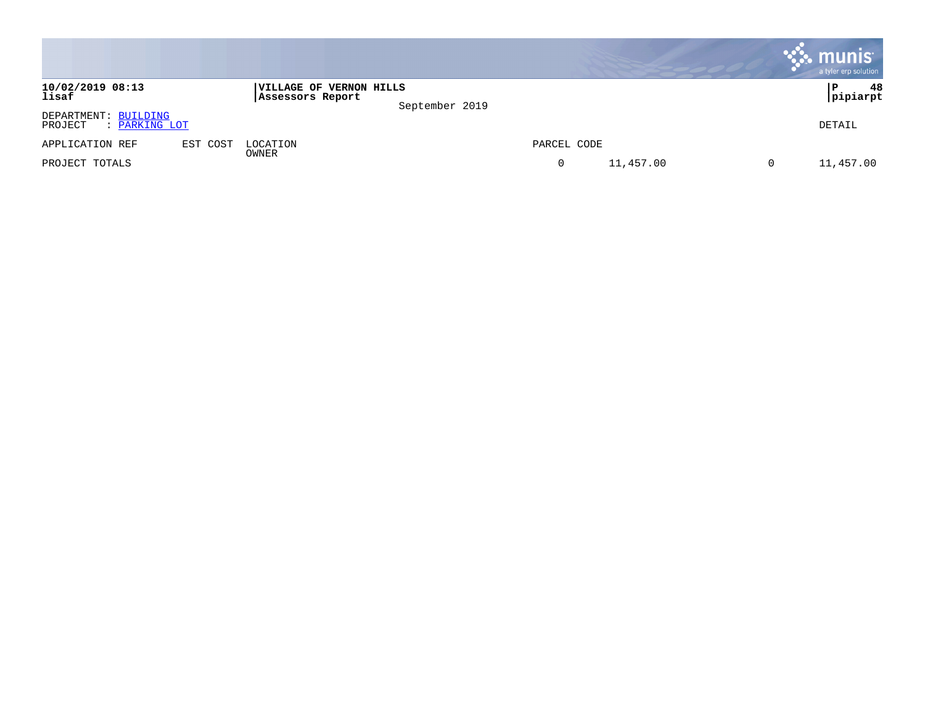|                                                  |          |                                                    |                |             |           | <b>munis</b><br>a tyler erp solution |
|--------------------------------------------------|----------|----------------------------------------------------|----------------|-------------|-----------|--------------------------------------|
| 10/02/2019 08:13<br>lisaf                        |          | <b>VILLAGE OF VERNON HILLS</b><br>Assessors Report | September 2019 |             |           | 48<br>Р<br>pipiarpt                  |
| DEPARTMENT: BUILDING<br>PROJECT<br>: PARKING LOT |          |                                                    |                |             |           | DETAIL                               |
| APPLICATION REF                                  | EST COST | LOCATION                                           |                | PARCEL CODE |           |                                      |
| PROJECT TOTALS                                   |          | OWNER                                              |                | $\mathbf 0$ | 11,457.00 | 11,457.00                            |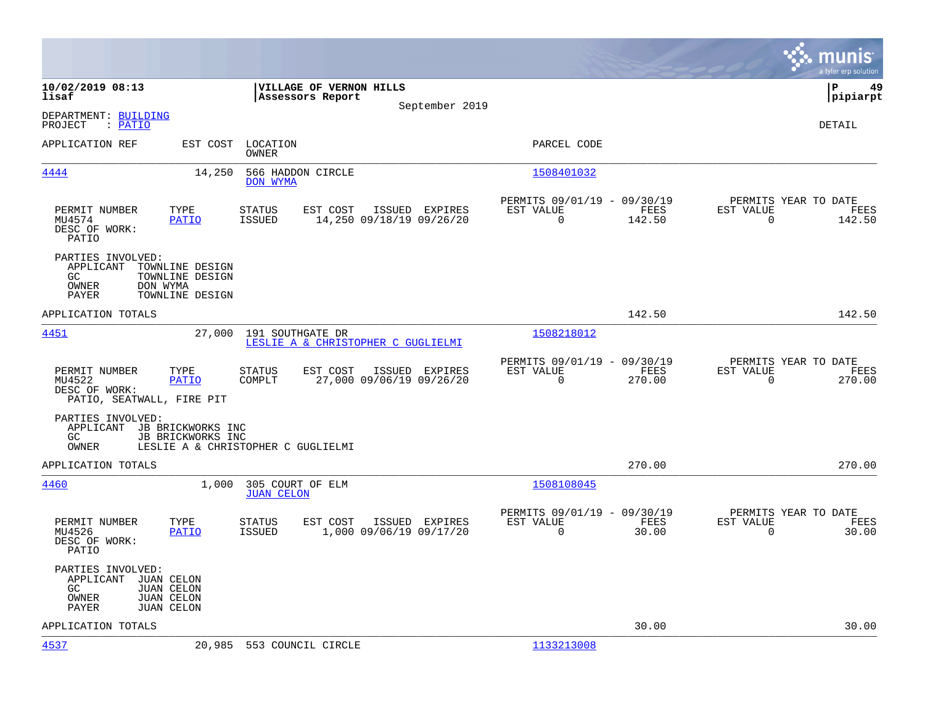|                                                                                                                              |                                                       |                                                        |          |                                            |                                                      |                |                                                  | munis<br>a tyler erp solution |
|------------------------------------------------------------------------------------------------------------------------------|-------------------------------------------------------|--------------------------------------------------------|----------|--------------------------------------------|------------------------------------------------------|----------------|--------------------------------------------------|-------------------------------|
| 10/02/2019 08:13<br>lisaf                                                                                                    |                                                       | VILLAGE OF VERNON HILLS<br>Assessors Report            |          |                                            |                                                      |                |                                                  | l P<br>49<br> pipiarpt        |
| DEPARTMENT: BUILDING<br>: PATIO<br>PROJECT                                                                                   |                                                       |                                                        |          | September 2019                             |                                                      |                |                                                  | <b>DETAIL</b>                 |
| APPLICATION REF                                                                                                              | EST COST                                              | LOCATION<br>OWNER                                      |          |                                            | PARCEL CODE                                          |                |                                                  |                               |
| 4444                                                                                                                         | 14,250                                                | 566 HADDON CIRCLE<br>DON WYMA                          |          |                                            | 1508401032                                           |                |                                                  |                               |
| TYPE<br>PERMIT NUMBER<br>MU4574<br>DESC OF WORK:<br>PATIO                                                                    | PATIO                                                 | <b>STATUS</b><br><b>ISSUED</b>                         | EST COST | ISSUED EXPIRES<br>14,250 09/18/19 09/26/20 | PERMITS 09/01/19 - 09/30/19<br>EST VALUE<br>$\Omega$ | FEES<br>142.50 | PERMITS YEAR TO DATE<br>EST VALUE<br>$\Omega$    | FEES<br>142.50                |
| PARTIES INVOLVED:<br>APPLICANT<br>GC<br>DON WYMA<br>OWNER<br>PAYER                                                           | TOWNLINE DESIGN<br>TOWNLINE DESIGN<br>TOWNLINE DESIGN |                                                        |          |                                            |                                                      |                |                                                  |                               |
| APPLICATION TOTALS                                                                                                           |                                                       |                                                        |          |                                            |                                                      | 142.50         |                                                  | 142.50                        |
| 4451                                                                                                                         | 27,000                                                | 191 SOUTHGATE DR<br>LESLIE A & CHRISTOPHER C GUGLIELMI |          |                                            | 1508218012                                           |                |                                                  |                               |
| PERMIT NUMBER<br>TYPE<br>MU4522<br>DESC OF WORK:<br>PATIO, SEATWALL, FIRE PIT                                                | <b>PATIO</b>                                          | <b>STATUS</b><br>COMPLT                                | EST COST | ISSUED EXPIRES<br>27,000 09/06/19 09/26/20 | PERMITS 09/01/19 - 09/30/19<br>EST VALUE<br>$\Omega$ | FEES<br>270.00 | PERMITS YEAR TO DATE<br>EST VALUE<br>$\Omega$    | FEES<br>270.00                |
| PARTIES INVOLVED:<br>APPLICANT JB BRICKWORKS INC<br>GC.<br>OWNER                                                             | JB BRICKWORKS INC                                     | LESLIE A & CHRISTOPHER C GUGLIELMI                     |          |                                            |                                                      |                |                                                  |                               |
| APPLICATION TOTALS                                                                                                           |                                                       |                                                        |          |                                            |                                                      | 270.00         |                                                  | 270.00                        |
| 4460                                                                                                                         | 1,000                                                 | 305 COURT OF ELM<br><b>JUAN CELON</b>                  |          |                                            | 1508108045                                           |                |                                                  |                               |
| PERMIT NUMBER<br>TYPE<br>MU4526<br>DESC OF WORK:<br>PATIO                                                                    | PATIO                                                 | <b>STATUS</b><br><b>ISSUED</b>                         | EST COST | ISSUED EXPIRES<br>1,000 09/06/19 09/17/20  | PERMITS 09/01/19 - 09/30/19<br>EST VALUE<br>$\Omega$ | FEES<br>30.00  | PERMITS YEAR TO DATE<br>EST VALUE<br>$\mathbf 0$ | FEES<br>30.00                 |
| PARTIES INVOLVED:<br>APPLICANT<br>JUAN CELON<br>GC<br>JUAN CELON<br>OWNER<br><b>JUAN CELON</b><br><b>JUAN CELON</b><br>PAYER |                                                       |                                                        |          |                                            |                                                      |                |                                                  |                               |
| APPLICATION TOTALS                                                                                                           |                                                       |                                                        |          |                                            |                                                      | 30.00          |                                                  | 30.00                         |
| 4537                                                                                                                         | 20,985                                                | 553 COUNCIL CIRCLE                                     |          |                                            | 1133213008                                           |                |                                                  |                               |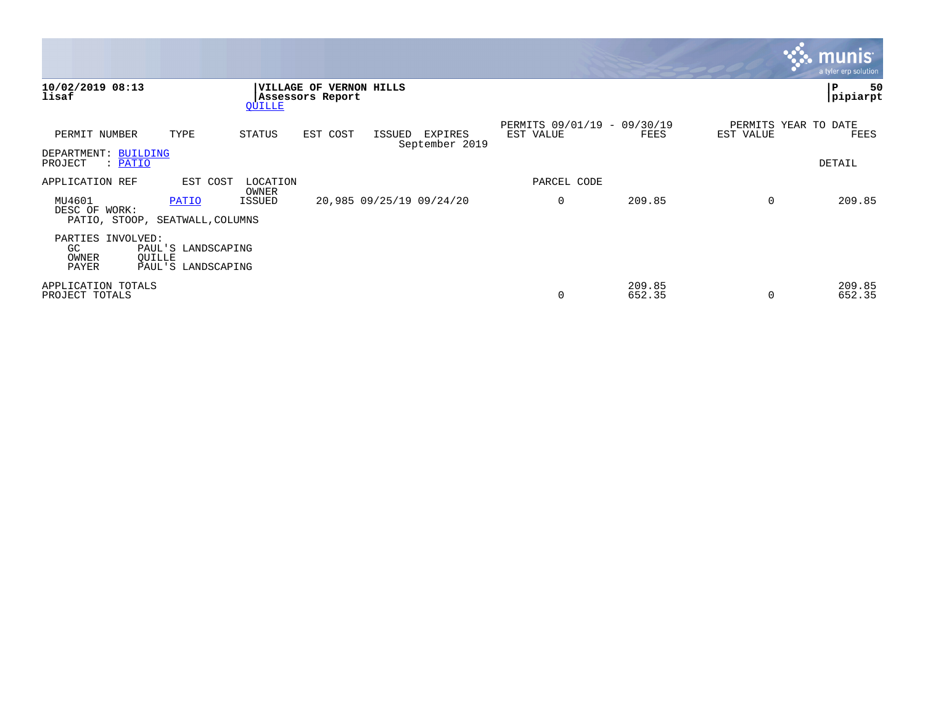|                                                            |                                          |                   |                                                    |                          |                                  |                                          |                  |           | <u>munis l</u><br>a tyler erp solution |
|------------------------------------------------------------|------------------------------------------|-------------------|----------------------------------------------------|--------------------------|----------------------------------|------------------------------------------|------------------|-----------|----------------------------------------|
| 10/02/2019 08:13<br>lisaf                                  |                                          | <b>OUILLE</b>     | <b>VILLAGE OF VERNON HILLS</b><br>Assessors Report |                          |                                  |                                          |                  |           | 50<br>∣P<br>pipiarpt                   |
| PERMIT NUMBER                                              | TYPE                                     | STATUS            | EST COST                                           | ISSUED                   | <b>EXPIRES</b><br>September 2019 | PERMITS 09/01/19 - 09/30/19<br>EST VALUE | FEES             | EST VALUE | PERMITS YEAR TO DATE<br>FEES           |
| DEPARTMENT: BUILDING<br>: PATIO<br>PROJECT                 |                                          |                   |                                                    |                          |                                  |                                          |                  |           | DETAIL                                 |
| APPLICATION REF                                            | EST COST                                 | LOCATION<br>OWNER |                                                    |                          |                                  | PARCEL CODE                              |                  |           |                                        |
| MU4601<br>DESC OF WORK:<br>PATIO, STOOP, SEATWALL, COLUMNS | PATIO                                    | ISSUED            |                                                    | 20,985 09/25/19 09/24/20 |                                  | 0                                        | 209.85           | $\Omega$  | 209.85                                 |
| PARTIES INVOLVED:<br>GC<br>OWNER<br>QUILLE<br>PAYER        | PAUL'S LANDSCAPING<br>PAUL'S LANDSCAPING |                   |                                                    |                          |                                  |                                          |                  |           |                                        |
| APPLICATION TOTALS<br>PROJECT TOTALS                       |                                          |                   |                                                    |                          |                                  | 0                                        | 209.85<br>652.35 | $\Omega$  | 209.85<br>652.35                       |

 $\mathcal{L}^{\text{max}}$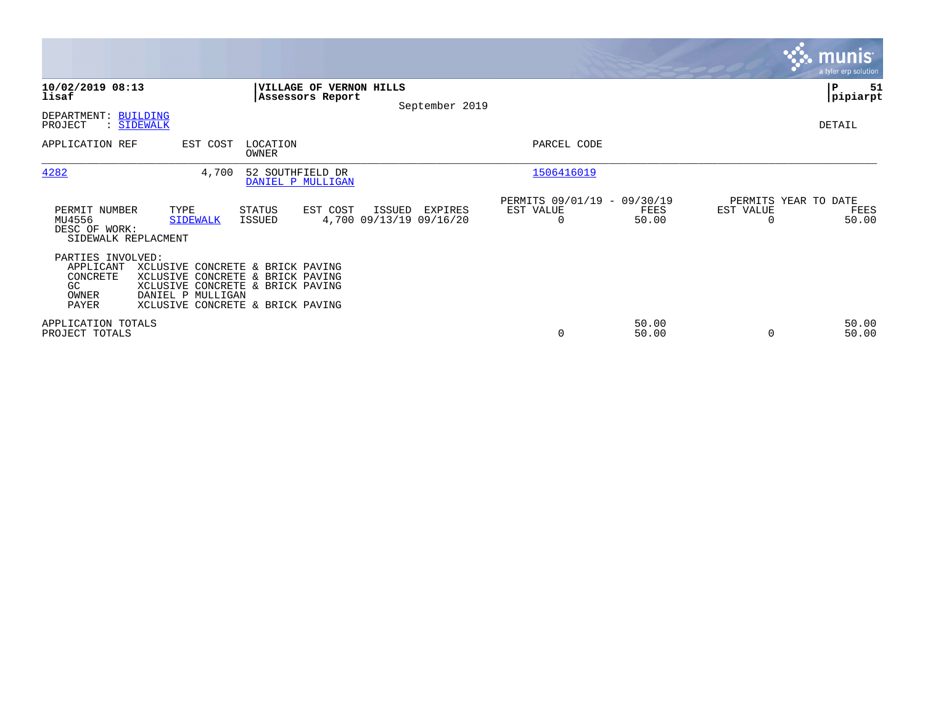|                                                                    |                                                                                                                                                                   |                                             |          |                                              |                                                      |                |                                               | munis <sup>®</sup><br>a tyler erp solution |
|--------------------------------------------------------------------|-------------------------------------------------------------------------------------------------------------------------------------------------------------------|---------------------------------------------|----------|----------------------------------------------|------------------------------------------------------|----------------|-----------------------------------------------|--------------------------------------------|
| 10/02/2019 08:13<br>lisaf                                          |                                                                                                                                                                   | VILLAGE OF VERNON HILLS<br>Assessors Report |          | September 2019                               |                                                      |                |                                               | P<br>51<br> pipiarpt                       |
| DEPARTMENT: BUILDING<br>PROJECT                                    | : SIDEWALK                                                                                                                                                        |                                             |          |                                              |                                                      |                |                                               | DETAIL                                     |
| APPLICATION REF                                                    | EST COST                                                                                                                                                          | LOCATION<br>OWNER                           |          |                                              | PARCEL CODE                                          |                |                                               |                                            |
| 4282                                                               | 4,700                                                                                                                                                             | 52 SOUTHFIELD DR<br>DANIEL P MULLIGAN       |          |                                              | 1506416019                                           |                |                                               |                                            |
| PERMIT NUMBER<br>MU4556<br>DESC OF WORK:<br>SIDEWALK REPLACMENT    | TYPE<br><b>SIDEWALK</b>                                                                                                                                           | STATUS<br>ISSUED                            | EST COST | ISSUED<br>EXPIRES<br>4,700 09/13/19 09/16/20 | PERMITS 09/01/19 - 09/30/19<br>EST VALUE<br>$\Omega$ | FEES<br>50.00  | PERMITS YEAR TO DATE<br>EST VALUE<br>$\Omega$ | FEES<br>50.00                              |
| PARTIES INVOLVED:<br>APPLICANT<br>CONCRETE<br>GC<br>OWNER<br>PAYER | XCLUSIVE CONCRETE & BRICK PAVING<br>XCLUSIVE CONCRETE & BRICK PAVING<br>XCLUSIVE CONCRETE & BRICK PAVING<br>DANIEL P MULLIGAN<br>XCLUSIVE CONCRETE & BRICK PAVING |                                             |          |                                              |                                                      |                |                                               |                                            |
| APPLICATION TOTALS<br>PROJECT TOTALS                               |                                                                                                                                                                   |                                             |          |                                              | $\mathbf 0$                                          | 50.00<br>50.00 | $\Omega$                                      | 50.00<br>50.00                             |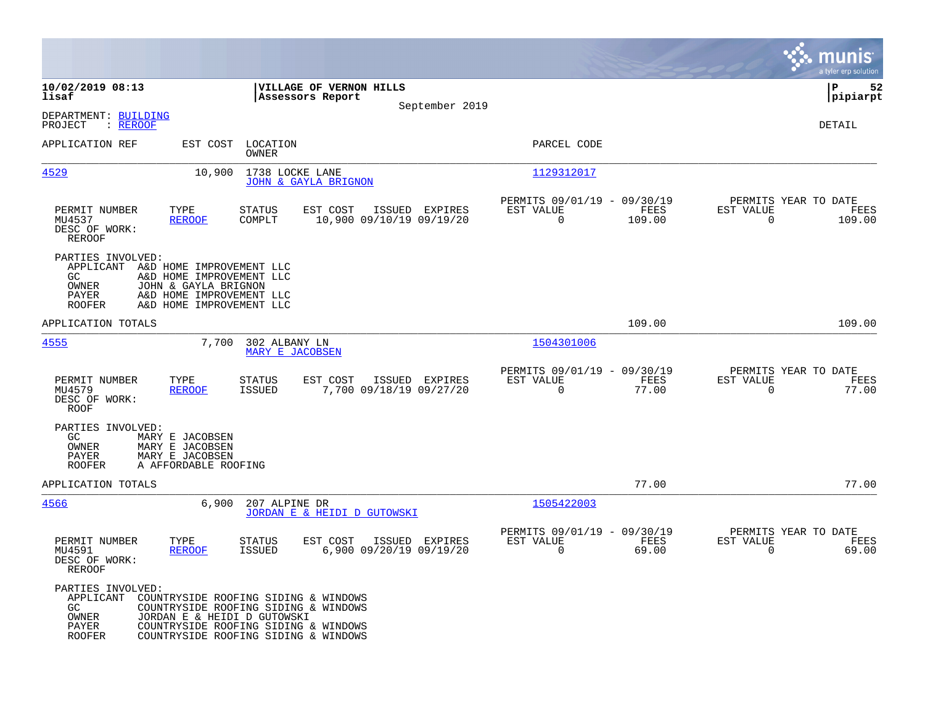|                                                                                                   |                                                                                                                                                                                             |                                  |                                             |                                           |                                                      |                |                                                  | munis<br>a tyler erp solution |
|---------------------------------------------------------------------------------------------------|---------------------------------------------------------------------------------------------------------------------------------------------------------------------------------------------|----------------------------------|---------------------------------------------|-------------------------------------------|------------------------------------------------------|----------------|--------------------------------------------------|-------------------------------|
| 10/02/2019 08:13<br>lisaf                                                                         |                                                                                                                                                                                             |                                  | VILLAGE OF VERNON HILLS<br>Assessors Report |                                           |                                                      |                |                                                  | lР<br>52<br> pipiarpt         |
| DEPARTMENT: BUILDING<br>: REROOF<br>PROJECT                                                       |                                                                                                                                                                                             |                                  |                                             | September 2019                            |                                                      |                |                                                  | <b>DETAIL</b>                 |
| APPLICATION REF                                                                                   |                                                                                                                                                                                             | EST COST LOCATION<br>OWNER       |                                             |                                           | PARCEL CODE                                          |                |                                                  |                               |
| 4529                                                                                              | 10,900                                                                                                                                                                                      | 1738 LOCKE LANE                  | <b>JOHN &amp; GAYLA BRIGNON</b>             |                                           | 1129312017                                           |                |                                                  |                               |
| PERMIT NUMBER<br>MU4537<br>DESC OF WORK:<br><b>REROOF</b>                                         | TYPE<br><b>REROOF</b>                                                                                                                                                                       | <b>STATUS</b><br>COMPLT          | EST COST<br>10,900 09/10/19 09/19/20        | ISSUED EXPIRES                            | PERMITS 09/01/19 - 09/30/19<br>EST VALUE<br>$\Omega$ | FEES<br>109.00 | PERMITS YEAR TO DATE<br>EST VALUE<br>$\mathbf 0$ | FEES<br>109.00                |
| PARTIES INVOLVED:<br>APPLICANT A&D HOME IMPROVEMENT LLC<br>GC.<br>OWNER<br>PAYER<br><b>ROOFER</b> | A&D HOME IMPROVEMENT LLC<br>JOHN & GAYLA BRIGNON<br>A&D HOME IMPROVEMENT LLC<br>A&D HOME IMPROVEMENT LLC                                                                                    |                                  |                                             |                                           |                                                      |                |                                                  |                               |
| APPLICATION TOTALS                                                                                |                                                                                                                                                                                             |                                  |                                             |                                           |                                                      | 109.00         |                                                  | 109.00                        |
| 4555                                                                                              | 7,700                                                                                                                                                                                       | 302 ALBANY LN<br>MARY E JACOBSEN |                                             |                                           | 1504301006                                           |                |                                                  |                               |
| PERMIT NUMBER<br>MU4579<br>DESC OF WORK:<br>ROOF                                                  | TYPE<br><b>REROOF</b>                                                                                                                                                                       | <b>STATUS</b><br><b>ISSUED</b>   | EST COST                                    | ISSUED EXPIRES<br>7,700 09/18/19 09/27/20 | PERMITS 09/01/19 - 09/30/19<br>EST VALUE<br>$\Omega$ | FEES<br>77.00  | PERMITS YEAR TO DATE<br>EST VALUE<br>$\mathbf 0$ | FEES<br>77.00                 |
| PARTIES INVOLVED:<br>GC.<br>OWNER<br>PAYER<br><b>ROOFER</b>                                       | MARY E JACOBSEN<br>MARY E JACOBSEN<br>MARY E JACOBSEN<br>A AFFORDABLE ROOFING                                                                                                               |                                  |                                             |                                           |                                                      |                |                                                  |                               |
| APPLICATION TOTALS                                                                                |                                                                                                                                                                                             |                                  |                                             |                                           |                                                      | 77.00          |                                                  | 77.00                         |
| 4566                                                                                              | 6,900                                                                                                                                                                                       | 207 ALPINE DR                    | JORDAN E & HEIDI D GUTOWSKI                 |                                           | 1505422003                                           |                |                                                  |                               |
| PERMIT NUMBER<br>MU4591<br>DESC OF WORK:<br>REROOF                                                | TYPE<br><b>REROOF</b>                                                                                                                                                                       | <b>STATUS</b><br>ISSUED          | EST COST                                    | ISSUED EXPIRES<br>6,900 09/20/19 09/19/20 | PERMITS 09/01/19 - 09/30/19<br>EST VALUE<br>$\Omega$ | FEES<br>69.00  | PERMITS YEAR TO DATE<br>EST VALUE<br>$\Omega$    | FEES<br>69.00                 |
| PARTIES INVOLVED:<br>APPLICANT<br>GC<br>OWNER<br>PAYER<br>ROOFER                                  | COUNTRYSIDE ROOFING SIDING & WINDOWS<br>COUNTRYSIDE ROOFING SIDING & WINDOWS<br>JORDAN E & HEIDI D GUTOWSKI<br>COUNTRYSIDE ROOFING SIDING & WINDOWS<br>COUNTRYSIDE ROOFING SIDING & WINDOWS |                                  |                                             |                                           |                                                      |                |                                                  |                               |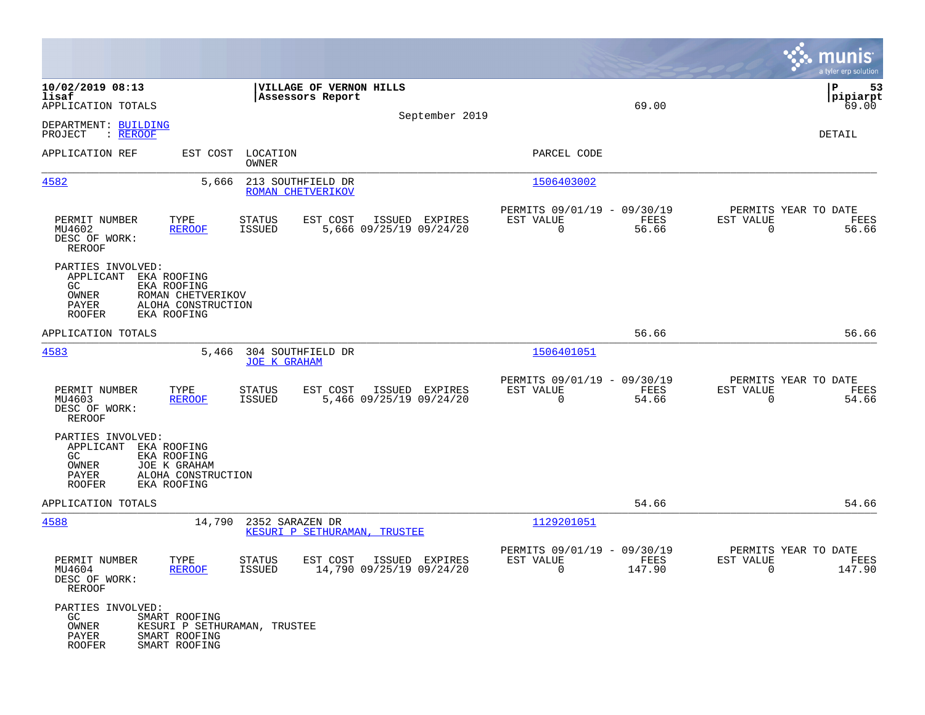|                                                                          |                                                                                      |                                          |                                             |                                            |                                                                      |                |                                                     | munis<br>a tyler erp solution  |
|--------------------------------------------------------------------------|--------------------------------------------------------------------------------------|------------------------------------------|---------------------------------------------|--------------------------------------------|----------------------------------------------------------------------|----------------|-----------------------------------------------------|--------------------------------|
| 10/02/2019 08:13<br>lisaf<br>APPLICATION TOTALS                          |                                                                                      |                                          | VILLAGE OF VERNON HILLS<br>Assessors Report | September 2019                             |                                                                      | 69.00          |                                                     | ΙP<br>53<br> pipiarpt<br>69.00 |
| DEPARTMENT: BUILDING<br>PROJECT<br>: REROOF                              |                                                                                      |                                          |                                             |                                            |                                                                      |                |                                                     | DETAIL                         |
| APPLICATION REF                                                          | EST COST                                                                             | LOCATION<br>OWNER                        |                                             |                                            | PARCEL CODE                                                          |                |                                                     |                                |
| 4582                                                                     | 5,666                                                                                | 213 SOUTHFIELD DR<br>ROMAN CHETVERIKOV   |                                             |                                            | 1506403002                                                           |                |                                                     |                                |
| PERMIT NUMBER<br>MU4602<br>DESC OF WORK:<br><b>REROOF</b>                | TYPE<br><b>REROOF</b>                                                                | STATUS<br>ISSUED                         | EST COST                                    | ISSUED EXPIRES<br>5,666 09/25/19 09/24/20  | PERMITS 09/01/19 - 09/30/19<br>EST VALUE<br>$\mathbf 0$              | FEES<br>56.66  | PERMITS YEAR TO DATE<br>EST VALUE<br>0              | FEES<br>56.66                  |
| PARTIES INVOLVED:<br>APPLICANT<br>GC.<br>OWNER<br>PAYER<br><b>ROOFER</b> | EKA ROOFING<br>EKA ROOFING<br>ROMAN CHETVERIKOV<br>ALOHA CONSTRUCTION<br>EKA ROOFING |                                          |                                             |                                            |                                                                      |                |                                                     |                                |
| APPLICATION TOTALS                                                       |                                                                                      |                                          |                                             |                                            |                                                                      | 56.66          |                                                     | 56.66                          |
| 4583                                                                     | 5,466                                                                                | 304 SOUTHFIELD DR<br><b>JOE K GRAHAM</b> |                                             |                                            | 1506401051                                                           |                |                                                     |                                |
| PERMIT NUMBER<br>MU4603<br>DESC OF WORK:<br>REROOF                       | TYPE<br><b>REROOF</b>                                                                | STATUS<br>ISSUED                         | EST COST                                    | ISSUED EXPIRES<br>5,466 09/25/19 09/24/20  | PERMITS 09/01/19 - 09/30/19<br>EST VALUE<br>0                        | FEES<br>54.66  | PERMITS YEAR TO DATE<br>EST VALUE<br>0              | FEES<br>54.66                  |
| PARTIES INVOLVED:<br>APPLICANT<br>GC<br>OWNER<br>PAYER<br><b>ROOFER</b>  | EKA ROOFING<br>EKA ROOFING<br>JOE K GRAHAM<br>ALOHA CONSTRUCTION<br>EKA ROOFING      |                                          |                                             |                                            |                                                                      |                |                                                     |                                |
| APPLICATION TOTALS                                                       |                                                                                      |                                          |                                             |                                            |                                                                      | 54.66          |                                                     | 54.66                          |
| 4588                                                                     | 14,790                                                                               | 2352 SARAZEN DR                          | KESURI P SETHURAMAN, TRUSTEE                |                                            | 1129201051                                                           |                |                                                     |                                |
| PERMIT NUMBER<br>MU4604<br>DESC OF WORK:<br>REROOF                       | TYPE<br><b>REROOF</b>                                                                | <b>STATUS</b><br>ISSUED                  | EST COST                                    | ISSUED EXPIRES<br>14,790 09/25/19 09/24/20 | PERMITS 09/01/19 - 09/30/19<br>EST VALUE<br>$\overline{\phantom{0}}$ | FEES<br>147.90 | PERMITS YEAR TO DATE<br>EST VALUE<br>$\overline{0}$ | FEES<br>147.90                 |
| PARTIES INVOLVED:<br>GC<br>OWNER<br>PAYER<br>ROOFER                      | SMART ROOFING<br>SMART ROOFING<br>SMART ROOFING                                      | KESURI P SETHURAMAN, TRUSTEE             |                                             |                                            |                                                                      |                |                                                     |                                |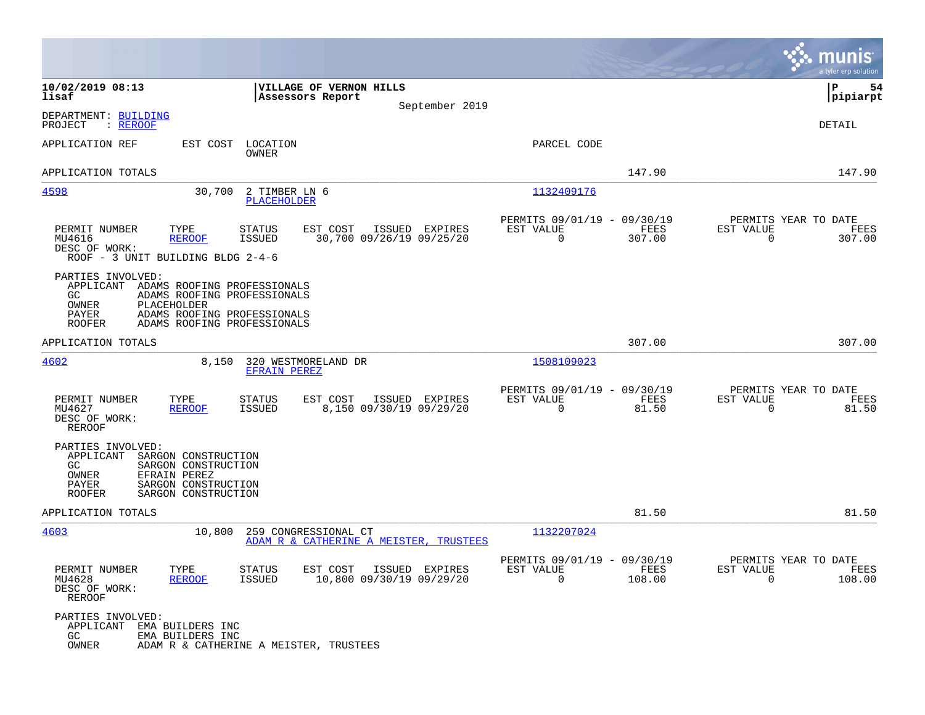|                                                                                                                                                                                                                  |                                            |                                                         |                |                                                  | munis<br>a tyler erp solution |
|------------------------------------------------------------------------------------------------------------------------------------------------------------------------------------------------------------------|--------------------------------------------|---------------------------------------------------------|----------------|--------------------------------------------------|-------------------------------|
| 10/02/2019 08:13<br>VILLAGE OF VERNON HILLS<br>lisaf<br>Assessors Report                                                                                                                                         | September 2019                             |                                                         |                |                                                  | ΙP<br>54<br> pipiarpt         |
| DEPARTMENT: BUILDING<br>: REROOF<br>PROJECT                                                                                                                                                                      |                                            |                                                         |                |                                                  | DETAIL                        |
| APPLICATION REF<br>EST COST<br>LOCATION<br>OWNER                                                                                                                                                                 |                                            | PARCEL CODE                                             |                |                                                  |                               |
| APPLICATION TOTALS                                                                                                                                                                                               |                                            |                                                         | 147.90         |                                                  | 147.90                        |
| 4598<br>30,700<br>2 TIMBER LN 6<br><b>PLACEHOLDER</b>                                                                                                                                                            |                                            | 1132409176                                              |                |                                                  |                               |
| PERMIT NUMBER<br>TYPE<br><b>STATUS</b><br>EST COST<br><b>ISSUED</b><br>MU4616<br><b>REROOF</b><br>DESC OF WORK:<br>ROOF - 3 UNIT BUILDING BLDG 2-4-6                                                             | ISSUED EXPIRES<br>30,700 09/26/19 09/25/20 | PERMITS 09/01/19 - 09/30/19<br>EST VALUE<br>$\mathbf 0$ | FEES<br>307.00 | PERMITS YEAR TO DATE<br>EST VALUE<br>$\mathbf 0$ | FEES<br>307.00                |
| PARTIES INVOLVED:<br>APPLICANT ADAMS ROOFING PROFESSIONALS<br>ADAMS ROOFING PROFESSIONALS<br>GC.<br>OWNER<br>PLACEHOLDER<br>PAYER<br>ADAMS ROOFING PROFESSIONALS<br>ADAMS ROOFING PROFESSIONALS<br><b>ROOFER</b> |                                            |                                                         |                |                                                  |                               |
| APPLICATION TOTALS                                                                                                                                                                                               |                                            |                                                         | 307.00         |                                                  | 307.00                        |
| 4602<br>8,150<br>320 WESTMORELAND DR<br><b>EFRAIN PEREZ</b>                                                                                                                                                      |                                            | 1508109023                                              |                |                                                  |                               |
| PERMIT NUMBER<br>TYPE<br><b>STATUS</b><br>EST COST<br>MU4627<br><b>REROOF</b><br><b>ISSUED</b><br>DESC OF WORK:<br><b>REROOF</b>                                                                                 | ISSUED EXPIRES<br>8,150 09/30/19 09/29/20  | PERMITS 09/01/19 - 09/30/19<br>EST VALUE<br>$\mathbf 0$ | FEES<br>81.50  | PERMITS YEAR TO DATE<br>EST VALUE<br>$\Omega$    | FEES<br>81.50                 |
| PARTIES INVOLVED:<br>APPLICANT<br>SARGON CONSTRUCTION<br>SARGON CONSTRUCTION<br>GC<br>OWNER<br>EFRAIN PEREZ<br>PAYER<br>SARGON CONSTRUCTION<br><b>ROOFER</b><br>SARGON CONSTRUCTION                              |                                            |                                                         |                |                                                  |                               |
| APPLICATION TOTALS                                                                                                                                                                                               |                                            |                                                         | 81.50          |                                                  | 81.50                         |
| 4603<br>10,800<br>259 CONGRESSIONAL CT                                                                                                                                                                           | ADAM R & CATHERINE A MEISTER, TRUSTEES     | 1132207024                                              |                |                                                  |                               |
| TYPE<br>EST COST<br>PERMIT NUMBER<br>STATUS<br>MU4628<br><b>REROOF</b><br>ISSUED<br>DESC OF WORK:<br><b>REROOF</b>                                                                                               | ISSUED EXPIRES<br>10,800 09/30/19 09/29/20 | PERMITS 09/01/19 - 09/30/19<br>EST VALUE<br>$\mathbf 0$ | FEES<br>108.00 | PERMITS YEAR TO DATE<br>EST VALUE<br>0           | FEES<br>108.00                |
| PARTIES INVOLVED:<br>APPLICANT<br>EMA BUILDERS INC<br>GC.<br>EMA BUILDERS INC<br>OWNER<br>ADAM R & CATHERINE A MEISTER, TRUSTEES                                                                                 |                                            |                                                         |                |                                                  |                               |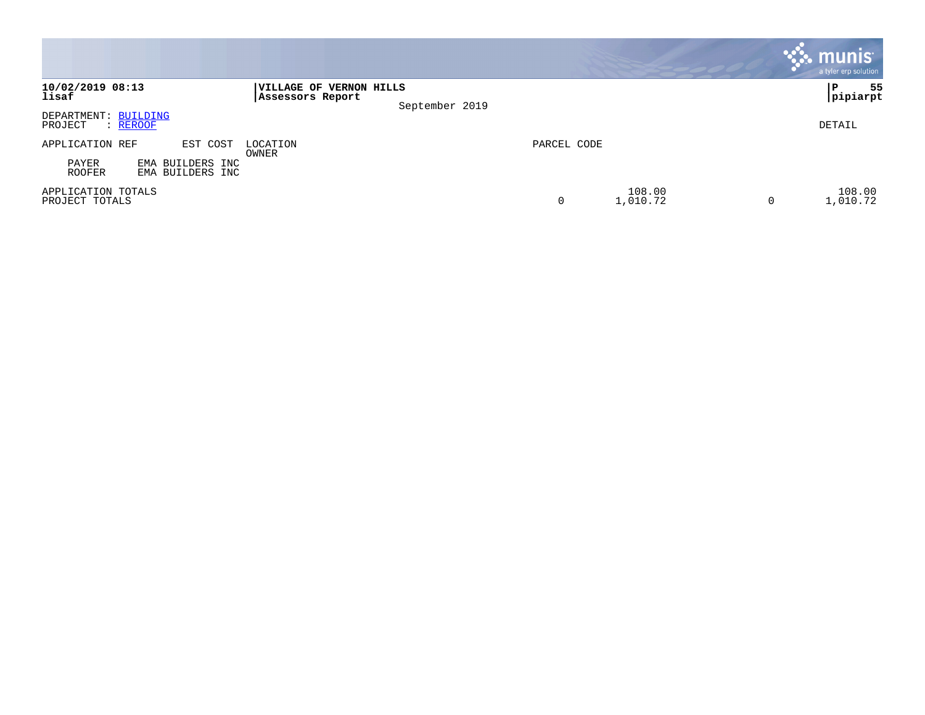|                                                            |                                                               |             |                    | <b>munis</b><br>a tyler erp solution |
|------------------------------------------------------------|---------------------------------------------------------------|-------------|--------------------|--------------------------------------|
| 10/02/2019 08:13<br>lisaf                                  | VILLAGE OF VERNON HILLS<br>Assessors Report<br>September 2019 |             |                    | 55<br>ΙP<br> pipiarpt                |
| DEPARTMENT: BUILDING<br>PROJECT<br>: REROOF                |                                                               |             |                    | DETAIL                               |
| APPLICATION REF<br>EST COST                                | LOCATION<br>OWNER                                             | PARCEL CODE |                    |                                      |
| PAYER<br>BUILDERS INC<br>EMA<br>ROOFER<br>EMA BUILDERS INC |                                                               |             |                    |                                      |
| APPLICATION TOTALS<br>PROJECT TOTALS                       |                                                               | 0           | 108.00<br>1,010.72 | 108.00<br>1,010.72<br>0              |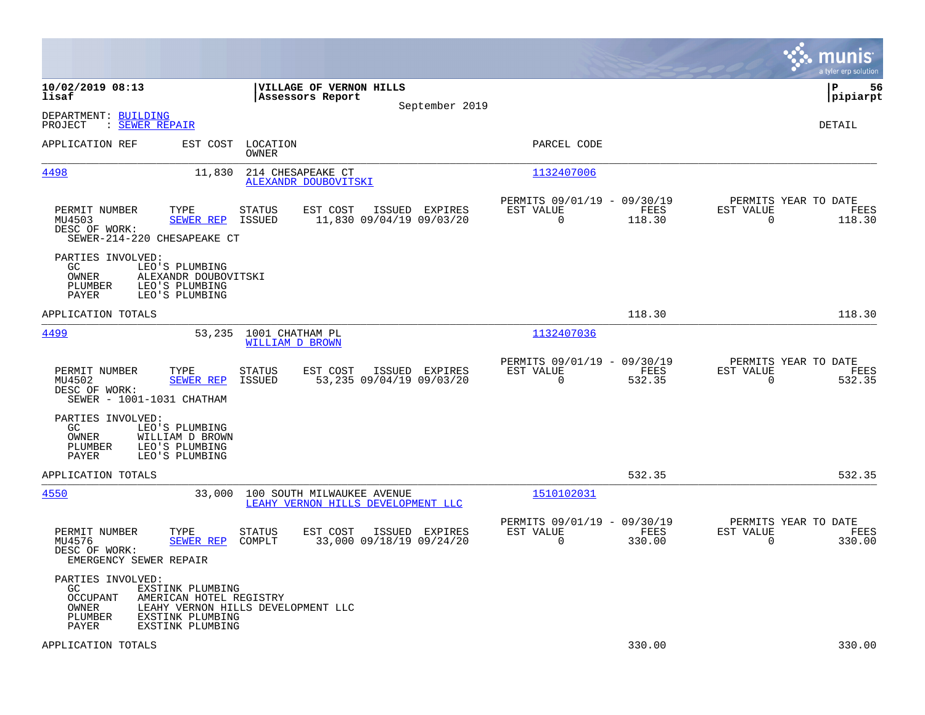|                                                                                                                                                          |                                                                                   |                                                                        | munis<br>a tyler erp solution                                      |
|----------------------------------------------------------------------------------------------------------------------------------------------------------|-----------------------------------------------------------------------------------|------------------------------------------------------------------------|--------------------------------------------------------------------|
| 10/02/2019 08:13<br>lisaf                                                                                                                                | VILLAGE OF VERNON HILLS<br>Assessors Report<br>September 2019                     |                                                                        | 56<br>IΡ<br> pipiarpt                                              |
| DEPARTMENT: BUILDING<br>: SEWER REPAIR<br>PROJECT                                                                                                        |                                                                                   |                                                                        | <b>DETAIL</b>                                                      |
| APPLICATION REF<br>EST COST                                                                                                                              | LOCATION<br><b>OWNER</b>                                                          | PARCEL CODE                                                            |                                                                    |
| <u>4498</u><br>11,830                                                                                                                                    | 214 CHESAPEAKE CT<br>ALEXANDR DOUBOVITSKI                                         | 1132407006                                                             |                                                                    |
| PERMIT NUMBER<br>TYPE<br>MU4503<br><b>SEWER REP</b><br>DESC OF WORK:<br>SEWER-214-220 CHESAPEAKE CT                                                      | <b>STATUS</b><br>EST COST<br>ISSUED EXPIRES<br>ISSUED<br>11,830 09/04/19 09/03/20 | PERMITS 09/01/19 - 09/30/19<br>EST VALUE<br>FEES<br>0<br>118.30        | PERMITS YEAR TO DATE<br>EST VALUE<br>FEES<br>$\mathbf 0$<br>118.30 |
| PARTIES INVOLVED:<br>GC.<br>LEO'S PLUMBING<br>OWNER<br>ALEXANDR DOUBOVITSKI<br>PLUMBER<br>LEO'S PLUMBING<br>PAYER<br>LEO'S PLUMBING                      |                                                                                   |                                                                        |                                                                    |
| APPLICATION TOTALS                                                                                                                                       |                                                                                   | 118.30                                                                 | 118.30                                                             |
| 4499<br>53,235                                                                                                                                           | 1001 CHATHAM PL<br><b>WILLIAM D BROWN</b>                                         | 1132407036                                                             |                                                                    |
| PERMIT NUMBER<br>TYPE<br>MU4502<br>SEWER REP<br>DESC OF WORK:<br>SEWER - 1001-1031 CHATHAM                                                               | ISSUED EXPIRES<br><b>STATUS</b><br>EST COST<br>53,235 09/04/19 09/03/20<br>ISSUED | PERMITS 09/01/19 - 09/30/19<br>EST VALUE<br>FEES<br>$\Omega$<br>532.35 | PERMITS YEAR TO DATE<br>EST VALUE<br>FEES<br>$\mathbf 0$<br>532.35 |
| PARTIES INVOLVED:<br>GC.<br>LEO'S PLUMBING<br>OWNER<br>WILLIAM D BROWN<br>PLUMBER<br>LEO'S PLUMBING<br><b>PAYER</b><br>LEO'S PLUMBING                    |                                                                                   |                                                                        |                                                                    |
| APPLICATION TOTALS                                                                                                                                       |                                                                                   | 532.35                                                                 | 532.35                                                             |
| 4550<br>33,000                                                                                                                                           | 100 SOUTH MILWAUKEE AVENUE<br>LEAHY VERNON HILLS DEVELOPMENT LLC                  | 1510102031                                                             |                                                                    |
| PERMIT NUMBER<br>TYPE<br>MU4576<br><b>SEWER REP</b><br>DESC OF WORK:<br>EMERGENCY SEWER REPAIR                                                           | <b>STATUS</b><br>EST COST<br>ISSUED EXPIRES<br>COMPLT<br>33,000 09/18/19 09/24/20 | PERMITS 09/01/19 - 09/30/19<br>EST VALUE<br>FEES<br>$\Omega$<br>330.00 | PERMITS YEAR TO DATE<br>EST VALUE<br>FEES<br>$\Omega$<br>330.00    |
| PARTIES INVOLVED:<br>GC.<br>EXSTINK PLUMBING<br>AMERICAN HOTEL REGISTRY<br>OCCUPANT<br>OWNER<br>PLUMBER<br>EXSTINK PLUMBING<br>EXSTINK PLUMBING<br>PAYER | LEAHY VERNON HILLS DEVELOPMENT LLC                                                |                                                                        |                                                                    |
| APPLICATION TOTALS                                                                                                                                       |                                                                                   | 330.00                                                                 | 330.00                                                             |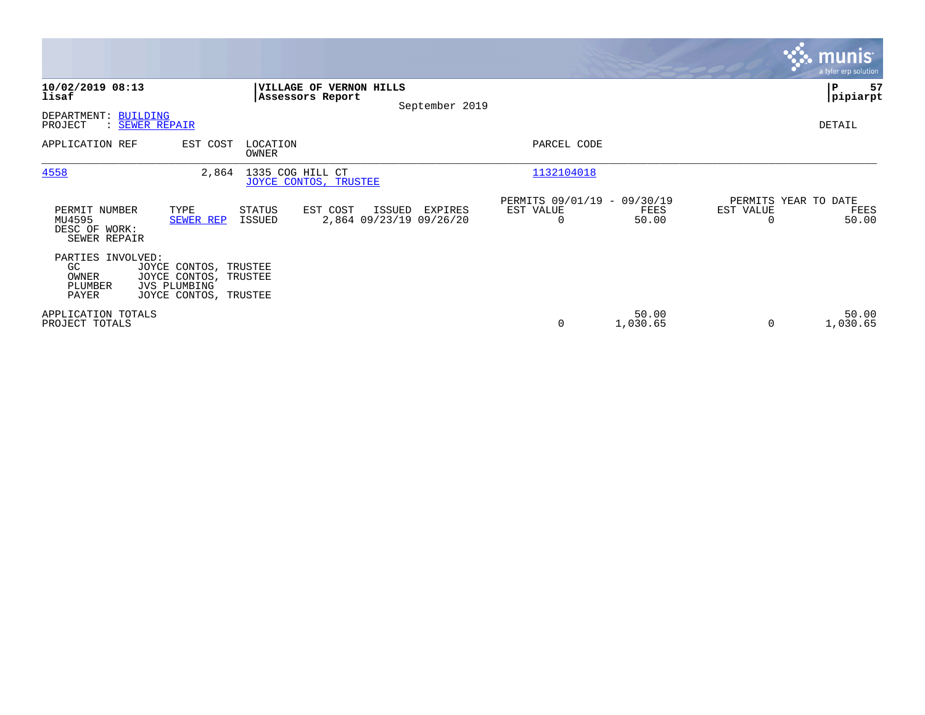|                                                          |                                                                                                |                                                    |                                   |                |                                               |                   |           | <b>munis</b><br>a tyler erp solution  |
|----------------------------------------------------------|------------------------------------------------------------------------------------------------|----------------------------------------------------|-----------------------------------|----------------|-----------------------------------------------|-------------------|-----------|---------------------------------------|
| 10/02/2019 08:13<br>lisaf                                |                                                                                                | <b>VILLAGE OF VERNON HILLS</b><br>Assessors Report |                                   | September 2019 |                                               |                   |           | l P<br>57<br> pipiarpt                |
| DEPARTMENT: BUILDING<br>PROJECT                          | : SEWER REPAIR                                                                                 |                                                    |                                   |                |                                               |                   |           | DETAIL                                |
| APPLICATION REF                                          | EST COST                                                                                       | LOCATION<br>OWNER                                  |                                   |                | PARCEL CODE                                   |                   |           |                                       |
| 4558                                                     | 2,864                                                                                          | 1335 COG HILL CT<br>JOYCE CONTOS, TRUSTEE          |                                   |                | 1132104018                                    |                   |           |                                       |
| PERMIT NUMBER<br>MU4595<br>DESC OF WORK:<br>SEWER REPAIR | TYPE<br>SEWER REP                                                                              | EST COST<br>STATUS<br>ISSUED                       | ISSUED<br>2,864 09/23/19 09/26/20 | EXPIRES        | PERMITS 09/01/19 - 09/30/19<br>EST VALUE<br>0 | FEES<br>50.00     | EST VALUE | PERMITS YEAR TO DATE<br>FEES<br>50.00 |
| PARTIES INVOLVED:<br>GC.<br>OWNER<br>PLUMBER<br>PAYER    | JOYCE CONTOS, TRUSTEE<br>JOYCE CONTOS, TRUSTEE<br><b>JVS PLUMBING</b><br>JOYCE CONTOS, TRUSTEE |                                                    |                                   |                |                                               |                   |           |                                       |
| APPLICATION TOTALS<br>PROJECT TOTALS                     |                                                                                                |                                                    |                                   |                | 0                                             | 50.00<br>1,030.65 | 0         | 50.00<br>1,030.65                     |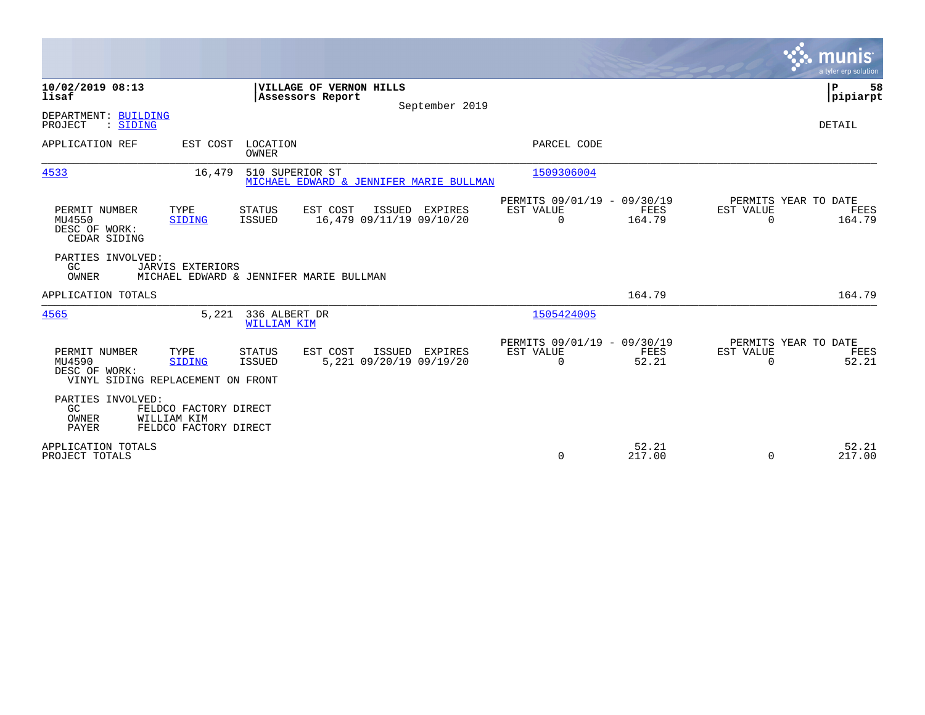|                                                                                                                   |                                                                                   |                                                         |                             | munis<br>a tyler erp solution                      |
|-------------------------------------------------------------------------------------------------------------------|-----------------------------------------------------------------------------------|---------------------------------------------------------|-----------------------------|----------------------------------------------------|
| 10/02/2019 08:13<br>lisaf                                                                                         | VILLAGE OF VERNON HILLS<br>Assessors Report<br>September 2019                     |                                                         |                             | P<br>58<br> pipiarpt                               |
| DEPARTMENT: BUILDING<br>: SIDING<br>PROJECT                                                                       |                                                                                   |                                                         |                             | <b>DETAIL</b>                                      |
| APPLICATION REF<br>EST COST                                                                                       | LOCATION<br>OWNER                                                                 | PARCEL CODE                                             |                             |                                                    |
| 4533<br>16,479                                                                                                    | 510 SUPERIOR ST<br>MICHAEL EDWARD & JENNIFER MARIE BULLMAN                        | 1509306004                                              |                             |                                                    |
| PERMIT NUMBER<br>TYPE<br>MU4550<br><b>SIDING</b><br>DESC OF WORK:<br>CEDAR SIDING                                 | EST COST<br>ISSUED EXPIRES<br>STATUS<br>16,479 09/11/19 09/10/20<br><b>ISSUED</b> | PERMITS 09/01/19 - 09/30/19<br>EST VALUE<br>$\Omega$    | FEES<br>EST VALUE<br>164.79 | PERMITS YEAR TO DATE<br>FEES<br>$\Omega$<br>164.79 |
| PARTIES INVOLVED:<br>GC<br><b>JARVIS EXTERIORS</b><br>OWNER                                                       | MICHAEL EDWARD & JENNIFER MARIE BULLMAN                                           |                                                         |                             |                                                    |
| APPLICATION TOTALS                                                                                                |                                                                                   |                                                         | 164.79                      | 164.79                                             |
| 4565<br>5,221                                                                                                     | 336 ALBERT DR<br>WILLIAM KIM                                                      | 1505424005                                              |                             |                                                    |
| PERMIT NUMBER<br>TYPE<br>MU4590<br><b>SIDING</b><br>DESC OF WORK:<br>VINYL SIDING REPLACEMENT ON FRONT            | EST COST<br>ISSUED EXPIRES<br>STATUS<br>5,221 09/20/19 09/19/20<br>ISSUED         | PERMITS 09/01/19 - 09/30/19<br>EST VALUE<br>$\mathbf 0$ | FEES<br>EST VALUE<br>52.21  | PERMITS YEAR TO DATE<br>FEES<br>52.21<br>$\Omega$  |
| PARTIES INVOLVED:<br>GC<br>FELDCO FACTORY DIRECT<br>OWNER<br>WILLIAM KIM<br><b>PAYER</b><br>FELDCO FACTORY DIRECT |                                                                                   |                                                         |                             |                                                    |
| APPLICATION TOTALS<br>PROJECT TOTALS                                                                              |                                                                                   | 0                                                       | 52.21<br>217.00             | 52.21<br>217.00<br>$\Omega$                        |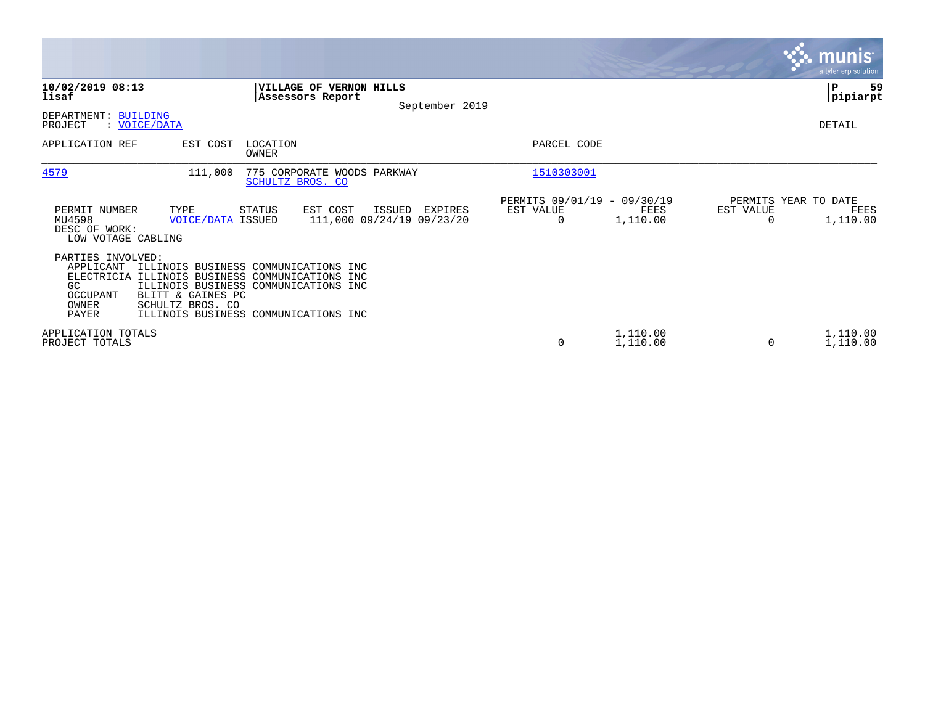|                                                                                                 |                                                                                                                                                                                                       |                                               |                      |                                   | <b>munis</b><br>a tyler erp solution |
|-------------------------------------------------------------------------------------------------|-------------------------------------------------------------------------------------------------------------------------------------------------------------------------------------------------------|-----------------------------------------------|----------------------|-----------------------------------|--------------------------------------|
| 10/02/2019 08:13<br>lisaf                                                                       | VILLAGE OF VERNON HILLS<br>Assessors Report<br>September 2019                                                                                                                                         |                                               |                      |                                   | 59<br> P<br> pipiarpt                |
| DEPARTMENT: BUILDING<br>PROJECT<br>: VOICE/DATA                                                 |                                                                                                                                                                                                       |                                               |                      |                                   | DETAIL                               |
| APPLICATION REF                                                                                 | LOCATION<br>EST COST<br><b>OWNER</b>                                                                                                                                                                  | PARCEL CODE                                   |                      |                                   |                                      |
| 4579                                                                                            | 111,000<br>775 CORPORATE WOODS PARKWAY<br>SCHULTZ BROS. CO                                                                                                                                            | 1510303001                                    |                      |                                   |                                      |
| PERMIT NUMBER<br>MU4598<br>DESC OF WORK:<br>LOW VOTAGE CABLING                                  | TYPE<br>EST COST<br><b>STATUS</b><br>ISSUED<br>EXPIRES<br>111,000 09/24/19 09/23/20<br><b>VOICE/DATA ISSUED</b>                                                                                       | PERMITS 09/01/19 - 09/30/19<br>EST VALUE<br>0 | FEES<br>1,110.00     | PERMITS YEAR TO DATE<br>EST VALUE | FEES<br>1,110.00                     |
| PARTIES INVOLVED:<br>APPLICANT<br><b>ELECTRICIA</b><br>GC.<br>OCCUPANT<br>OWNER<br><b>PAYER</b> | ILLINOIS BUSINESS COMMUNICATIONS INC<br>ILLINOIS BUSINESS COMMUNICATIONS INC<br>ILLINOIS BUSINESS COMMUNICATIONS INC<br>BLITT & GAINES PC<br>SCHULTZ BROS. CO<br>ILLINOIS BUSINESS COMMUNICATIONS INC |                                               |                      |                                   |                                      |
| APPLICATION TOTALS<br>PROJECT TOTALS                                                            |                                                                                                                                                                                                       | 0                                             | 1,110.00<br>1,110.00 | $\Omega$                          | 1,110.00<br>1,110.00                 |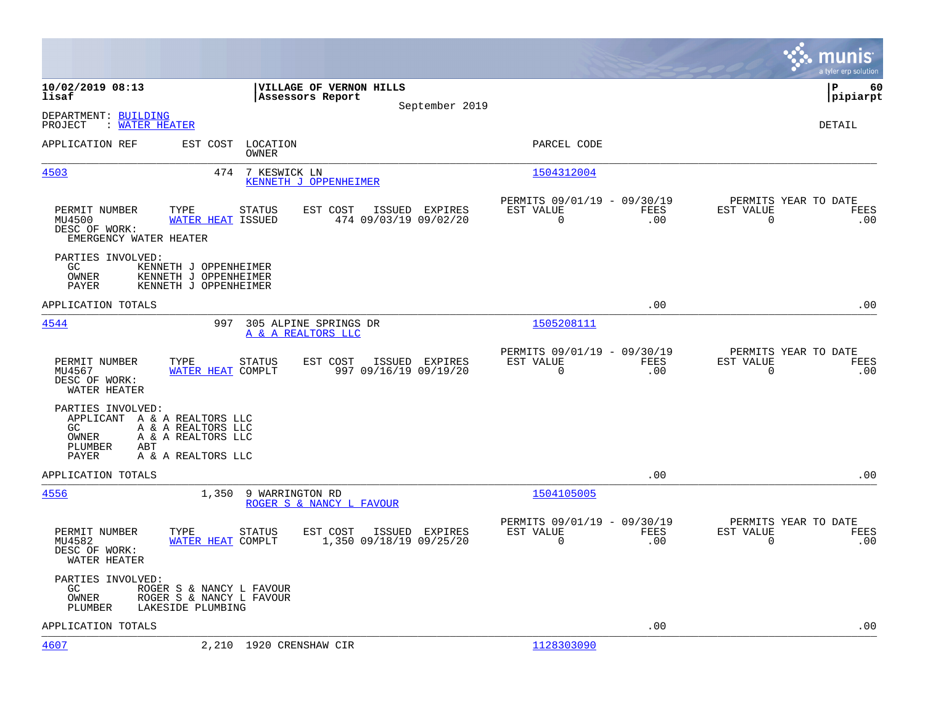|                                                                                                                                                               |                                                                         |                                     |                |                                                            |                    |                                                  | munis<br>a tyler erp solution |
|---------------------------------------------------------------------------------------------------------------------------------------------------------------|-------------------------------------------------------------------------|-------------------------------------|----------------|------------------------------------------------------------|--------------------|--------------------------------------------------|-------------------------------|
| 10/02/2019 08:13<br>lisaf                                                                                                                                     | Assessors Report                                                        | VILLAGE OF VERNON HILLS             | September 2019 |                                                            |                    |                                                  | ΙP<br>60<br> pipiarpt         |
| DEPARTMENT: BUILDING<br>PROJECT<br>: WATER HEATER                                                                                                             |                                                                         |                                     |                |                                                            |                    |                                                  | DETAIL                        |
| APPLICATION REF                                                                                                                                               | EST COST LOCATION<br>OWNER                                              |                                     |                | PARCEL CODE                                                |                    |                                                  |                               |
| 4503                                                                                                                                                          | 474<br>7 KESWICK LN                                                     | KENNETH J OPPENHEIMER               |                | 1504312004                                                 |                    |                                                  |                               |
| TYPE<br>PERMIT NUMBER<br>MU4500<br>DESC OF WORK:<br>EMERGENCY WATER HEATER                                                                                    | STATUS<br><b>WATER HEAT ISSUED</b>                                      | EST COST<br>474 09/03/19 09/02/20   | ISSUED EXPIRES | PERMITS 09/01/19 - 09/30/19<br>EST VALUE<br>$\overline{0}$ | FEES<br>.00        | PERMITS YEAR TO DATE<br>EST VALUE<br>$\mathbf 0$ | FEES<br>.00                   |
| PARTIES INVOLVED:<br>GC<br>OWNER<br>PAYER                                                                                                                     | KENNETH J OPPENHEIMER<br>KENNETH J OPPENHEIMER<br>KENNETH J OPPENHEIMER |                                     |                |                                                            |                    |                                                  |                               |
| APPLICATION TOTALS                                                                                                                                            |                                                                         |                                     |                |                                                            | .00                |                                                  | .00                           |
| 4544                                                                                                                                                          | 997 305 ALPINE SPRINGS DR<br>A & A REALTORS LLC                         |                                     |                | 1505208111                                                 |                    |                                                  |                               |
| PERMIT NUMBER<br>TYPE<br>MU4567<br>DESC OF WORK:<br>WATER HEATER                                                                                              | STATUS<br>WATER HEAT COMPLT                                             | EST COST<br>997 09/16/19 09/19/20   | ISSUED EXPIRES | PERMITS 09/01/19 - 09/30/19<br>EST VALUE<br>$\overline{0}$ | FEES<br>.00        | PERMITS YEAR TO DATE<br>EST VALUE<br>$\Omega$    | FEES<br>.00                   |
| PARTIES INVOLVED:<br>APPLICANT A & A REALTORS LLC<br>A & A REALTORS LLC<br>GC<br>A & A REALTORS LLC<br>OWNER<br>PLUMBER<br>ABT<br>PAYER<br>A & A REALTORS LLC |                                                                         |                                     |                |                                                            |                    |                                                  |                               |
| APPLICATION TOTALS                                                                                                                                            |                                                                         |                                     |                |                                                            | .00                |                                                  | .00                           |
| 4556                                                                                                                                                          | 1,350<br>9 WARRINGTON RD                                                | ROGER S & NANCY L FAVOUR            |                | 1504105005                                                 |                    |                                                  |                               |
| PERMIT NUMBER<br>TYPE<br>MU4582<br>DESC OF WORK:<br>WATER HEATER                                                                                              | STATUS<br>WATER HEAT COMPLT                                             | EST COST<br>1,350 09/18/19 09/25/20 | ISSUED EXPIRES | PERMITS 09/01/19 - 09/30/19<br>EST VALUE<br>0              | <b>FEES</b><br>.00 | PERMITS YEAR TO DATE<br>EST VALUE<br>$\Omega$    | FEES<br>.00                   |
| PARTIES INVOLVED:<br>GC<br>OWNER<br>PLUMBER<br>LAKESIDE PLUMBING                                                                                              | ROGER S & NANCY L FAVOUR<br>ROGER S & NANCY L FAVOUR                    |                                     |                |                                                            |                    |                                                  |                               |
| APPLICATION TOTALS                                                                                                                                            |                                                                         |                                     |                |                                                            | .00                |                                                  | .00                           |
| <u>4607</u>                                                                                                                                                   | 2,210 1920 CRENSHAW CIR                                                 |                                     |                | 1128303090                                                 |                    |                                                  |                               |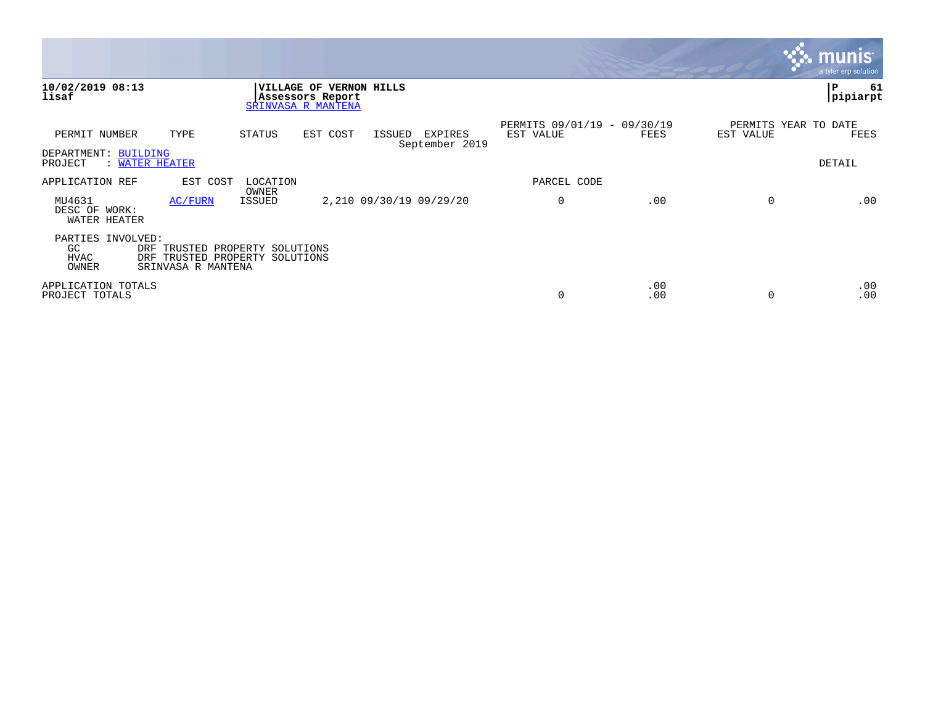|                                          |                                                                                              |                   |                                                                   |        |                           |                                          |            |             | munis<br>a tyler erp solution |
|------------------------------------------|----------------------------------------------------------------------------------------------|-------------------|-------------------------------------------------------------------|--------|---------------------------|------------------------------------------|------------|-------------|-------------------------------|
| 10/02/2019 08:13<br>lisaf                |                                                                                              |                   | VILLAGE OF VERNON HILLS<br>Assessors Report<br>SRINVASA R MANTENA |        |                           |                                          |            |             | ∣P<br>61<br>pipiarpt          |
| PERMIT NUMBER                            | TYPE                                                                                         | STATUS            | EST COST                                                          | ISSUED | EXPIRES<br>September 2019 | PERMITS 09/01/19 - 09/30/19<br>EST VALUE | FEES       | EST VALUE   | PERMITS YEAR TO DATE<br>FEES  |
| DEPARTMENT: BUILDING<br>PROJECT          | : WATER HEATER                                                                               |                   |                                                                   |        |                           |                                          |            |             | DETAIL                        |
| APPLICATION REF                          | EST COST                                                                                     | LOCATION<br>OWNER |                                                                   |        |                           | PARCEL CODE                              |            |             |                               |
| MU4631<br>DESC OF WORK:<br>WATER HEATER  | AC/FURN                                                                                      | <b>ISSUED</b>     |                                                                   |        | 2,210 09/30/19 09/29/20   | $\mathbf 0$                              | .00        | $\mathbf 0$ | .00                           |
| PARTIES INVOLVED:<br>GC<br>HVAC<br>OWNER | DRF<br>TRUSTED PROPERTY SOLUTIONS<br>TRUSTED PROPERTY SOLUTIONS<br>DRF<br>SRINVASA R MANTENA |                   |                                                                   |        |                           |                                          |            |             |                               |
| APPLICATION TOTALS<br>PROJECT TOTALS     |                                                                                              |                   |                                                                   |        |                           | 0                                        | .00<br>.00 | $\Omega$    | .00<br>.00                    |